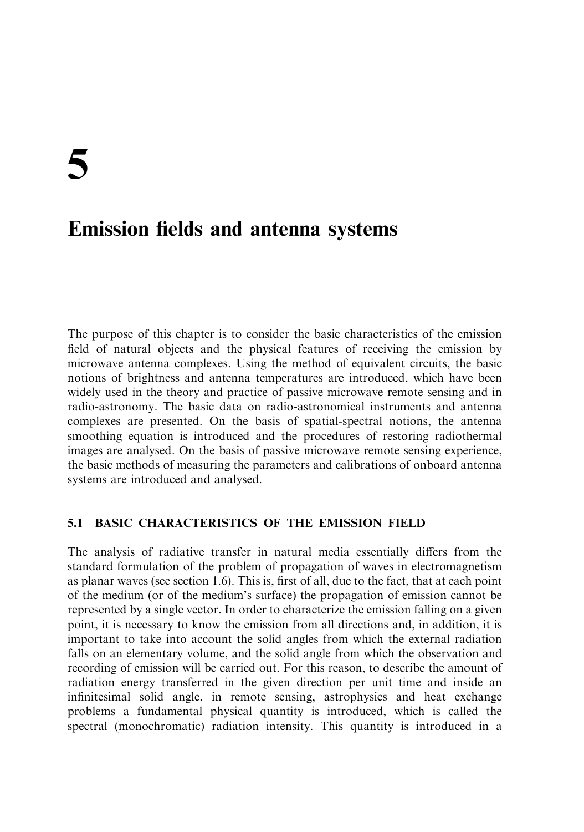5

# **Emission fields and antenna systems**

The purpose of this chapter is to consider the basic characteristics of the emission field of natural objects and the physical features of receiving the emission by microwave antenna complexes. Using the method of equivalent circuits, the basic notions of brightness and antenna temperatures are introduced, which have been widely used in the theory and practice of passive microwave remote sensing and in radio-astronomy. The basic data on radio-astronomical instruments and antenna complexes are presented. On the basis of spatial-spectral notions, the antenna smoothing equation is introduced and the procedures of restoring radiothermal images are analysed. On the basis of passive microwave remote sensing experience, the basic methods of measuring the parameters and calibrations of onboard antenna systems are introduced and analysed.

### **BASIC CHARACTERISTICS OF THE EMISSION FIELD**  $5.1$

The analysis of radiative transfer in natural media essentially differs from the standard formulation of the problem of propagation of waves in electromagnetism as planar waves (see section 1.6). This is, first of all, due to the fact, that at each point of the medium (or of the medium's surface) the propagation of emission cannot be represented by a single vector. In order to characterize the emission falling on a given point, it is necessary to know the emission from all directions and, in addition, it is important to take into account the solid angles from which the external radiation falls on an elementary volume, and the solid angle from which the observation and recording of emission will be carried out. For this reason, to describe the amount of radiation energy transferred in the given direction per unit time and inside an infinitesimal solid angle, in remote sensing, astrophysics and heat exchange problems a fundamental physical quantity is introduced, which is called the spectral (monochromatic) radiation intensity. This quantity is introduced in a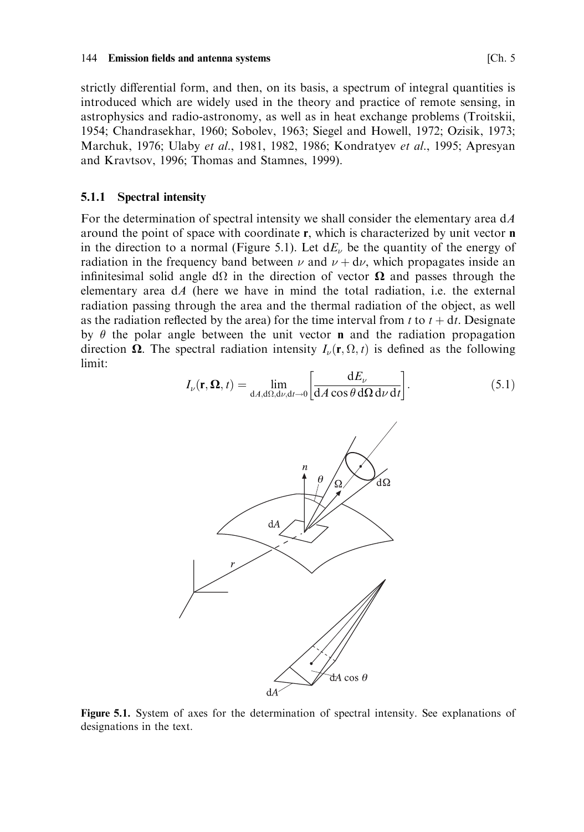strictly differential form, and then, on its basis, a spectrum of integral quantities is introduced which are widely used in the theory and practice of remote sensing, in astrophysics and radio-astronomy, as well as in heat exchange problems (Troitskii, 1954; Chandrasekhar, 1960; Sobolev, 1963; Siegel and Howell, 1972; Ozisik, 1973; Marchuk, 1976; Ulaby et al., 1981, 1982, 1986; Kondratyev et al., 1995; Apresyan and Kravtsov, 1996; Thomas and Stamnes, 1999).

#### $5.1.1$ **Spectral intensity**

For the determination of spectral intensity we shall consider the elementary area  $dA$ around the point of space with coordinate r, which is characterized by unit vector n in the direction to a normal (Figure 5.1). Let  $dE<sub>\nu</sub>$  be the quantity of the energy of radiation in the frequency band between  $\nu$  and  $\nu + d\nu$ , which propagates inside an infinitesimal solid angle  $d\Omega$  in the direction of vector  $\Omega$  and passes through the elementary area  $dA$  (here we have in mind the total radiation, i.e. the external radiation passing through the area and the thermal radiation of the object, as well as the radiation reflected by the area) for the time interval from t to  $t + dt$ . Designate by  $\theta$  the polar angle between the unit vector **n** and the radiation propagation direction  $\Omega$ . The spectral radiation intensity  $I_{\nu}(\mathbf{r}, \Omega, t)$  is defined as the following limit:

$$
I_{\nu}(\mathbf{r}, \mathbf{\Omega}, t) = \lim_{\mathrm{d}A, \mathrm{d}\Omega, \mathrm{d}\nu, \mathrm{d}t \to 0} \left[ \frac{\mathrm{d}E_{\nu}}{\mathrm{d}A \cos \theta \,\mathrm{d}\Omega \,\mathrm{d}\nu \,\mathrm{d}t} \right]. \tag{5.1}
$$



Figure 5.1. System of axes for the determination of spectral intensity. See explanations of designations in the text.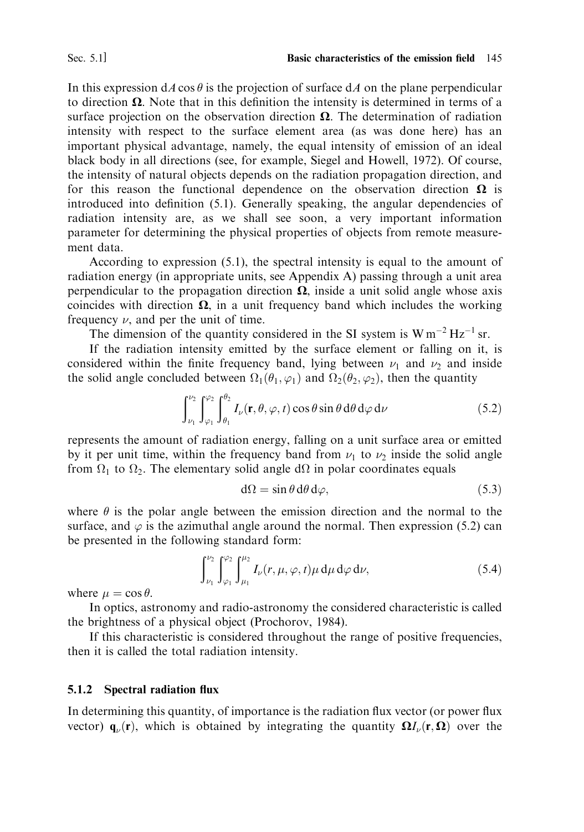In this expression  $dA \cos \theta$  is the projection of surface  $dA$  on the plane perpendicular to direction  $\Omega$ . Note that in this definition the intensity is determined in terms of a surface projection on the observation direction  $\Omega$ . The determination of radiation intensity with respect to the surface element area (as was done here) has an important physical advantage, namely, the equal intensity of emission of an ideal black body in all directions (see, for example, Siegel and Howell, 1972). Of course, the intensity of natural objects depends on the radiation propagation direction, and for this reason the functional dependence on the observation direction  $\Omega$  is introduced into definition (5.1). Generally speaking, the angular dependencies of radiation intensity are, as we shall see soon, a very important information parameter for determining the physical properties of objects from remote measurement data.

According to expression (5.1), the spectral intensity is equal to the amount of radiation energy (in appropriate units, see Appendix A) passing through a unit area perpendicular to the propagation direction  $\Omega$ , inside a unit solid angle whose axis coincides with direction  $\Omega$ , in a unit frequency band which includes the working frequency  $\nu$ , and per the unit of time.

The dimension of the quantity considered in the SI system is  $W m^{-2} Hz^{-1} sr$ .

If the radiation intensity emitted by the surface element or falling on it, is considered within the finite frequency band, lying between  $\nu_1$  and  $\nu_2$  and inside the solid angle concluded between  $\Omega_1(\theta_1, \varphi_1)$  and  $\Omega_2(\theta_2, \varphi_2)$ , then the quantity

$$
\int_{\nu_1}^{\nu_2} \int_{\varphi_1}^{\varphi_2} \int_{\theta_1}^{\theta_2} I_{\nu}(\mathbf{r}, \theta, \varphi, t) \cos \theta \sin \theta \, d\theta \, d\varphi \, d\nu \tag{5.2}
$$

represents the amount of radiation energy, falling on a unit surface area or emitted by it per unit time, within the frequency band from  $\nu_1$  to  $\nu_2$  inside the solid angle from  $\Omega_1$  to  $\Omega_2$ . The elementary solid angle d $\Omega$  in polar coordinates equals

$$
d\Omega = \sin \theta \, d\theta \, d\varphi,\tag{5.3}
$$

where  $\theta$  is the polar angle between the emission direction and the normal to the surface, and  $\varphi$  is the azimuthal angle around the normal. Then expression (5.2) can be presented in the following standard form:

$$
\int_{\nu_1}^{\nu_2} \int_{\varphi_1}^{\varphi_2} \int_{\mu_1}^{\mu_2} I_{\nu}(r, \mu, \varphi, t) \mu \, d\mu \, d\varphi \, d\nu, \tag{5.4}
$$

where  $\mu = \cos \theta$ .

In optics, astronomy and radio-astronomy the considered characteristic is called the brightness of a physical object (Prochorov, 1984).

If this characteristic is considered throughout the range of positive frequencies, then it is called the total radiation intensity.

#### $5.1.2$ **Spectral radiation flux**

In determining this quantity, of importance is the radiation flux vector (or power flux vector)  $\mathbf{q}_{\nu}(\mathbf{r})$ , which is obtained by integrating the quantity  $\Omega I_{\nu}(\mathbf{r}, \Omega)$  over the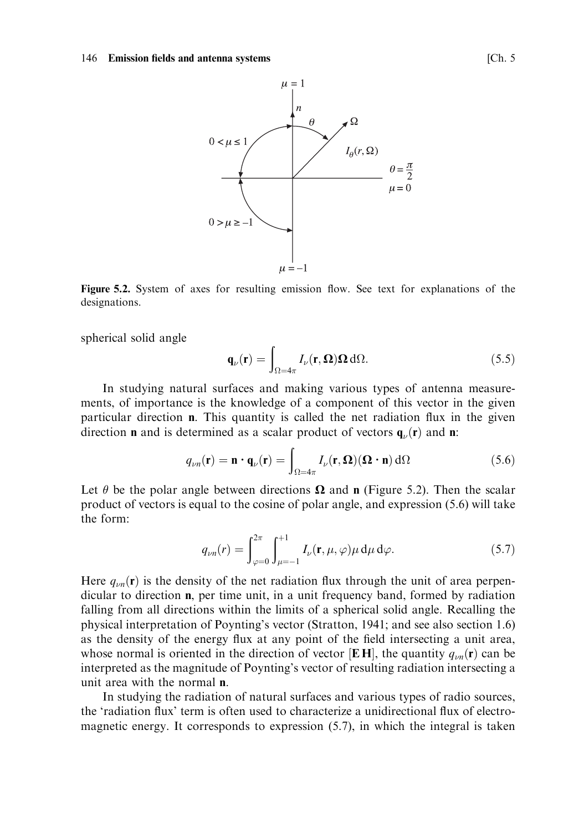

Figure 5.2. System of axes for resulting emission flow. See text for explanations of the designations.

spherical solid angle

$$
\mathbf{q}_{\nu}(\mathbf{r}) = \int_{\Omega = 4\pi} I_{\nu}(\mathbf{r}, \Omega) \Omega \, d\Omega. \tag{5.5}
$$

In studying natural surfaces and making various types of antenna measurements, of importance is the knowledge of a component of this vector in the given particular direction  $\mathbf n$ . This quantity is called the net radiation flux in the given direction **n** and is determined as a scalar product of vectors  $\mathbf{q}_{\nu}(\mathbf{r})$  and **n**:

$$
q_{\nu n}(\mathbf{r}) = \mathbf{n} \cdot \mathbf{q}_{\nu}(\mathbf{r}) = \int_{\Omega = 4\pi} I_{\nu}(\mathbf{r}, \Omega) (\Omega \cdot \mathbf{n}) \, d\Omega \tag{5.6}
$$

Let  $\theta$  be the polar angle between directions  $\Omega$  and **n** (Figure 5.2). Then the scalar product of vectors is equal to the cosine of polar angle, and expression (5.6) will take the form:

$$
q_{\nu n}(r) = \int_{\varphi=0}^{2\pi} \int_{\mu=-1}^{+1} I_{\nu}(\mathbf{r}, \mu, \varphi) \mu \, \mathrm{d}\mu \, \mathrm{d}\varphi. \tag{5.7}
$$

Here  $q_{\nu n}(\mathbf{r})$  is the density of the net radiation flux through the unit of area perpendicular to direction  $\mathbf{n}$ , per time unit, in a unit frequency band, formed by radiation falling from all directions within the limits of a spherical solid angle. Recalling the physical interpretation of Poynting's vector (Stratton, 1941; and see also section 1.6) as the density of the energy flux at any point of the field intersecting a unit area, whose normal is oriented in the direction of vector [EH], the quantity  $q_{\mu m}(\mathbf{r})$  can be interpreted as the magnitude of Poynting's vector of resulting radiation intersecting a unit area with the normal n.

In studying the radiation of natural surfaces and various types of radio sources, the 'radiation flux' term is often used to characterize a unidirectional flux of electromagnetic energy. It corresponds to expression  $(5.7)$ , in which the integral is taken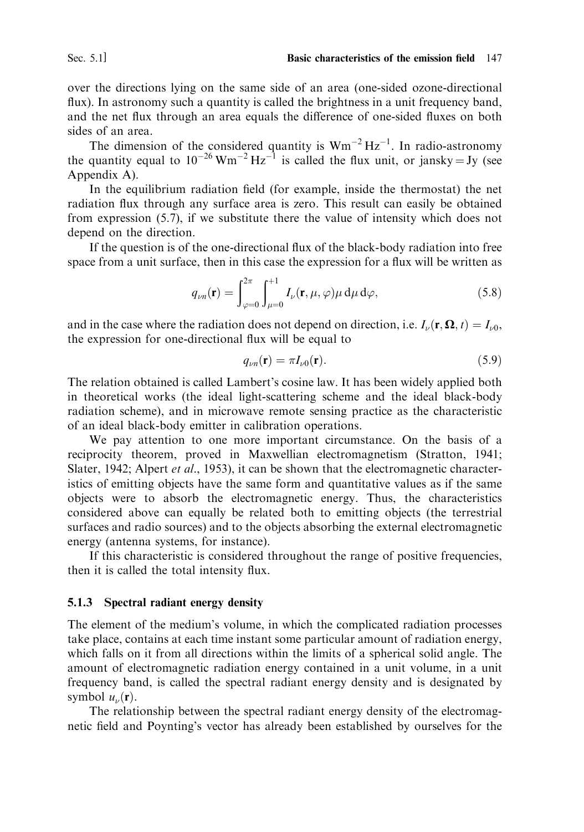over the directions lying on the same side of an area (one-sided ozone-directional flux). In astronomy such a quantity is called the brightness in a unit frequency band, and the net flux through an area equals the difference of one-sided fluxes on both sides of an area.

The dimension of the considered quantity is  $Wm^{-2} Hz^{-1}$ . In radio-astronomy the quantity equal to  $10^{-26}$  Wm<sup>-2</sup> Hz<sup>-1</sup> is called the flux unit, or jansky = Jy (see Appendix A).

In the equilibrium radiation field (for example, inside the thermostat) the net radiation flux through any surface area is zero. This result can easily be obtained from expression  $(5.7)$ , if we substitute there the value of intensity which does not depend on the direction.

If the question is of the one-directional flux of the black-body radiation into free space from a unit surface, then in this case the expression for a flux will be written as

$$
q_{\nu n}(\mathbf{r}) = \int_{\varphi=0}^{2\pi} \int_{\mu=0}^{+1} I_{\nu}(\mathbf{r}, \mu, \varphi) \mu \, \mathrm{d}\mu \, \mathrm{d}\varphi, \tag{5.8}
$$

and in the case where the radiation does not depend on direction, i.e.  $I_{\nu}(\mathbf{r}, \mathbf{\Omega}, t) = I_{\nu 0}$ , the expression for one-directional flux will be equal to

$$
q_{\nu n}(\mathbf{r}) = \pi I_{\nu 0}(\mathbf{r}).\tag{5.9}
$$

The relation obtained is called Lambert's cosine law. It has been widely applied both in theoretical works (the ideal light-scattering scheme and the ideal black-body radiation scheme), and in microwave remote sensing practice as the characteristic of an ideal black-body emitter in calibration operations.

We pay attention to one more important circumstance. On the basis of a reciprocity theorem, proved in Maxwellian electromagnetism (Stratton, 1941; Slater, 1942; Alpert *et al.*, 1953), it can be shown that the electromagnetic characteristics of emitting objects have the same form and quantitative values as if the same objects were to absorb the electromagnetic energy. Thus, the characteristics considered above can equally be related both to emitting objects (the terrestrial surfaces and radio sources) and to the objects absorbing the external electromagnetic energy (antenna systems, for instance).

If this characteristic is considered throughout the range of positive frequencies, then it is called the total intensity flux.

#### 5.1.3 Spectral radiant energy density

The element of the medium's volume, in which the complicated radiation processes take place, contains at each time instant some particular amount of radiation energy, which falls on it from all directions within the limits of a spherical solid angle. The amount of electromagnetic radiation energy contained in a unit volume, in a unit frequency band, is called the spectral radiant energy density and is designated by symbol  $u_{\nu}(\mathbf{r})$ .

The relationship between the spectral radiant energy density of the electromagnetic field and Poynting's vector has already been established by ourselves for the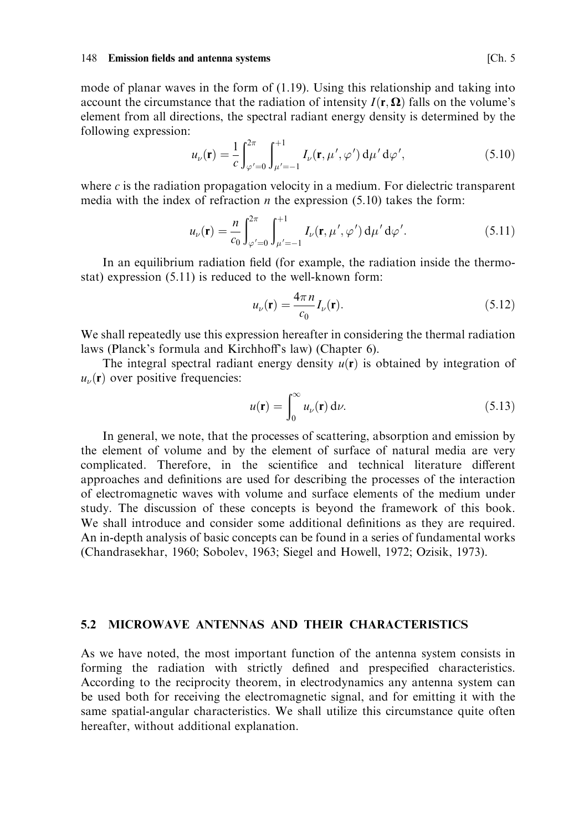mode of planar waves in the form of  $(1.19)$ . Using this relationship and taking into account the circumstance that the radiation of intensity  $I(\mathbf{r}, \Omega)$  falls on the volume's element from all directions, the spectral radiant energy density is determined by the following expression:

$$
u_{\nu}(\mathbf{r}) = \frac{1}{c} \int_{\varphi'=0}^{2\pi} \int_{\mu'=-1}^{+1} I_{\nu}(\mathbf{r}, \mu', \varphi') d\mu' d\varphi', \qquad (5.10)
$$

where  $c$  is the radiation propagation velocity in a medium. For dielectric transparent media with the index of refraction *n* the expression  $(5.10)$  takes the form:

$$
u_{\nu}(\mathbf{r}) = \frac{n}{c_0} \int_{\varphi'=0}^{2\pi} \int_{\mu'=-1}^{+1} I_{\nu}(\mathbf{r}, \mu', \varphi') d\mu' d\varphi'.
$$
 (5.11)

In an equilibrium radiation field (for example, the radiation inside the thermostat) expression (5.11) is reduced to the well-known form:

$$
u_{\nu}(\mathbf{r}) = \frac{4\pi n}{c_0} I_{\nu}(\mathbf{r}).
$$
\n(5.12)

We shall repeatedly use this expression hereafter in considering the thermal radiation laws (Planck's formula and Kirchhoff's law) (Chapter 6).

The integral spectral radiant energy density  $u(\mathbf{r})$  is obtained by integration of  $u_{\nu}(\mathbf{r})$  over positive frequencies:

$$
u(\mathbf{r}) = \int_0^\infty u_\nu(\mathbf{r}) \, \mathrm{d}\nu. \tag{5.13}
$$

In general, we note, that the processes of scattering, absorption and emission by the element of volume and by the element of surface of natural media are very complicated. Therefore, in the scientifice and technical literature different approaches and definitions are used for describing the processes of the interaction of electromagnetic waves with volume and surface elements of the medium under study. The discussion of these concepts is beyond the framework of this book. We shall introduce and consider some additional definitions as they are required. An in-depth analysis of basic concepts can be found in a series of fundamental works (Chandrasekhar, 1960; Sobolev, 1963; Siegel and Howell, 1972; Ozisik, 1973).

### $5.2$ MICROWAVE ANTENNAS AND THEIR CHARACTERISTICS

As we have noted, the most important function of the antenna system consists in forming the radiation with strictly defined and prespecified characteristics. According to the reciprocity theorem, in electrodynamics any antenna system can be used both for receiving the electromagnetic signal, and for emitting it with the same spatial-angular characteristics. We shall utilize this circumstance quite often hereafter, without additional explanation.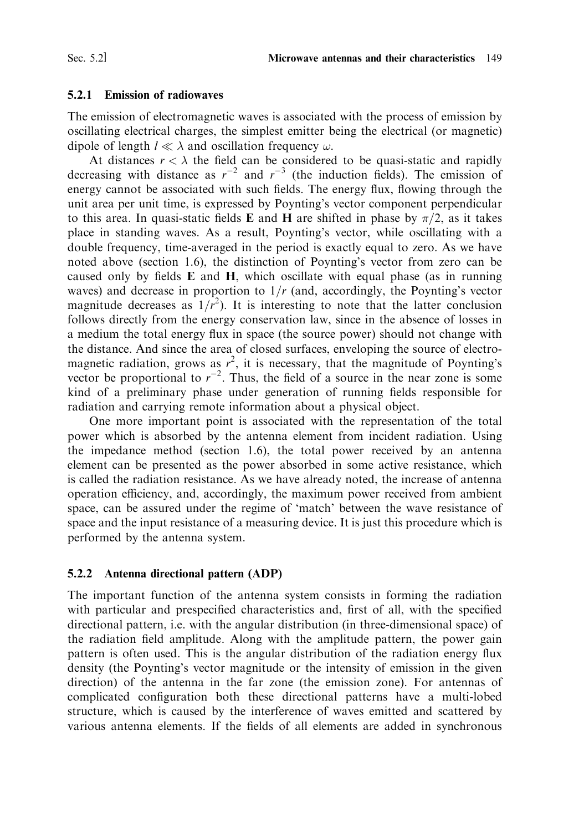### $5.2.1$ **Emission of radiowaves**

The emission of electromagnetic waves is associated with the process of emission by oscillating electrical charges, the simplest emitter being the electrical (or magnetic) dipole of length  $l \ll \lambda$  and oscillation frequency  $\omega$ .

At distances  $r < \lambda$  the field can be considered to be quasi-static and rapidly decreasing with distance as  $r^{-2}$  and  $r^{-3}$  (the induction fields). The emission of energy cannot be associated with such fields. The energy flux, flowing through the unit area per unit time, is expressed by Poynting's vector component perpendicular to this area. In quasi-static fields **E** and **H** are shifted in phase by  $\pi/2$ , as it takes place in standing waves. As a result, Poynting's vector, while oscillating with a double frequency, time-averaged in the period is exactly equal to zero. As we have noted above (section 1.6), the distinction of Poynting's vector from zero can be caused only by fields **E** and **H**, which oscillate with equal phase (as in running waves) and decrease in proportion to  $1/r$  (and, accordingly, the Poynting's vector magnitude decreases as  $1/r^2$ ). It is interesting to note that the latter conclusion follows directly from the energy conservation law, since in the absence of losses in a medium the total energy flux in space (the source power) should not change with the distance. And since the area of closed surfaces, enveloping the source of electromagnetic radiation, grows as  $r^2$ , it is necessary, that the magnitude of Poynting's vector be proportional to  $r^{-2}$ . Thus, the field of a source in the near zone is some kind of a preliminary phase under generation of running fields responsible for radiation and carrying remote information about a physical object.

One more important point is associated with the representation of the total power which is absorbed by the antenna element from incident radiation. Using the impedance method (section 1.6), the total power received by an antenna element can be presented as the power absorbed in some active resistance, which is called the radiation resistance. As we have already noted, the increase of antenna operation efficiency, and, accordingly, the maximum power received from ambient space, can be assured under the regime of 'match' between the wave resistance of space and the input resistance of a measuring device. It is just this procedure which is performed by the antenna system.

## 5.2.2 Antenna directional pattern (ADP)

The important function of the antenna system consists in forming the radiation with particular and prespecified characteristics and, first of all, with the specified directional pattern, i.e. with the angular distribution (in three-dimensional space) of the radiation field amplitude. Along with the amplitude pattern, the power gain pattern is often used. This is the angular distribution of the radiation energy flux density (the Poynting's vector magnitude or the intensity of emission in the given direction) of the antenna in the far zone (the emission zone). For antennas of complicated configuration both these directional patterns have a multi-lobed structure, which is caused by the interference of waves emitted and scattered by various antenna elements. If the fields of all elements are added in synchronous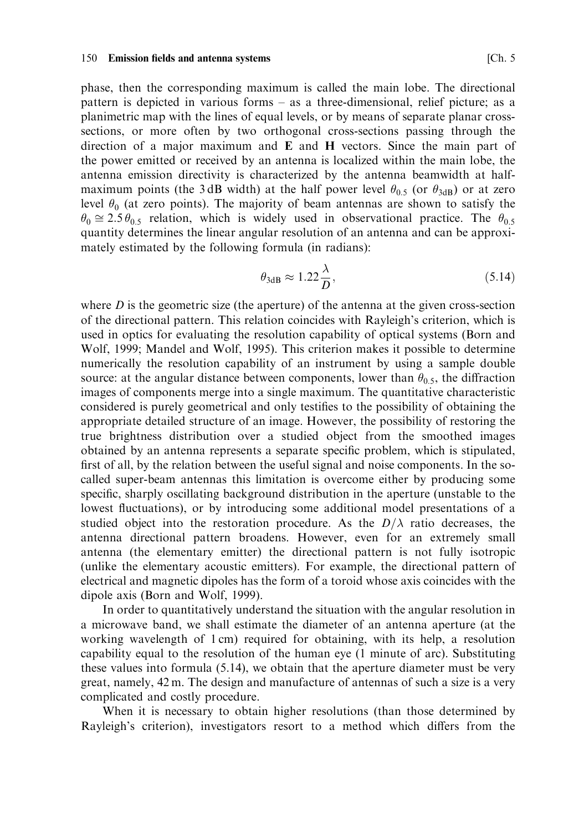phase, then the corresponding maximum is called the main lobe. The directional pattern is depicted in various forms – as a three-dimensional, relief picture; as a planimetric map with the lines of equal levels, or by means of separate planar crosssections, or more often by two orthogonal cross-sections passing through the direction of a major maximum and E and H vectors. Since the main part of the power emitted or received by an antenna is localized within the main lobe, the antenna emission directivity is characterized by the antenna beamwidth at halfmaximum points (the 3dB width) at the half power level  $\theta_{0.5}$  (or  $\theta_{3dB}$ ) or at zero level  $\theta_0$  (at zero points). The majority of beam antennas are shown to satisfy the  $\theta_0 \approx 2.5 \theta_{0.5}$  relation, which is widely used in observational practice. The  $\theta_{0.5}$ quantity determines the linear angular resolution of an antenna and can be approximately estimated by the following formula (in radians):

$$
\theta_{3\text{dB}} \approx 1.22 \frac{\lambda}{D},\tag{5.14}
$$

where  $D$  is the geometric size (the aperture) of the antenna at the given cross-section of the directional pattern. This relation coincides with Rayleigh's criterion, which is used in optics for evaluating the resolution capability of optical systems (Born and Wolf, 1999; Mandel and Wolf, 1995). This criterion makes it possible to determine numerically the resolution capability of an instrument by using a sample double source: at the angular distance between components, lower than  $\theta_0$ , the diffraction images of components merge into a single maximum. The quantitative characteristic considered is purely geometrical and only testifies to the possibility of obtaining the appropriate detailed structure of an image. However, the possibility of restoring the true brightness distribution over a studied object from the smoothed images obtained by an antenna represents a separate specific problem, which is stipulated, first of all, by the relation between the useful signal and noise components. In the socalled super-beam antennas this limitation is overcome either by producing some specific, sharply oscillating background distribution in the aperture (unstable to the lowest fluctuations), or by introducing some additional model presentations of a studied object into the restoration procedure. As the  $D/\lambda$  ratio decreases, the antenna directional pattern broadens. However, even for an extremely small antenna (the elementary emitter) the directional pattern is not fully isotropic (unlike the elementary acoustic emitters). For example, the directional pattern of electrical and magnetic dipoles has the form of a toroid whose axis coincides with the dipole axis (Born and Wolf, 1999).

In order to quantitatively understand the situation with the angular resolution in a microwave band, we shall estimate the diameter of an antenna aperture (at the working wavelength of 1 cm) required for obtaining, with its help, a resolution capability equal to the resolution of the human eye (1 minute of arc). Substituting these values into formula  $(5.14)$ , we obtain that the aperture diameter must be very great, namely, 42 m. The design and manufacture of antennas of such a size is a very complicated and costly procedure.

When it is necessary to obtain higher resolutions (than those determined by Rayleigh's criterion), investigators resort to a method which differs from the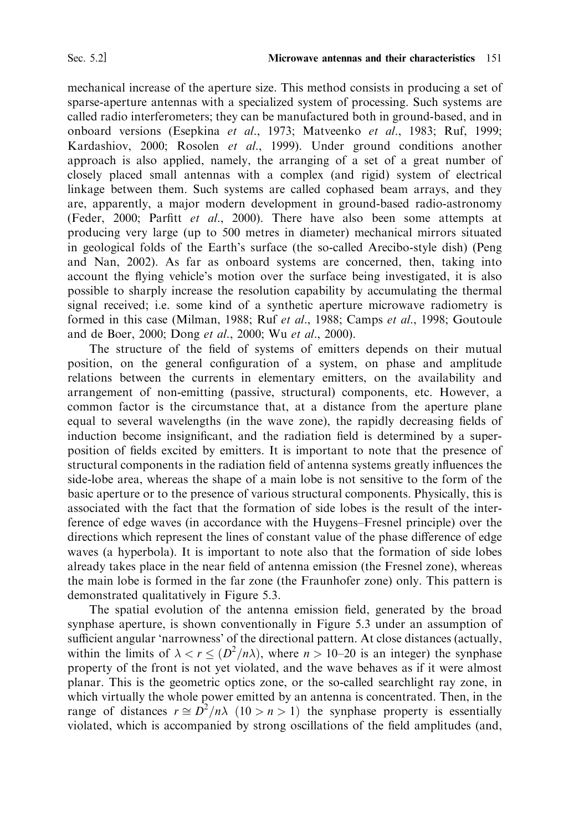mechanical increase of the aperture size. This method consists in producing a set of sparse-aperture antennas with a specialized system of processing. Such systems are called radio interferometers; they can be manufactured both in ground-based, and in onboard versions (Esepkina et al., 1973; Matveenko et al., 1983; Ruf, 1999; Kardashiov, 2000; Rosolen et al., 1999). Under ground conditions another approach is also applied, namely, the arranging of a set of a great number of closely placed small antennas with a complex (and rigid) system of electrical linkage between them. Such systems are called cophased beam arrays, and they are, apparently, a major modern development in ground-based radio-astronomy (Feder, 2000; Parfitt et al., 2000). There have also been some attempts at producing very large (up to 500 metres in diameter) mechanical mirrors situated in geological folds of the Earth's surface (the so-called Arecibo-style dish) (Peng and Nan, 2002). As far as onboard systems are concerned, then, taking into account the flying vehicle's motion over the surface being investigated, it is also possible to sharply increase the resolution capability by accumulating the thermal signal received; i.e. some kind of a synthetic aperture microwave radiometry is formed in this case (Milman, 1988; Ruf et al., 1988; Camps et al., 1998; Goutoule and de Boer, 2000; Dong et al., 2000; Wu et al., 2000).

The structure of the field of systems of emitters depends on their mutual position, on the general configuration of a system, on phase and amplitude relations between the currents in elementary emitters, on the availability and arrangement of non-emitting (passive, structural) components, etc. However, a common factor is the circumstance that, at a distance from the aperture plane equal to several wavelengths (in the wave zone), the rapidly decreasing fields of induction become insignificant, and the radiation field is determined by a superposition of fields excited by emitters. It is important to note that the presence of structural components in the radiation field of antenna systems greatly influences the side-lobe area, whereas the shape of a main lobe is not sensitive to the form of the basic aperture or to the presence of various structural components. Physically, this is associated with the fact that the formation of side lobes is the result of the interference of edge waves (in accordance with the Huygens–Fresnel principle) over the directions which represent the lines of constant value of the phase difference of edge waves (a hyperbola). It is important to note also that the formation of side lobes already takes place in the near field of antenna emission (the Fresnel zone), whereas the main lobe is formed in the far zone (the Fraunhofer zone) only. This pattern is demonstrated qualitatively in Figure 5.3.

The spatial evolution of the antenna emission field, generated by the broad synphase aperture, is shown conventionally in Figure 5.3 under an assumption of sufficient angular 'narrowness' of the directional pattern. At close distances (actually, within the limits of  $\lambda < r \leq (D^2/n\lambda)$ , where  $n > 10-20$  is an integer) the synphase property of the front is not yet violated, and the wave behaves as if it were almost planar. This is the geometric optics zone, or the so-called searchlight ray zone, in which virtually the whole power emitted by an antenna is concentrated. Then, in the range of distances  $r \approx D^2/n\lambda$  (10 > n > 1) the synphase property is essentially violated, which is accompanied by strong oscillations of the field amplitudes (and,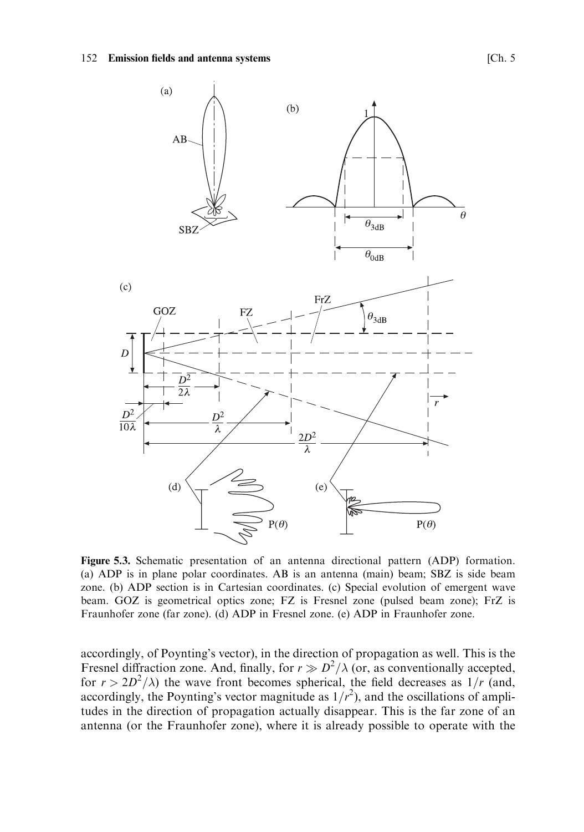

Figure 5.3. Schematic presentation of an antenna directional pattern (ADP) formation. (a) ADP is in plane polar coordinates. AB is an antenna (main) beam; SBZ is side beam zone. (b) ADP section is in Cartesian coordinates. (c) Special evolution of emergent wave beam. GOZ is geometrical optics zone; FZ is Fresnel zone (pulsed beam zone); FrZ is Fraunhofer zone (far zone). (d) ADP in Fresnel zone. (e) ADP in Fraunhofer zone.

accordingly, of Poynting's vector), in the direction of propagation as well. This is the Fresnel diffraction zone. And, finally, for  $r \gg D^2/\lambda$  (or, as conventionally accepted, for  $r > 2D^2/\lambda$ ) the wave front becomes spherical, the field decreases as  $1/r$  (and, accordingly, the Poynting's vector magnitude as  $1/r^2$ ), and the oscillations of amplitudes in the direction of propagation actually disappear. This is the far zone of an antenna (or the Fraunhofer zone), where it is already possible to operate with the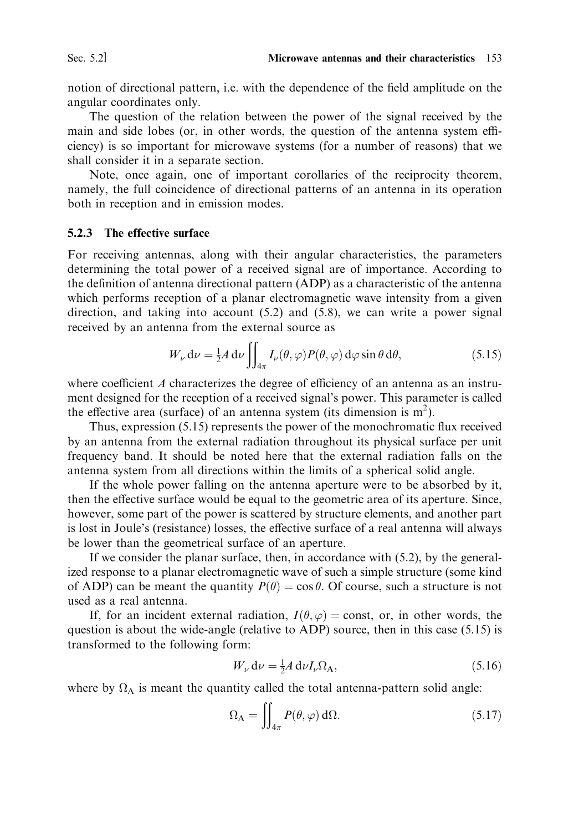notion of directional pattern, i.e. with the dependence of the field amplitude on the angular coordinates only.

The question of the relation between the power of the signal received by the main and side lobes (or, in other words, the question of the antenna system efficiency) is so important for microwave systems (for a number of reasons) that we shall consider it in a separate section.

Note, once again, one of important corollaries of the reciprocity theorem, namely, the full coincidence of directional patterns of an antenna in its operation both in reception and in emission modes.

## 5.2.3 The effective surface

For receiving antennas, along with their angular characteristics, the parameters determining the total power of a received signal are of importance. According to the definition of antenna directional pattern (ADP) as a characteristic of the antenna which performs reception of a planar electromagnetic wave intensity from a given direction, and taking into account  $(5.2)$  and  $(5.8)$ , we can write a power signal received by an antenna from the external source as

$$
W_{\nu} d\nu = \frac{1}{2} A d\nu \iint_{4\pi} I_{\nu}(\theta, \varphi) P(\theta, \varphi) d\varphi \sin \theta d\theta, \qquad (5.15)
$$

where coefficient  $A$  characterizes the degree of efficiency of an antenna as an instrument designed for the reception of a received signal's power. This parameter is called the effective area (surface) of an antenna system (its dimension is  $m<sup>2</sup>$ ).

Thus, expression (5.15) represents the power of the monochromatic flux received by an antenna from the external radiation throughout its physical surface per unit frequency band. It should be noted here that the external radiation falls on the antenna system from all directions within the limits of a spherical solid angle.

If the whole power falling on the antenna aperture were to be absorbed by it, then the effective surface would be equal to the geometric area of its aperture. Since, however, some part of the power is scattered by structure elements, and another part is lost in Joule's (resistance) losses, the effective surface of a real antenna will always be lower than the geometrical surface of an aperture.

If we consider the planar surface, then, in accordance with (5.2), by the generalized response to a planar electromagnetic wave of such a simple structure (some kind of ADP) can be meant the quantity  $P(\theta) = \cos \theta$ . Of course, such a structure is not used as a real antenna.

If, for an incident external radiation,  $I(\theta, \varphi) = \text{const}$ , or, in other words, the question is about the wide-angle (relative to ADP) source, then in this case  $(5.15)$  is transformed to the following form:

$$
W_{\nu} d\nu = \frac{1}{2} A d\nu I_{\nu} \Omega_{A}, \qquad (5.16)
$$

where by  $\Omega_A$  is meant the quantity called the total antenna-pattern solid angle:

$$
\Omega_{\rm A} = \iint_{4\pi} P(\theta, \varphi) \, \mathrm{d}\Omega. \tag{5.17}
$$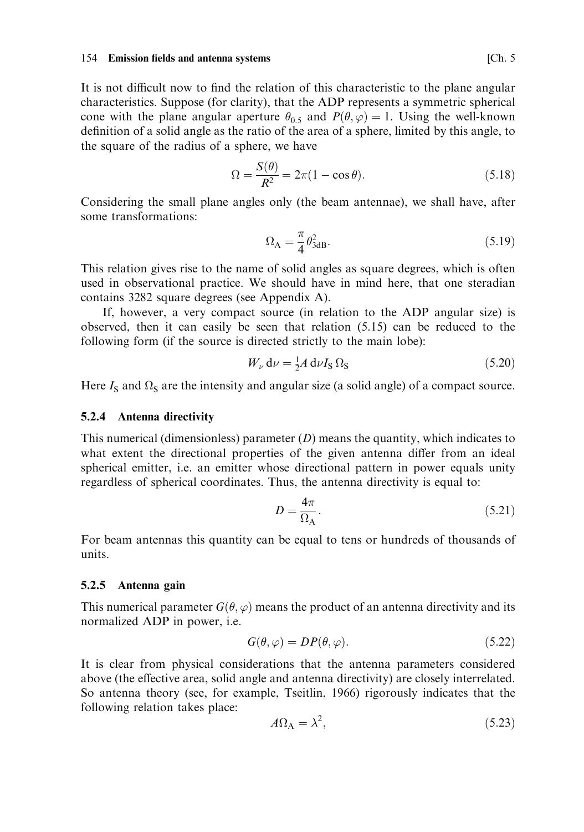## 154 Emission fields and antenna systems

It is not difficult now to find the relation of this characteristic to the plane angular characteristics. Suppose (for clarity), that the ADP represents a symmetric spherical cone with the plane angular aperture  $\theta_{0.5}$  and  $P(\theta, \varphi) = 1$ . Using the well-known definition of a solid angle as the ratio of the area of a sphere, limited by this angle, to the square of the radius of a sphere, we have

$$
\Omega = \frac{S(\theta)}{R^2} = 2\pi (1 - \cos \theta). \tag{5.18}
$$

Considering the small plane angles only (the beam antennae), we shall have, after some transformations:

$$
\Omega_{\rm A} = \frac{\pi}{4} \theta_{3\rm dB}^2. \tag{5.19}
$$

This relation gives rise to the name of solid angles as square degrees, which is often used in observational practice. We should have in mind here, that one steradian contains 3282 square degrees (see Appendix A).

If, however, a very compact source (in relation to the ADP angular size) is observed, then it can easily be seen that relation (5.15) can be reduced to the following form (if the source is directed strictly to the main lobe):

$$
W_{\nu} d\nu = \frac{1}{2} A d\nu I_{\rm S} \Omega_{\rm S}
$$
\n(5.20)

Here  $I_s$  and  $\Omega_s$  are the intensity and angular size (a solid angle) of a compact source.

## 5.2.4 Antenna directivity

This numerical (dimensionless) parameter  $(D)$  means the quantity, which indicates to what extent the directional properties of the given antenna differ from an ideal spherical emitter, i.e. an emitter whose directional pattern in power equals unity regardless of spherical coordinates. Thus, the antenna directivity is equal to:

$$
D = \frac{4\pi}{\Omega_{\rm A}}.\tag{5.21}
$$

For beam antennas this quantity can be equal to tens or hundreds of thousands of units

## 5.2.5 Antenna gain

This numerical parameter  $G(\theta, \varphi)$  means the product of an antenna directivity and its normalized ADP in power, i.e.

$$
G(\theta, \varphi) = DP(\theta, \varphi). \tag{5.22}
$$

It is clear from physical considerations that the antenna parameters considered above (the effective area, solid angle and antenna directivity) are closely interrelated. So antenna theory (see, for example, Tseitlin, 1966) rigorously indicates that the following relation takes place:

$$
A\Omega_{\rm A} = \lambda^2,\tag{5.23}
$$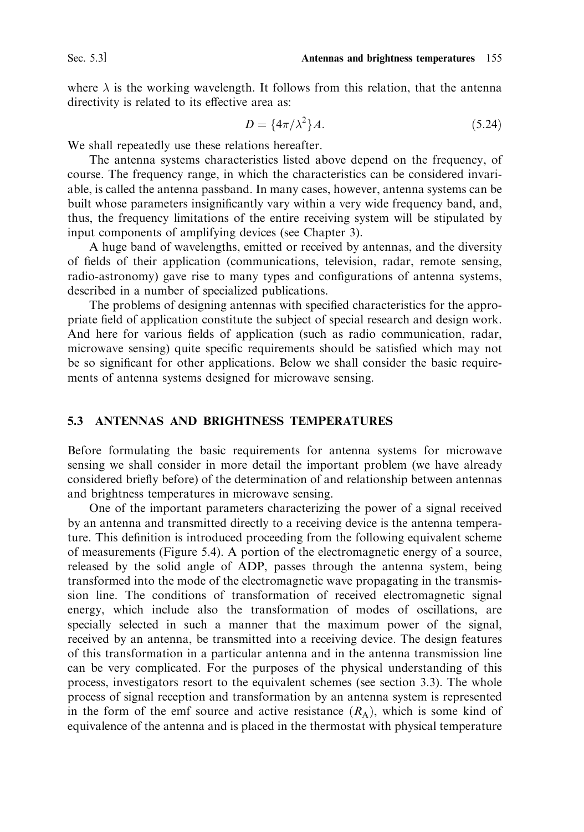where  $\lambda$  is the working wavelength. It follows from this relation, that the antenna directivity is related to its effective area as:

$$
D = \{4\pi/\lambda^2\}A.\tag{5.24}
$$

We shall repeatedly use these relations hereafter.

The antenna systems characteristics listed above depend on the frequency, of course. The frequency range, in which the characteristics can be considered invariable, is called the antenna passband. In many cases, however, antenna systems can be built whose parameters insignificantly vary within a very wide frequency band, and, thus, the frequency limitations of the entire receiving system will be stipulated by input components of amplifying devices (see Chapter 3).

A huge band of wavelengths, emitted or received by antennas, and the diversity of fields of their application (communications, television, radar, remote sensing, radio-astronomy) gave rise to many types and configurations of antenna systems, described in a number of specialized publications.

The problems of designing antennas with specified characteristics for the appropriate field of application constitute the subject of special research and design work. And here for various fields of application (such as radio communication, radar, microwave sensing) quite specific requirements should be satisfied which may not be so significant for other applications. Below we shall consider the basic requirements of antenna systems designed for microwave sensing.

### 5.3 ANTENNAS AND BRIGHTNESS TEMPERATURES

Before formulating the basic requirements for antenna systems for microwave sensing we shall consider in more detail the important problem (we have already considered briefly before) of the determination of and relationship between antennas and brightness temperatures in microwave sensing.

One of the important parameters characterizing the power of a signal received by an antenna and transmitted directly to a receiving device is the antenna temperature. This definition is introduced proceeding from the following equivalent scheme of measurements (Figure 5.4). A portion of the electromagnetic energy of a source, released by the solid angle of ADP, passes through the antenna system, being transformed into the mode of the electromagnetic wave propagating in the transmission line. The conditions of transformation of received electromagnetic signal energy, which include also the transformation of modes of oscillations, are specially selected in such a manner that the maximum power of the signal, received by an antenna, be transmitted into a receiving device. The design features of this transformation in a particular antenna and in the antenna transmission line can be very complicated. For the purposes of the physical understanding of this process, investigators resort to the equivalent schemes (see section 3.3). The whole process of signal reception and transformation by an antenna system is represented in the form of the emf source and active resistance  $(R_A)$ , which is some kind of equivalence of the antenna and is placed in the thermostat with physical temperature

Sec. 5.3]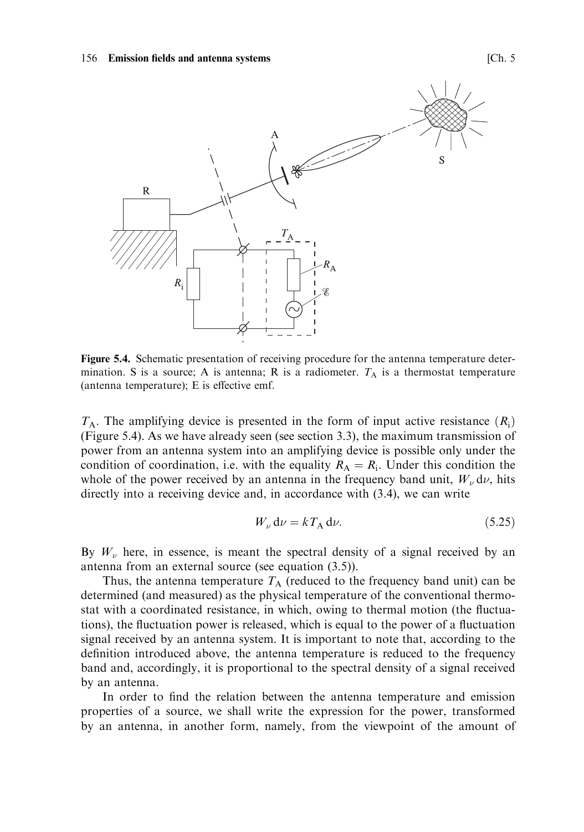### 156 Emission fields and antenna systems



Figure 5.4. Schematic presentation of receiving procedure for the antenna temperature determination. S is a source; A is antenna; R is a radiometer.  $T_A$  is a thermostat temperature (antenna temperature); E is effective emf.

 $T_A$ . The amplifying device is presented in the form of input active resistance  $(R_i)$ (Figure 5.4). As we have already seen (see section 3.3), the maximum transmission of power from an antenna system into an amplifying device is possible only under the condition of coordination, i.e. with the equality  $R_A = R_i$ . Under this condition the whole of the power received by an antenna in the frequency band unit,  $W_{\nu}$  d $\nu$ , hits directly into a receiving device and, in accordance with  $(3.4)$ , we can write

$$
W_{\nu} d\nu = kT_{\rm A} d\nu. \tag{5.25}
$$

By  $W_{\nu}$  here, in essence, is meant the spectral density of a signal received by an antenna from an external source (see equation  $(3.5)$ ).

Thus, the antenna temperature  $T_A$  (reduced to the frequency band unit) can be determined (and measured) as the physical temperature of the conventional thermostat with a coordinated resistance, in which, owing to thermal motion (the fluctuations), the fluctuation power is released, which is equal to the power of a fluctuation signal received by an antenna system. It is important to note that, according to the definition introduced above, the antenna temperature is reduced to the frequency band and, accordingly, it is proportional to the spectral density of a signal received by an antenna.

In order to find the relation between the antenna temperature and emission properties of a source, we shall write the expression for the power, transformed by an antenna, in another form, namely, from the viewpoint of the amount of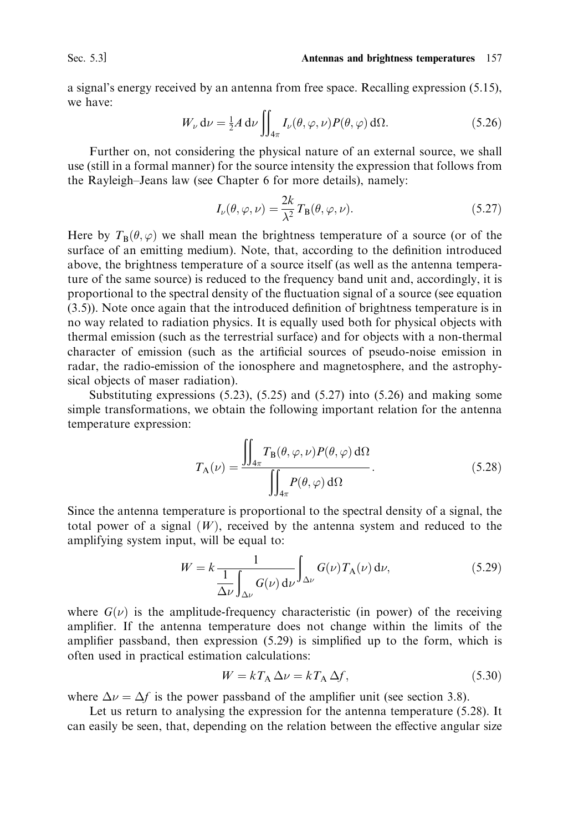Sec. 5.3]

a signal's energy received by an antenna from free space. Recalling expression  $(5.15)$ , we have

$$
W_{\nu} d\nu = \frac{1}{2} A d\nu \iint_{4\pi} I_{\nu}(\theta, \varphi, \nu) P(\theta, \varphi) d\Omega.
$$
 (5.26)

Further on, not considering the physical nature of an external source, we shall use (still in a formal manner) for the source intensity the expression that follows from the Rayleigh-Jeans law (see Chapter 6 for more details), namely:

$$
I_{\nu}(\theta, \varphi, \nu) = \frac{2k}{\lambda^2} T_{\mathcal{B}}(\theta, \varphi, \nu).
$$
 (5.27)

Here by  $T_{\rm B}(\theta, \varphi)$  we shall mean the brightness temperature of a source (or of the surface of an emitting medium). Note, that, according to the definition introduced above, the brightness temperature of a source itself (as well as the antenna temperature of the same source) is reduced to the frequency band unit and, accordingly, it is proportional to the spectral density of the fluctuation signal of a source (see equation  $(3.5)$ ). Note once again that the introduced definition of brightness temperature is in no way related to radiation physics. It is equally used both for physical objects with thermal emission (such as the terrestrial surface) and for objects with a non-thermal character of emission (such as the artificial sources of pseudo-noise emission in radar, the radio-emission of the ionosphere and magnetosphere, and the astrophysical objects of maser radiation).

Substituting expressions  $(5.23)$ ,  $(5.25)$  and  $(5.27)$  into  $(5.26)$  and making some simple transformations, we obtain the following important relation for the antenna temperature expression:

$$
T_{\mathcal{A}}(\nu) = \frac{\iint_{4\pi} T_{\mathcal{B}}(\theta, \varphi, \nu) P(\theta, \varphi) \, d\Omega}{\iint_{4\pi} P(\theta, \varphi) \, d\Omega}.
$$
 (5.28)

Since the antenna temperature is proportional to the spectral density of a signal, the total power of a signal  $(W)$ , received by the antenna system and reduced to the amplifying system input, will be equal to:

$$
W = k \frac{1}{\Delta \nu} \int_{\Delta \nu} G(\nu) d\nu \int_{\Delta \nu} G(\nu) T_{A}(\nu) d\nu,
$$
\n(5.29)

where  $G(\nu)$  is the amplitude-frequency characteristic (in power) of the receiving amplifier. If the antenna temperature does not change within the limits of the amplifier passband, then expression  $(5.29)$  is simplified up to the form, which is often used in practical estimation calculations:

$$
W = kT_A \Delta \nu = kT_A \Delta f,\tag{5.30}
$$

where  $\Delta \nu = \Delta f$  is the power passband of the amplifier unit (see section 3.8).

Let us return to analysing the expression for the antenna temperature  $(5.28)$ . It can easily be seen, that, depending on the relation between the effective angular size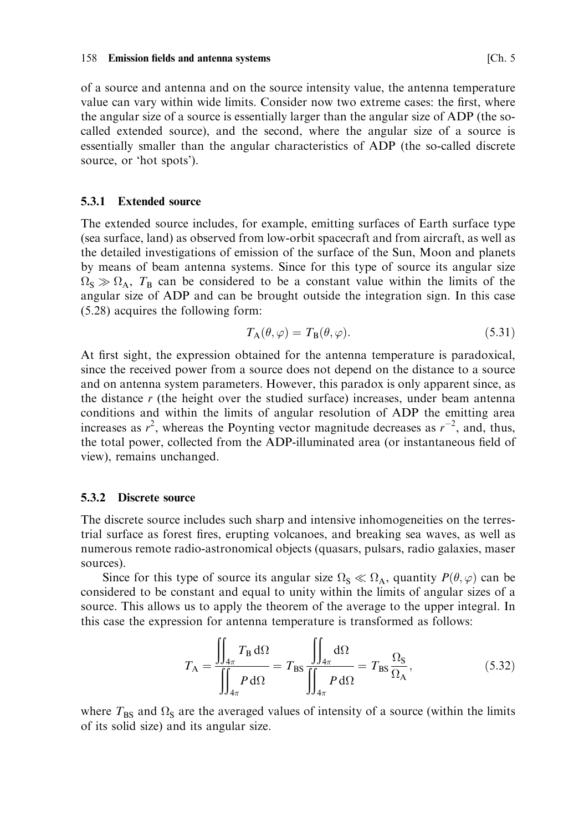of a source and antenna and on the source intensity value, the antenna temperature value can vary within wide limits. Consider now two extreme cases: the first, where the angular size of a source is essentially larger than the angular size of ADP (the socalled extended source), and the second, where the angular size of a source is essentially smaller than the angular characteristics of ADP (the so-called discrete source, or 'hot spots').

#### 531 **Extended source**

The extended source includes, for example, emitting surfaces of Earth surface type (sea surface, land) as observed from low-orbit spacecraft and from aircraft, as well as the detailed investigations of emission of the surface of the Sun, Moon and planets by means of beam antenna systems. Since for this type of source its angular size  $\Omega$ <sub>S</sub>  $\gg \Omega$ <sub>A</sub>,  $T_B$  can be considered to be a constant value within the limits of the angular size of ADP and can be brought outside the integration sign. In this case  $(5.28)$  acquires the following form:

$$
T_{\mathbf{A}}(\theta,\varphi) = T_{\mathbf{B}}(\theta,\varphi). \tag{5.31}
$$

At first sight, the expression obtained for the antenna temperature is paradoxical, since the received power from a source does not depend on the distance to a source and on antenna system parameters. However, this paradox is only apparent since, as the distance  $r$  (the height over the studied surface) increases, under beam antenna conditions and within the limits of angular resolution of ADP the emitting area increases as  $r^2$ , whereas the Poynting vector magnitude decreases as  $r^{-2}$ , and, thus, the total power, collected from the ADP-illuminated area (or instantaneous field of view), remains unchanged.

## 5.3.2 Discrete source

The discrete source includes such sharp and intensive inhomogeneities on the terrestrial surface as forest fires, erupting volcanoes, and breaking sea waves, as well as numerous remote radio-astronomical objects (quasars, pulsars, radio galaxies, maser sources).

Since for this type of source its angular size  $\Omega_s \ll \Omega_A$ , quantity  $P(\theta, \varphi)$  can be considered to be constant and equal to unity within the limits of angular sizes of a source. This allows us to apply the theorem of the average to the upper integral. In this case the expression for antenna temperature is transformed as follows:

$$
T_{\rm A} = \frac{\iint_{4\pi} T_{\rm B} \, d\Omega}{\iint_{4\pi} P \, d\Omega} = T_{\rm BS} \frac{\iint_{4\pi} d\Omega}{\iint_{4\pi} P \, d\Omega} = T_{\rm BS} \frac{\Omega_{\rm S}}{\Omega_{\rm A}},\tag{5.32}
$$

where  $T_{BS}$  and  $\Omega_S$  are the averaged values of intensity of a source (within the limits of its solid size) and its angular size.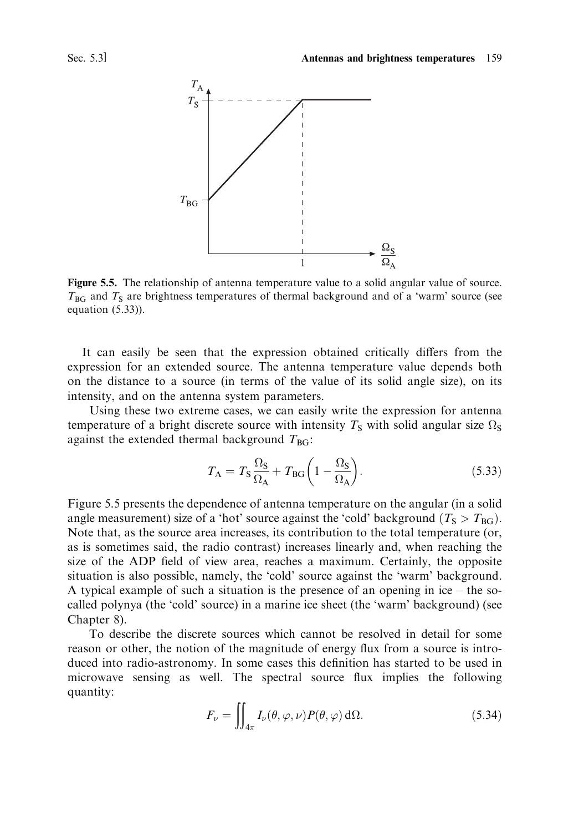

Figure 5.5. The relationship of antenna temperature value to a solid angular value of source.  $T_{BG}$  and  $T_S$  are brightness temperatures of thermal background and of a 'warm' source (see equation  $(5.33)$ ).

It can easily be seen that the expression obtained critically differs from the expression for an extended source. The antenna temperature value depends both on the distance to a source (in terms of the value of its solid angle size), on its intensity, and on the antenna system parameters.

Using these two extreme cases, we can easily write the expression for antenna temperature of a bright discrete source with intensity  $T_s$  with solid angular size  $\Omega_s$ against the extended thermal background  $T_{BG}$ :

$$
T_{\rm A} = T_{\rm S} \frac{\Omega_{\rm S}}{\Omega_{\rm A}} + T_{\rm BG} \left( 1 - \frac{\Omega_{\rm S}}{\Omega_{\rm A}} \right). \tag{5.33}
$$

Figure 5.5 presents the dependence of antenna temperature on the angular (in a solid angle measurement) size of a 'hot' source against the 'cold' background ( $T_s > T_{BG}$ ). Note that, as the source area increases, its contribution to the total temperature (or, as is sometimes said, the radio contrast) increases linearly and, when reaching the size of the ADP field of view area, reaches a maximum. Certainly, the opposite situation is also possible, namely, the 'cold' source against the 'warm' background. A typical example of such a situation is the presence of an opening in ice – the socalled polynya (the 'cold' source) in a marine ice sheet (the 'warm' background) (see Chapter 8).

To describe the discrete sources which cannot be resolved in detail for some reason or other, the notion of the magnitude of energy flux from a source is introduced into radio-astronomy. In some cases this definition has started to be used in microwave sensing as well. The spectral source flux implies the following quantity:

$$
F_{\nu} = \iint_{4\pi} I_{\nu}(\theta, \varphi, \nu) P(\theta, \varphi) \, d\Omega.
$$
 (5.34)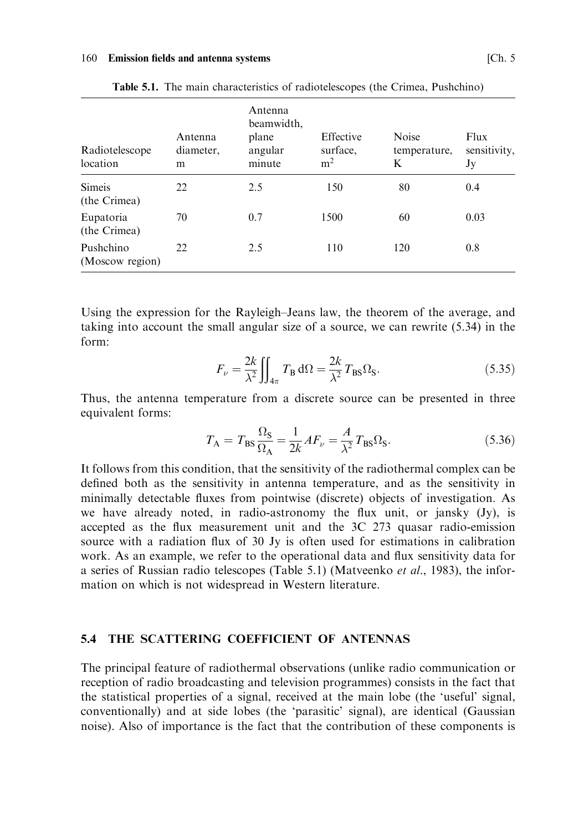| Radiotelescope<br>location    | Antenna<br>diameter,<br>m | Antenna<br>beamwidth,<br>plane<br>angular<br>minute | Effective<br>surface.<br>m <sup>2</sup> | <b>Noise</b><br>temperature,<br>K | Flux<br>sensitivity,<br>Jy |
|-------------------------------|---------------------------|-----------------------------------------------------|-----------------------------------------|-----------------------------------|----------------------------|
| <b>Simeis</b><br>(the Crimea) | 22                        | 2.5                                                 | 150                                     | 80                                | 0.4                        |
| Eupatoria<br>(the Crimea)     | 70                        | 0.7                                                 | 1500                                    | 60                                | 0.03                       |
| Pushchino<br>(Moscow region)  | 22                        | 2.5                                                 | 110                                     | 120                               | 0.8                        |

Table 5.1. The main characteristics of radiotelescopes (the Crimea, Pushchino)

Using the expression for the Rayleigh-Jeans law, the theorem of the average, and taking into account the small angular size of a source, we can rewrite (5.34) in the  $form<sup>1</sup>$ 

$$
F_{\nu} = \frac{2k}{\lambda^2} \iint_{4\pi} T_{\rm B} \, d\Omega = \frac{2k}{\lambda^2} T_{\rm BS} \Omega_{\rm S}.
$$
 (5.35)

Thus, the antenna temperature from a discrete source can be presented in three equivalent forms:

$$
T_{\rm A} = T_{\rm BS} \frac{\Omega_{\rm S}}{\Omega_{\rm A}} = \frac{1}{2k} A F_{\nu} = \frac{A}{\lambda^2} T_{\rm BS} \Omega_{\rm S}.
$$
 (5.36)

It follows from this condition, that the sensitivity of the radiothermal complex can be defined both as the sensitivity in antenna temperature, and as the sensitivity in minimally detectable fluxes from pointwise (discrete) objects of investigation. As we have already noted, in radio-astronomy the flux unit, or jansky (Jy), is accepted as the flux measurement unit and the 3C 273 quasar radio-emission source with a radiation flux of 30 Jy is often used for estimations in calibration work. As an example, we refer to the operational data and flux sensitivity data for a series of Russian radio telescopes (Table 5.1) (Matveenko *et al.*, 1983), the information on which is not widespread in Western literature.

## 5.4 THE SCATTERING COEFFICIENT OF ANTENNAS

The principal feature of radiothermal observations (unlike radio communication or reception of radio broadcasting and television programmes) consists in the fact that the statistical properties of a signal, received at the main lobe (the 'useful' signal, conventionally) and at side lobes (the 'parasitic' signal), are identical (Gaussian noise). Also of importance is the fact that the contribution of these components is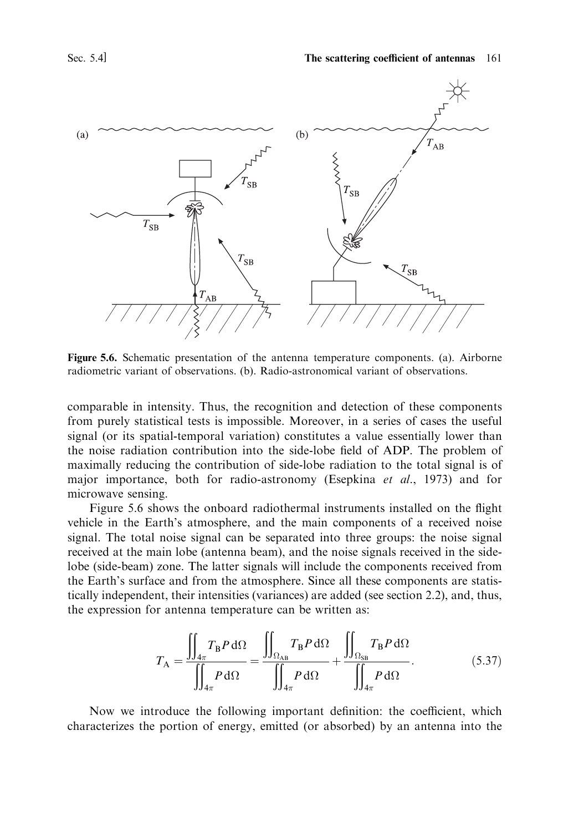

Figure 5.6. Schematic presentation of the antenna temperature components. (a). Airborne radiometric variant of observations. (b). Radio-astronomical variant of observations.

comparable in intensity. Thus, the recognition and detection of these components from purely statistical tests is impossible. Moreover, in a series of cases the useful signal (or its spatial-temporal variation) constitutes a value essentially lower than the noise radiation contribution into the side-lobe field of ADP. The problem of maximally reducing the contribution of side-lobe radiation to the total signal is of major importance, both for radio-astronomy (Esepkina et al., 1973) and for microwave sensing.

Figure 5.6 shows the onboard radiothermal instruments installed on the flight vehicle in the Earth's atmosphere, and the main components of a received noise signal. The total noise signal can be separated into three groups: the noise signal received at the main lobe (antenna beam), and the noise signals received in the sidelobe (side-beam) zone. The latter signals will include the components received from the Earth's surface and from the atmosphere. Since all these components are statistically independent, their intensities (variances) are added (see section 2.2), and, thus, the expression for antenna temperature can be written as:

$$
T_{\rm A} = \frac{\iint_{4\pi} T_{\rm B} P \, d\Omega}{\iint_{4\pi} P \, d\Omega} = \frac{\iint_{\Omega_{\rm AB}} T_{\rm B} P \, d\Omega}{\iint_{4\pi} P \, d\Omega} + \frac{\iint_{\Omega_{\rm SB}} T_{\rm B} P \, d\Omega}{\iint_{4\pi} P \, d\Omega}.
$$
\n(5.37)

Now we introduce the following important definition: the coefficient, which characterizes the portion of energy, emitted (or absorbed) by an antenna into the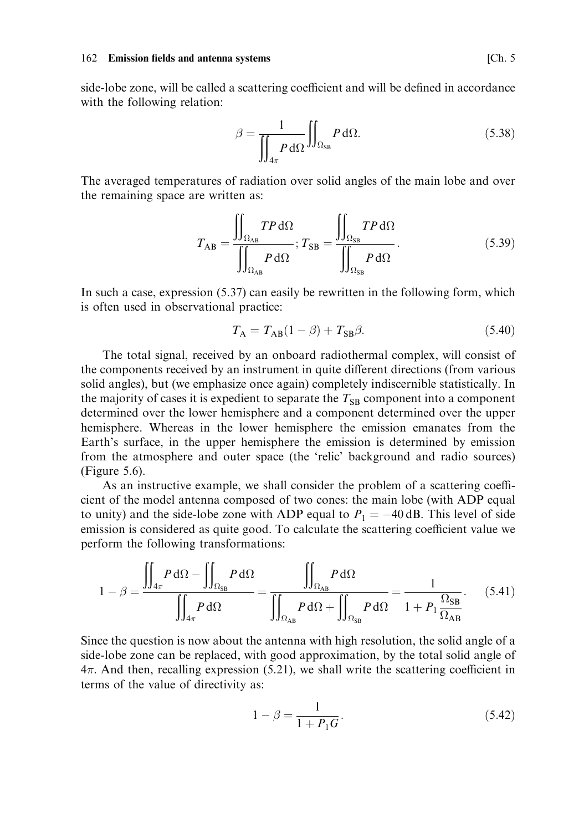## 162 Emission fields and antenna systems

side-lobe zone, will be called a scattering coefficient and will be defined in accordance with the following relation:

$$
\beta = \frac{1}{\iint_{4\pi} P \, d\Omega} \iint_{\Omega_{SB}} P \, d\Omega. \tag{5.38}
$$

The averaged temperatures of radiation over solid angles of the main lobe and over the remaining space are written as:

$$
T_{AB} = \frac{\iint_{\Omega_{AB}} TP \, d\Omega}{\iint_{\Omega_{AB}} P \, d\Omega}; T_{SB} = \frac{\iint_{\Omega_{SB}} TP \, d\Omega}{\iint_{\Omega_{SB}} P \, d\Omega}.
$$
 (5.39)

In such a case, expression (5.37) can easily be rewritten in the following form, which is often used in observational practice:

$$
T_{\rm A} = T_{\rm AB} (1 - \beta) + T_{\rm SB} \beta. \tag{5.40}
$$

The total signal, received by an onboard radiothermal complex, will consist of the components received by an instrument in quite different directions (from various solid angles), but (we emphasize once again) completely indiscernible statistically. In the majority of cases it is expedient to separate the  $T_{SB}$  component into a component determined over the lower hemisphere and a component determined over the upper hemisphere. Whereas in the lower hemisphere the emission emanates from the Earth's surface, in the upper hemisphere the emission is determined by emission from the atmosphere and outer space (the 'relic' background and radio sources) (Figure  $5.6$ ).

As an instructive example, we shall consider the problem of a scattering coefficient of the model antenna composed of two cones: the main lobe (with ADP equal to unity) and the side-lobe zone with ADP equal to  $P_1 = -40$  dB. This level of side emission is considered as quite good. To calculate the scattering coefficient value we perform the following transformations:

$$
1 - \beta = \frac{\iint_{4\pi} P \, d\Omega - \iint_{\Omega_{SB}} P \, d\Omega}{\iint_{4\pi} P \, d\Omega} = \frac{\iint_{\Omega_{AB}} P \, d\Omega}{\iint_{\Omega_{AB}} P \, d\Omega + \iint_{\Omega_{SB}} P \, d\Omega} = \frac{1}{1 + P_1 \frac{\Omega_{SB}}{\Omega_{AB}}}.
$$
(5.41)

Since the question is now about the antenna with high resolution, the solid angle of a side-lobe zone can be replaced, with good approximation, by the total solid angle of  $4\pi$ . And then, recalling expression (5.21), we shall write the scattering coefficient in terms of the value of directivity as:

$$
1 - \beta = \frac{1}{1 + P_1 G}.\tag{5.42}
$$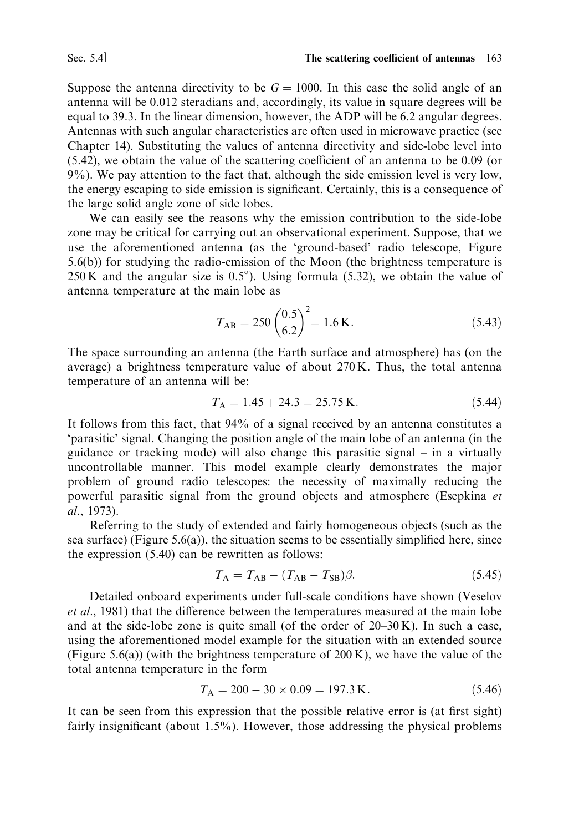Suppose the antenna directivity to be  $G = 1000$ . In this case the solid angle of an antenna will be 0.012 steradians and, accordingly, its value in square degrees will be equal to 39.3. In the linear dimension, however, the ADP will be 6.2 angular degrees. Antennas with such angular characteristics are often used in microwave practice (see Chapter 14). Substituting the values of antenna directivity and side-lobe level into  $(5.42)$ , we obtain the value of the scattering coefficient of an antenna to be 0.09 (or 9%). We pay attention to the fact that, although the side emission level is very low, the energy escaping to side emission is significant. Certainly, this is a consequence of the large solid angle zone of side lobes.

We can easily see the reasons why the emission contribution to the side-lobe zone may be critical for carrying out an observational experiment. Suppose, that we use the aforementioned antenna (as the 'ground-based' radio telescope, Figure  $(5.6(b))$  for studying the radio-emission of the Moon (the brightness temperature is 250 K and the angular size is  $0.5^{\circ}$ ). Using formula (5.32), we obtain the value of antenna temperature at the main lobe as

$$
T_{\rm AB} = 250 \left( \frac{0.5}{6.2} \right)^2 = 1.6 \,\text{K}.\tag{5.43}
$$

The space surrounding an antenna (the Earth surface and atmosphere) has (on the average) a brightness temperature value of about 270 K. Thus, the total antenna temperature of an antenna will be:

$$
T_A = 1.45 + 24.3 = 25.75 \text{ K.}
$$
\n
$$
(5.44)
$$

It follows from this fact, that 94% of a signal received by an antenna constitutes a 'parasitic' signal. Changing the position angle of the main lobe of an antenna (in the guidance or tracking mode) will also change this parasitic signal – in a virtually uncontrollable manner. This model example clearly demonstrates the major problem of ground radio telescopes: the necessity of maximally reducing the powerful parasitic signal from the ground objects and atmosphere (Esepkina et al., 1973).

Referring to the study of extended and fairly homogeneous objects (such as the sea surface) (Figure 5.6(a)), the situation seems to be essentially simplified here, since the expression  $(5.40)$  can be rewritten as follows:

$$
T_{\rm A} = T_{\rm AB} - (T_{\rm AB} - T_{\rm SB})\beta. \tag{5.45}
$$

Detailed onboard experiments under full-scale conditions have shown (Veselov et al., 1981) that the difference between the temperatures measured at the main lobe and at the side-lobe zone is quite small (of the order of  $20-30$  K). In such a case, using the aforementioned model example for the situation with an extended source (Figure 5.6(a)) (with the brightness temperature of  $200 K$ ), we have the value of the total antenna temperature in the form

$$
T_A = 200 - 30 \times 0.09 = 197.3 \text{ K.}
$$
\n
$$
(5.46)
$$

It can be seen from this expression that the possible relative error is (at first sight) fairly insignificant (about  $1.5\%$ ). However, those addressing the physical problems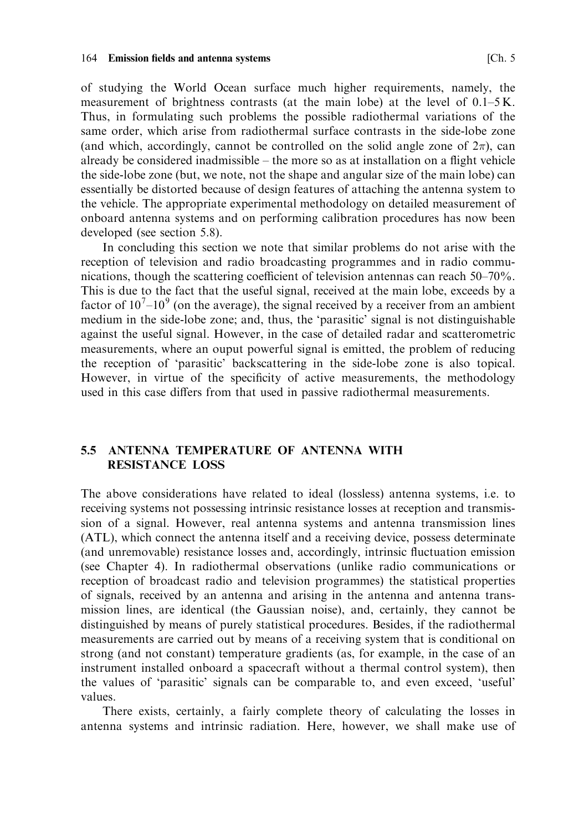of studying the World Ocean surface much higher requirements, namely, the measurement of brightness contrasts (at the main lobe) at the level of  $0.1-5$ K. Thus, in formulating such problems the possible radiothermal variations of the same order, which arise from radiothermal surface contrasts in the side-lobe zone (and which, accordingly, cannot be controlled on the solid angle zone of  $2\pi$ ), can already be considered inadmissible – the more so as at installation on a flight vehicle the side-lobe zone (but, we note, not the shape and angular size of the main lobe) can essentially be distorted because of design features of attaching the antenna system to the vehicle. The appropriate experimental methodology on detailed measurement of onboard antenna systems and on performing calibration procedures has now been developed (see section 5.8).

In concluding this section we note that similar problems do not arise with the reception of television and radio broadcasting programmes and in radio communications, though the scattering coefficient of television antennas can reach  $50-70\%$ . This is due to the fact that the useful signal, received at the main lobe, exceeds by a factor of  $10^7 - 10^9$  (on the average), the signal received by a receiver from an ambient medium in the side-lobe zone; and, thus, the 'parasitic' signal is not distinguishable against the useful signal. However, in the case of detailed radar and scatterometric measurements, where an ouput powerful signal is emitted, the problem of reducing the reception of 'parasitic' backscattering in the side-lobe zone is also topical. However, in virtue of the specificity of active measurements, the methodology used in this case differs from that used in passive radiothermal measurements.

### ANTENNA TEMPERATURE OF ANTENNA WITH  $5.5$ **RESISTANCE LOSS**

The above considerations have related to ideal (lossless) antenna systems, i.e. to receiving systems not possessing intrinsic resistance losses at reception and transmission of a signal. However, real antenna systems and antenna transmission lines (ATL), which connect the antenna itself and a receiving device, possess determinate (and unremovable) resistance losses and, accordingly, intrinsic fluctuation emission (see Chapter 4). In radiothermal observations (unlike radio communications or reception of broadcast radio and television programmes) the statistical properties of signals, received by an antenna and arising in the antenna and antenna transmission lines, are identical (the Gaussian noise), and, certainly, they cannot be distinguished by means of purely statistical procedures. Besides, if the radiothermal measurements are carried out by means of a receiving system that is conditional on strong (and not constant) temperature gradients (as, for example, in the case of an instrument installed onboard a spacecraft without a thermal control system), then the values of 'parasitic' signals can be comparable to, and even exceed, 'useful' values.

There exists, certainly, a fairly complete theory of calculating the losses in antenna systems and intrinsic radiation. Here, however, we shall make use of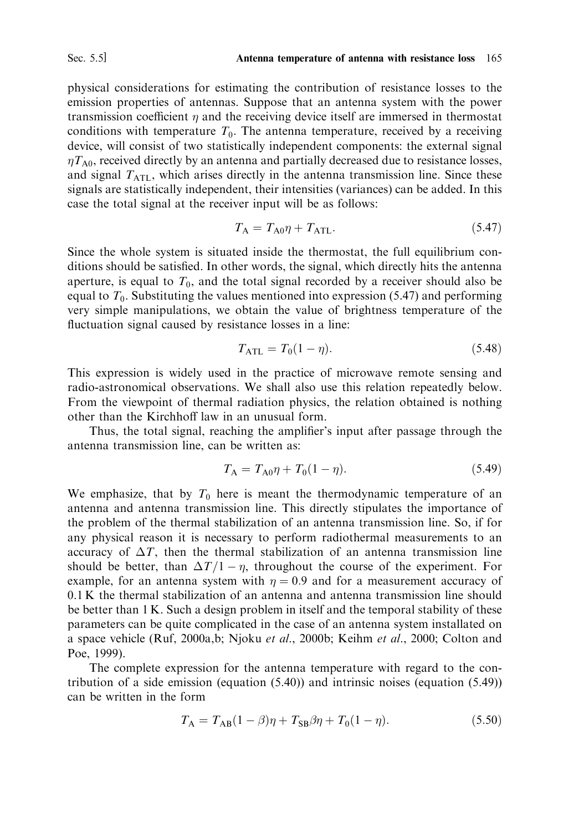physical considerations for estimating the contribution of resistance losses to the emission properties of antennas. Suppose that an antenna system with the power transmission coefficient  $\eta$  and the receiving device itself are immersed in thermostat conditions with temperature  $T_0$ . The antenna temperature, received by a receiving device, will consist of two statistically independent components: the external signal  $\eta T_{A0}$ , received directly by an antenna and partially decreased due to resistance losses, and signal  $T<sub>ATL</sub>$ , which arises directly in the antenna transmission line. Since these signals are statistically independent, their intensities (variances) can be added. In this case the total signal at the receiver input will be as follows:

$$
T_{\rm A} = T_{\rm A0}\eta + T_{\rm ATL}.\tag{5.47}
$$

Since the whole system is situated inside the thermostat, the full equilibrium conditions should be satisfied. In other words, the signal, which directly hits the antenna aperture, is equal to  $T_0$ , and the total signal recorded by a receiver should also be equal to  $T_0$ . Substituting the values mentioned into expression (5.47) and performing very simple manipulations, we obtain the value of brightness temperature of the fluctuation signal caused by resistance losses in a line:

$$
T_{\text{ATL}} = T_0 (1 - \eta). \tag{5.48}
$$

This expression is widely used in the practice of microwave remote sensing and radio-astronomical observations. We shall also use this relation repeatedly below. From the viewpoint of thermal radiation physics, the relation obtained is nothing other than the Kirchhoff law in an unusual form.

Thus, the total signal, reaching the amplifier's input after passage through the antenna transmission line, can be written as:

$$
T_{\rm A} = T_{\rm A0}\eta + T_0(1 - \eta). \tag{5.49}
$$

We emphasize, that by  $T_0$  here is meant the thermodynamic temperature of an antenna and antenna transmission line. This directly stipulates the importance of the problem of the thermal stabilization of an antenna transmission line. So, if for any physical reason it is necessary to perform radiothermal measurements to an accuracy of  $\Delta T$ , then the thermal stabilization of an antenna transmission line should be better, than  $\Delta T/1 - \eta$ , throughout the course of the experiment. For example, for an antenna system with  $\eta = 0.9$  and for a measurement accuracy of 0.1 K the thermal stabilization of an antenna and antenna transmission line should be better than 1 K. Such a design problem in itself and the temporal stability of these parameters can be quite complicated in the case of an antenna system installated on a space vehicle (Ruf, 2000a,b; Njoku et al., 2000b; Keihm et al., 2000; Colton and Poe, 1999).

The complete expression for the antenna temperature with regard to the contribution of a side emission (equation  $(5.40)$ ) and intrinsic noises (equation  $(5.49)$ ) can be written in the form

$$
T_{\rm A} = T_{\rm AB} (1 - \beta) \eta + T_{\rm SB} \beta \eta + T_0 (1 - \eta). \tag{5.50}
$$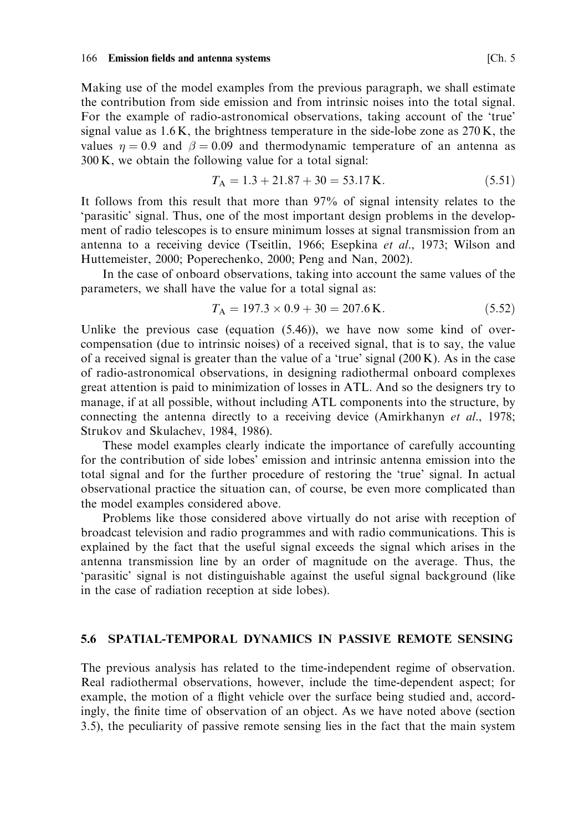Making use of the model examples from the previous paragraph, we shall estimate the contribution from side emission and from intrinsic noises into the total signal. For the example of radio-astronomical observations, taking account of the 'true' signal value as  $1.6$  K, the brightness temperature in the side-lobe zone as  $270$  K, the values  $\eta = 0.9$  and  $\beta = 0.09$  and thermodynamic temperature of an antenna as 300 K, we obtain the following value for a total signal:

$$
T_A = 1.3 + 21.87 + 30 = 53.17 \,\text{K}.\tag{5.51}
$$

It follows from this result that more than 97% of signal intensity relates to the 'parasitic' signal. Thus, one of the most important design problems in the development of radio telescopes is to ensure minimum losses at signal transmission from an antenna to a receiving device (Tseitlin, 1966; Esepkina et al., 1973; Wilson and Huttemeister, 2000; Poperechenko, 2000; Peng and Nan, 2002).

In the case of onboard observations, taking into account the same values of the parameters, we shall have the value for a total signal as:

$$
T_A = 197.3 \times 0.9 + 30 = 207.6 \,\text{K}.\tag{5.52}
$$

Unlike the previous case (equation  $(5.46)$ ), we have now some kind of overcompensation (due to intrinsic noises) of a received signal, that is to say, the value of a received signal is greater than the value of a 'true' signal  $(200 \text{ K})$ . As in the case of radio-astronomical observations, in designing radiothermal onboard complexes great attention is paid to minimization of losses in ATL. And so the designers try to manage, if at all possible, without including ATL components into the structure, by connecting the antenna directly to a receiving device (Amirkhanyn et al., 1978; Strukov and Skulachev, 1984, 1986).

These model examples clearly indicate the importance of carefully accounting for the contribution of side lobes' emission and intrinsic antenna emission into the total signal and for the further procedure of restoring the 'true' signal. In actual observational practice the situation can, of course, be even more complicated than the model examples considered above.

Problems like those considered above virtually do not arise with reception of broadcast television and radio programmes and with radio communications. This is explained by the fact that the useful signal exceeds the signal which arises in the antenna transmission line by an order of magnitude on the average. Thus, the 'parasitic' signal is not distinguishable against the useful signal background (like in the case of radiation reception at side lobes).

## 5.6 SPATIAL-TEMPORAL DYNAMICS IN PASSIVE REMOTE SENSING

The previous analysis has related to the time-independent regime of observation. Real radiothermal observations, however, include the time-dependent aspect; for example, the motion of a flight vehicle over the surface being studied and, accordingly, the finite time of observation of an object. As we have noted above (section 3.5), the peculiarity of passive remote sensing lies in the fact that the main system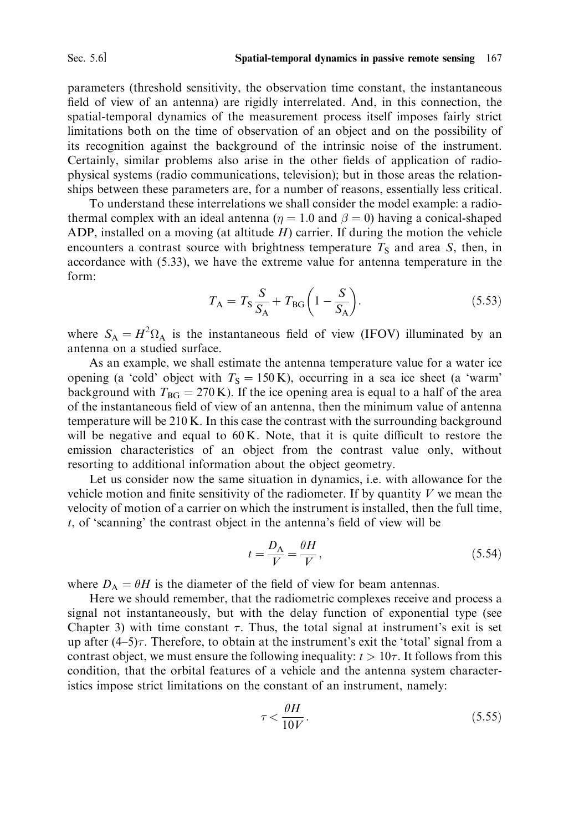parameters (threshold sensitivity, the observation time constant, the instantaneous field of view of an antenna) are rigidly interrelated. And, in this connection, the spatial-temporal dynamics of the measurement process itself imposes fairly strict limitations both on the time of observation of an object and on the possibility of its recognition against the background of the intrinsic noise of the instrument. Certainly, similar problems also arise in the other fields of application of radiophysical systems (radio communications, television); but in those areas the relationships between these parameters are, for a number of reasons, essentially less critical.

To understand these interrelations we shall consider the model example: a radiothermal complex with an ideal antenna ( $\eta = 1.0$  and  $\beta = 0$ ) having a conical-shaped ADP, installed on a moving (at altitude  $H$ ) carrier. If during the motion the vehicle encounters a contrast source with brightness temperature  $T<sub>S</sub>$  and area S, then, in accordance with  $(5.33)$ , we have the extreme value for antenna temperature in the form:

$$
T_{\rm A} = T_{\rm S} \frac{S}{S_{\rm A}} + T_{\rm BG} \left( 1 - \frac{S}{S_{\rm A}} \right). \tag{5.53}
$$

where  $S_A = H^2 \Omega_A$  is the instantaneous field of view (IFOV) illuminated by an antenna on a studied surface.

As an example, we shall estimate the antenna temperature value for a water ice opening (a 'cold' object with  $T_s = 150 \text{ K}$ ), occurring in a sea ice sheet (a 'warm' background with  $T_{BG} = 270$  K). If the ice opening area is equal to a half of the area of the instantaneous field of view of an antenna, then the minimum value of antenna temperature will be  $210 K$ . In this case the contrast with the surrounding background will be negative and equal to 60 K. Note, that it is quite difficult to restore the emission characteristics of an object from the contrast value only, without resorting to additional information about the object geometry.

Let us consider now the same situation in dynamics, i.e. with allowance for the vehicle motion and finite sensitivity of the radiometer. If by quantity  $V$  we mean the velocity of motion of a carrier on which the instrument is installed, then the full time,  $t$ , of 'scanning' the contrast object in the antenna's field of view will be

$$
t = \frac{D_{\rm A}}{V} = \frac{\theta H}{V},\tag{5.54}
$$

where  $D_A = \theta H$  is the diameter of the field of view for beam antennas.

Here we should remember, that the radiometric complexes receive and process a signal not instantaneously, but with the delay function of exponential type (see Chapter 3) with time constant  $\tau$ . Thus, the total signal at instrument's exit is set up after  $(4-5)\tau$ . Therefore, to obtain at the instrument's exit the 'total' signal from a contrast object, we must ensure the following inequality:  $t > 10\tau$ . It follows from this condition, that the orbital features of a vehicle and the antenna system characteristics impose strict limitations on the constant of an instrument, namely:

$$
\tau < \frac{\theta H}{10V}.\tag{5.55}
$$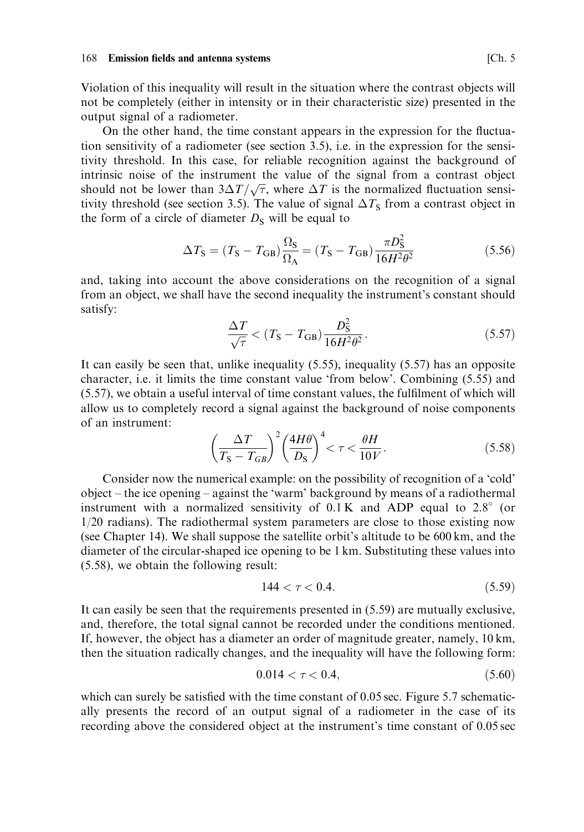Violation of this inequality will result in the situation where the contrast objects will not be completely (either in intensity or in their characteristic size) presented in the output signal of a radiometer.

On the other hand, the time constant appears in the expression for the fluctuation sensitivity of a radiometer (see section 3.5), i.e. in the expression for the sensitivity threshold. In this case, for reliable recognition against the background of intrinsic noise of the instrument the value of the signal from a contrast object should not be lower than  $3\Delta T/\sqrt{\tau}$ , where  $\Delta T$  is the normalized fluctuation sensitivity threshold (see section 3.5). The value of signal  $\Delta T_s$  from a contrast object in the form of a circle of diameter  $D<sub>S</sub>$  will be equal to

$$
\Delta T_{\rm S} = (T_{\rm S} - T_{\rm GB}) \frac{\Omega_{\rm S}}{\Omega_{\rm A}} = (T_{\rm S} - T_{\rm GB}) \frac{\pi D_{\rm S}^2}{16H^2 \theta^2}
$$
(5.56)

and, taking into account the above considerations on the recognition of a signal from an object, we shall have the second inequality the instrument's constant should satisfy:

$$
\frac{\Delta T}{\sqrt{\tau}} < (T_{\rm S} - T_{\rm GB}) \frac{D_{\rm S}^2}{16H^2 \theta^2}.\tag{5.57}
$$

It can easily be seen that, unlike inequality  $(5.55)$ , inequality  $(5.57)$  has an opposite character, i.e. it limits the time constant value 'from below'. Combining (5.55) and (5.57), we obtain a useful interval of time constant values, the fulfilment of which will allow us to completely record a signal against the background of noise components of an instrument:

$$
\left(\frac{\Delta T}{T_{\rm S} - T_{GB}}\right)^2 \left(\frac{4H\theta}{D_{\rm S}}\right)^4 < \tau < \frac{\theta H}{10V}.\tag{5.58}
$$

Consider now the numerical example: on the possibility of recognition of a 'cold' object - the ice opening - against the 'warm' background by means of a radiothermal instrument with a normalized sensitivity of  $0.1 \text{ K}$  and ADP equal to  $2.8^{\circ}$  (or  $1/20$  radians). The radiothermal system parameters are close to those existing now (see Chapter 14). We shall suppose the satellite orbit's altitude to be 600 km, and the diameter of the circular-shaped ice opening to be 1 km. Substituting these values into  $(5.58)$ , we obtain the following result:

$$
144 < \tau < 0.4. \tag{5.59}
$$

It can easily be seen that the requirements presented in  $(5.59)$  are mutually exclusive, and, therefore, the total signal cannot be recorded under the conditions mentioned. If, however, the object has a diameter an order of magnitude greater, namely, 10 km, then the situation radically changes, and the inequality will have the following form:

$$
0.014 < \tau < 0.4,\tag{5.60}
$$

which can surely be satisfied with the time constant of 0.05 sec. Figure 5.7 schematically presents the record of an output signal of a radiometer in the case of its recording above the considered object at the instrument's time constant of 0.05 sec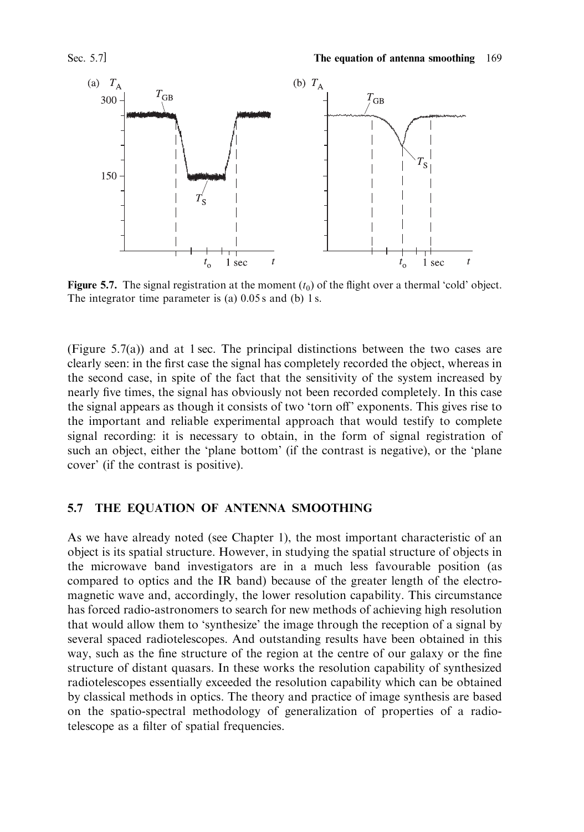

**Figure 5.7.** The signal registration at the moment  $(t_0)$  of the flight over a thermal 'cold' object. The integrator time parameter is (a)  $0.05 s$  and (b) 1 s.

(Figure 5.7(a)) and at 1 sec. The principal distinctions between the two cases are clearly seen: in the first case the signal has completely recorded the object, whereas in the second case, in spite of the fact that the sensitivity of the system increased by nearly five times, the signal has obviously not been recorded completely. In this case the signal appears as though it consists of two 'torn off' exponents. This gives rise to the important and reliable experimental approach that would testify to complete signal recording: it is necessary to obtain, in the form of signal registration of such an object, either the 'plane bottom' (if the contrast is negative), or the 'plane cover' (if the contrast is positive).

#### THE EQUATION OF ANTENNA SMOOTHING 5.7

As we have already noted (see Chapter 1), the most important characteristic of an object is its spatial structure. However, in studying the spatial structure of objects in the microwave band investigators are in a much less favourable position (as compared to optics and the IR band) because of the greater length of the electromagnetic wave and, accordingly, the lower resolution capability. This circumstance has forced radio-astronomers to search for new methods of achieving high resolution that would allow them to 'synthesize' the image through the reception of a signal by several spaced radiotelescopes. And outstanding results have been obtained in this way, such as the fine structure of the region at the centre of our galaxy or the fine structure of distant quasars. In these works the resolution capability of synthesized radiotelescopes essentially exceeded the resolution capability which can be obtained by classical methods in optics. The theory and practice of image synthesis are based on the spatio-spectral methodology of generalization of properties of a radiotelescope as a filter of spatial frequencies.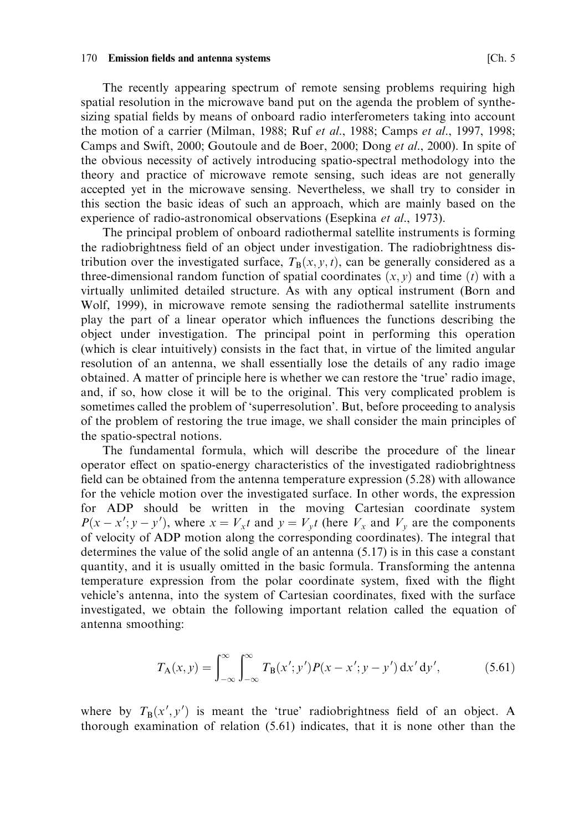## 170 Emission fields and antenna systems

The recently appearing spectrum of remote sensing problems requiring high spatial resolution in the microwave band put on the agenda the problem of synthesizing spatial fields by means of onboard radio interferometers taking into account the motion of a carrier (Milman, 1988; Ruf *et al.*, 1988; Camps *et al.*, 1997, 1998; Camps and Swift, 2000; Goutoule and de Boer, 2000; Dong et al., 2000). In spite of the obvious necessity of actively introducing spatio-spectral methodology into the theory and practice of microwave remote sensing, such ideas are not generally accepted yet in the microwave sensing. Nevertheless, we shall try to consider in this section the basic ideas of such an approach, which are mainly based on the experience of radio-astronomical observations (Esepkina et al., 1973).

The principal problem of onboard radiothermal satellite instruments is forming the radiobrightness field of an object under investigation. The radiobrightness distribution over the investigated surface,  $T_B(x, y, t)$ , can be generally considered as a three-dimensional random function of spatial coordinates  $(x, y)$  and time (t) with a virtually unlimited detailed structure. As with any optical instrument (Born and Wolf, 1999), in microwave remote sensing the radiothermal satellite instruments play the part of a linear operator which influences the functions describing the object under investigation. The principal point in performing this operation (which is clear intuitively) consists in the fact that, in virtue of the limited angular resolution of an antenna, we shall essentially lose the details of any radio image obtained. A matter of principle here is whether we can restore the 'true' radio image, and, if so, how close it will be to the original. This very complicated problem is sometimes called the problem of 'superresolution'. But, before proceeding to analysis of the problem of restoring the true image, we shall consider the main principles of the spatio-spectral notions.

The fundamental formula, which will describe the procedure of the linear operator effect on spatio-energy characteristics of the investigated radiobrightness field can be obtained from the antenna temperature expression (5.28) with allowance for the vehicle motion over the investigated surface. In other words, the expression for ADP should be written in the moving Cartesian coordinate system  $P(x - x'; y - y')$ , where  $x = V_x t$  and  $y = V_y t$  (here  $V_x$  and  $V_y$  are the components of velocity of ADP motion along the corresponding coordinates). The integral that determines the value of the solid angle of an antenna  $(5.17)$  is in this case a constant quantity, and it is usually omitted in the basic formula. Transforming the antenna temperature expression from the polar coordinate system, fixed with the flight vehicle's antenna, into the system of Cartesian coordinates, fixed with the surface investigated, we obtain the following important relation called the equation of antenna smoothing:

$$
T_{\mathbf{A}}(x, y) = \int_{-\infty}^{\infty} \int_{-\infty}^{\infty} T_{\mathbf{B}}(x'; y') P(x - x'; y - y') dx' dy', \qquad (5.61)
$$

where by  $T_B(x', y')$  is meant the 'true' radiobrightness field of an object. A thorough examination of relation (5.61) indicates, that it is none other than the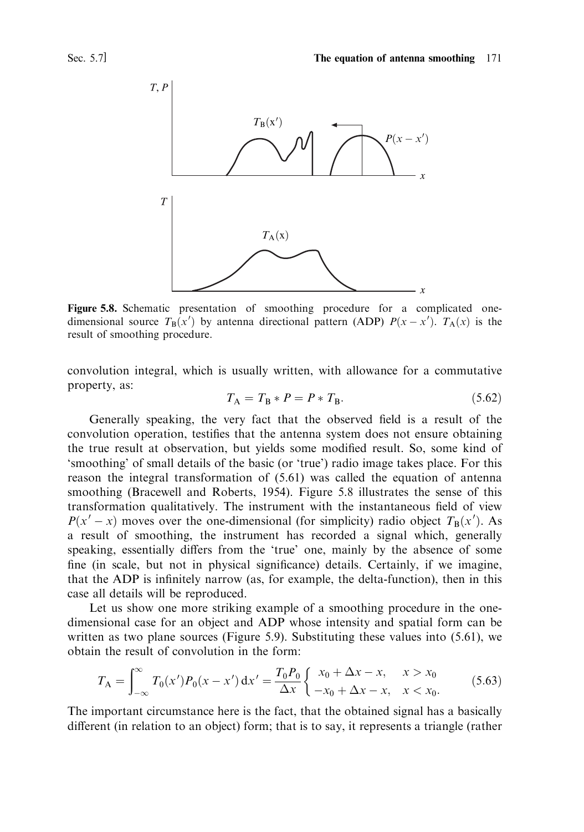



Figure 5.8. Schematic presentation of smoothing procedure for a complicated onedimensional source  $T_R(x')$  by antenna directional pattern (ADP)  $P(x-x')$ .  $T_A(x)$  is the result of smoothing procedure.

convolution integral, which is usually written, with allowance for a commutative property, as:

$$
T_{\rm A} = T_{\rm B} * P = P * T_{\rm B}.
$$
\n(5.62)

Generally speaking, the very fact that the observed field is a result of the convolution operation, testifies that the antenna system does not ensure obtaining the true result at observation, but yields some modified result. So, some kind of 'smoothing' of small details of the basic (or 'true') radio image takes place. For this reason the integral transformation of (5.61) was called the equation of antenna smoothing (Bracewell and Roberts, 1954). Figure 5.8 illustrates the sense of this transformation qualitatively. The instrument with the instantaneous field of view  $P(x'-x)$  moves over the one-dimensional (for simplicity) radio object  $T_B(x')$ . As a result of smoothing, the instrument has recorded a signal which, generally speaking, essentially differs from the 'true' one, mainly by the absence of some fine (in scale, but not in physical significance) details. Certainly, if we imagine, that the ADP is infinitely narrow (as, for example, the delta-function), then in this case all details will be reproduced.

Let us show one more striking example of a smoothing procedure in the onedimensional case for an object and ADP whose intensity and spatial form can be written as two plane sources (Figure 5.9). Substituting these values into  $(5.61)$ , we obtain the result of convolution in the form:

$$
T_{\rm A} = \int_{-\infty}^{\infty} T_0(x') P_0(x - x') \, \mathrm{d}x' = \frac{T_0 P_0}{\Delta x} \begin{cases} x_0 + \Delta x - x, & x > x_0 \\ -x_0 + \Delta x - x, & x < x_0. \end{cases} \tag{5.63}
$$

The important circumstance here is the fact, that the obtained signal has a basically different (in relation to an object) form; that is to say, it represents a triangle (rather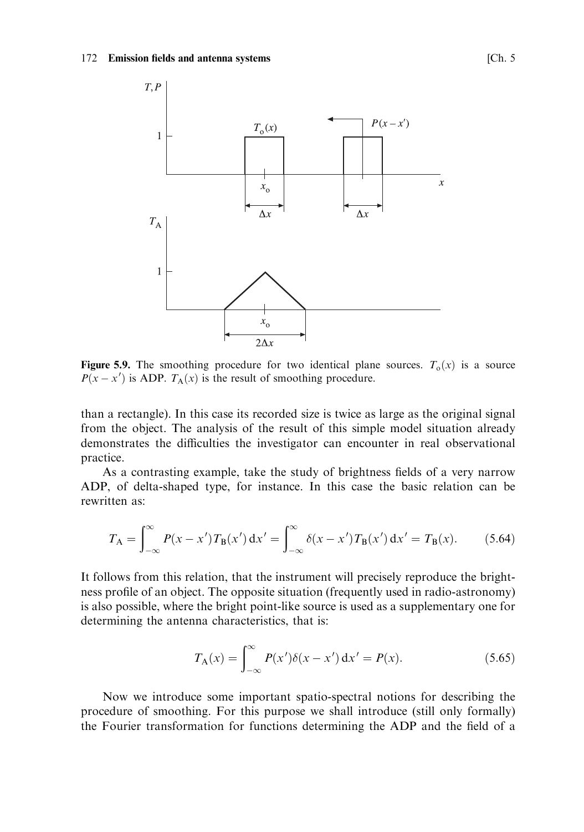### 172 Emission fields and antenna systems



**Figure 5.9.** The smoothing procedure for two identical plane sources.  $T_0(x)$  is a source  $P(x - x')$  is ADP.  $T_A(x)$  is the result of smoothing procedure.

than a rectangle). In this case its recorded size is twice as large as the original signal from the object. The analysis of the result of this simple model situation already demonstrates the difficulties the investigator can encounter in real observational practice.

As a contrasting example, take the study of brightness fields of a very narrow ADP, of delta-shaped type, for instance. In this case the basic relation can be rewritten as:

$$
T_{A} = \int_{-\infty}^{\infty} P(x - x') T_{B}(x') dx' = \int_{-\infty}^{\infty} \delta(x - x') T_{B}(x') dx' = T_{B}(x).
$$
 (5.64)

It follows from this relation, that the instrument will precisely reproduce the brightness profile of an object. The opposite situation (frequently used in radio-astronomy) is also possible, where the bright point-like source is used as a supplementary one for determining the antenna characteristics, that is:

$$
T_{A}(x) = \int_{-\infty}^{\infty} P(x')\delta(x - x') dx' = P(x).
$$
 (5.65)

Now we introduce some important spatio-spectral notions for describing the procedure of smoothing. For this purpose we shall introduce (still only formally) the Fourier transformation for functions determining the ADP and the field of a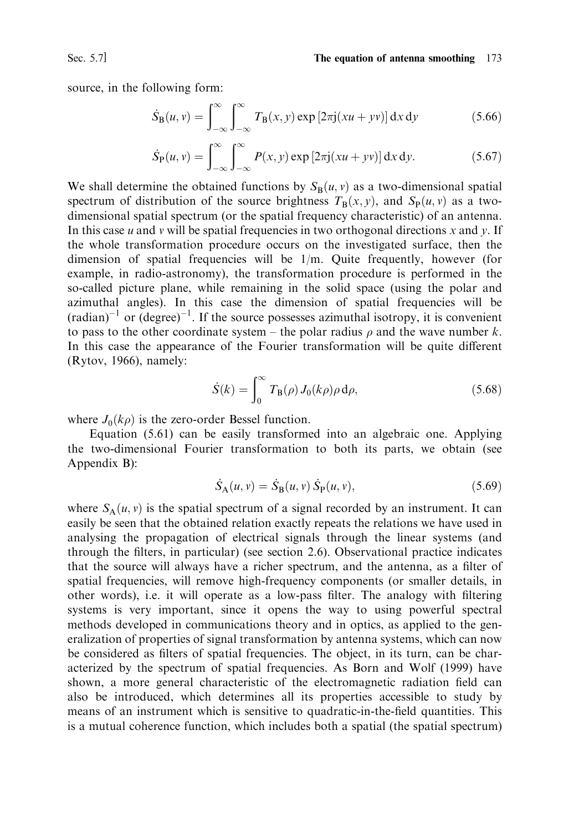Sec. 5.7]

source, in the following form:

$$
\dot{S}_{\mathbf{B}}(u,v) = \int_{-\infty}^{\infty} \int_{-\infty}^{\infty} T_{\mathbf{B}}(x,y) \exp\left[2\pi j(xu + yv)\right] dx dy \tag{5.66}
$$

$$
\dot{S}_{\mathcal{P}}(u,v) = \int_{-\infty}^{\infty} \int_{-\infty}^{\infty} P(x,y) \exp\left[2\pi j(xu + yv)\right] dx dy.
$$
 (5.67)

We shall determine the obtained functions by  $S_R(u, v)$  as a two-dimensional spatial spectrum of distribution of the source brightness  $T_B(x, y)$ , and  $S_p(u, v)$  as a twodimensional spatial spectrum (or the spatial frequency characteristic) of an antenna. In this case  $u$  and  $v$  will be spatial frequencies in two orthogonal directions  $x$  and  $y$ . If the whole transformation procedure occurs on the investigated surface, then the dimension of spatial frequencies will be  $1/m$ . Quite frequently, however (for example, in radio-astronomy), the transformation procedure is performed in the so-called picture plane, while remaining in the solid space (using the polar and azimuthal angles). In this case the dimension of spatial frequencies will be  $(\text{radian})^{-1}$  or  $(\text{degree})^{-1}$ . If the source possesses azimuthal isotropy, it is convenient to pass to the other coordinate system – the polar radius  $\rho$  and the wave number k. In this case the appearance of the Fourier transformation will be quite different (Rytov, 1966), namely:

$$
\dot{S}(k) = \int_0^\infty T_\text{B}(\rho) J_0(k\rho) \rho \,\mathrm{d}\rho,\tag{5.68}
$$

where  $J_0(k\rho)$  is the zero-order Bessel function.

Equation (5.61) can be easily transformed into an algebraic one. Applying the two-dimensional Fourier transformation to both its parts, we obtain (see Appendix B):

$$
\dot{S}_{A}(u, v) = \dot{S}_{B}(u, v) \dot{S}_{P}(u, v), \qquad (5.69)
$$

where  $S_A(u, v)$  is the spatial spectrum of a signal recorded by an instrument. It can easily be seen that the obtained relation exactly repeats the relations we have used in analysing the propagation of electrical signals through the linear systems (and through the filters, in particular) (see section 2.6). Observational practice indicates that the source will always have a richer spectrum, and the antenna, as a filter of spatial frequencies, will remove high-frequency components (or smaller details, in other words), i.e. it will operate as a low-pass filter. The analogy with filtering systems is very important, since it opens the way to using powerful spectral methods developed in communications theory and in optics, as applied to the generalization of properties of signal transformation by antenna systems, which can now be considered as filters of spatial frequencies. The object, in its turn, can be characterized by the spectrum of spatial frequencies. As Born and Wolf (1999) have shown, a more general characteristic of the electromagnetic radiation field can also be introduced, which determines all its properties accessible to study by means of an instrument which is sensitive to quadratic-in-the-field quantities. This is a mutual coherence function, which includes both a spatial (the spatial spectrum)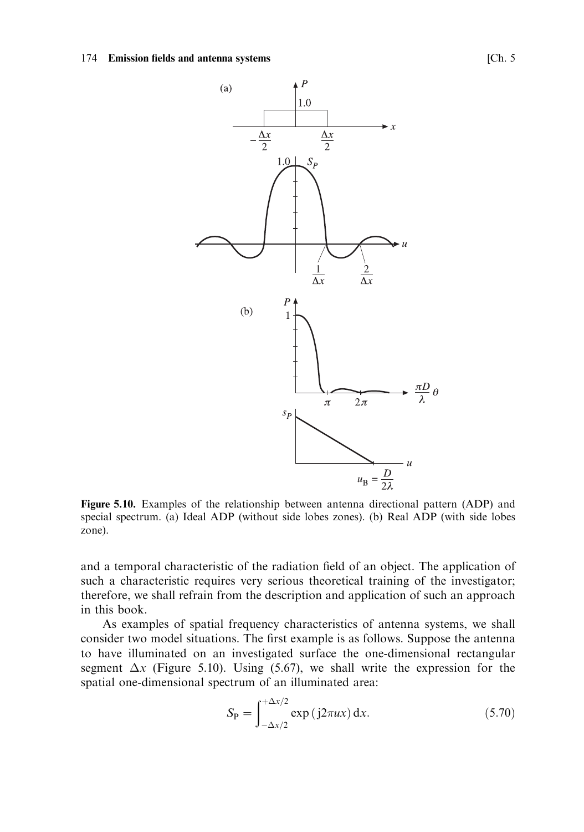### 174 Emission fields and antenna systems



Figure 5.10. Examples of the relationship between antenna directional pattern (ADP) and special spectrum. (a) Ideal ADP (without side lobes zones). (b) Real ADP (with side lobes zone).

and a temporal characteristic of the radiation field of an object. The application of such a characteristic requires very serious theoretical training of the investigator; therefore, we shall refrain from the description and application of such an approach in this book.

As examples of spatial frequency characteristics of antenna systems, we shall consider two model situations. The first example is as follows. Suppose the antenna to have illuminated on an investigated surface the one-dimensional rectangular segment  $\Delta x$  (Figure 5.10). Using (5.67), we shall write the expression for the spatial one-dimensional spectrum of an illuminated area:

$$
S_{\mathbf{P}} = \int_{-\Delta x/2}^{+\Delta x/2} \exp\left(j2\pi ux\right) \mathrm{d}x. \tag{5.70}
$$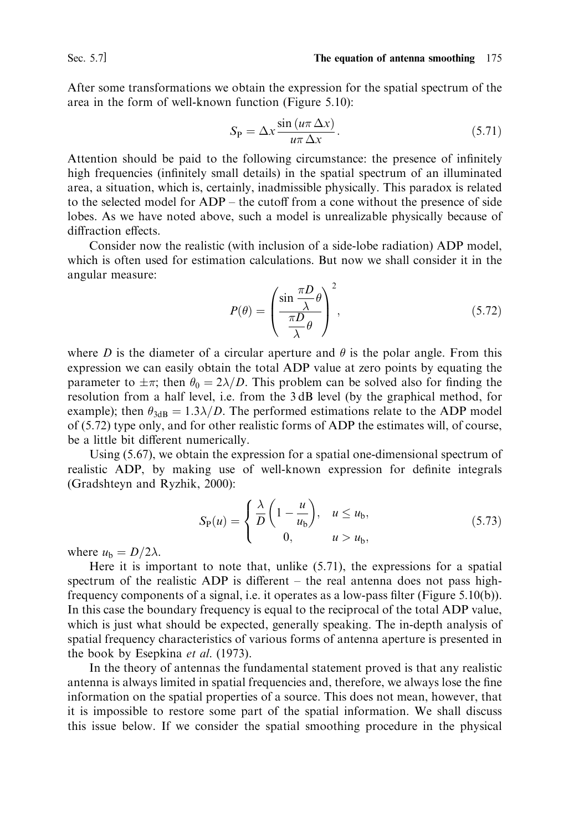After some transformations we obtain the expression for the spatial spectrum of the area in the form of well-known function (Figure 5.10):

$$
S_{\rm P} = \Delta x \frac{\sin\left(u\pi \Delta x\right)}{u\pi \Delta x}.\tag{5.71}
$$

Attention should be paid to the following circumstance: the presence of infinitely high frequencies (infinitely small details) in the spatial spectrum of an illuminated area, a situation, which is, certainly, inadmissible physically. This paradox is related to the selected model for ADP – the cutoff from a cone without the presence of side lobes. As we have noted above, such a model is unrealizable physically because of diffraction effects.

Consider now the realistic (with inclusion of a side-lobe radiation) ADP model, which is often used for estimation calculations. But now we shall consider it in the angular measure:

$$
P(\theta) = \left(\frac{\sin\frac{\pi D}{\lambda}\theta}{\frac{\pi D}{\lambda}\theta}\right)^2,\tag{5.72}
$$

where D is the diameter of a circular aperture and  $\theta$  is the polar angle. From this expression we can easily obtain the total ADP value at zero points by equating the parameter to  $\pm \pi$ ; then  $\theta_0 = 2\lambda/D$ . This problem can be solved also for finding the resolution from a half level, i.e. from the 3dB level (by the graphical method, for example); then  $\theta_{3dB} = 1.3\lambda/D$ . The performed estimations relate to the ADP model of (5.72) type only, and for other realistic forms of ADP the estimates will, of course, be a little bit different numerically.

Using  $(5.67)$ , we obtain the expression for a spatial one-dimensional spectrum of realistic ADP, by making use of well-known expression for definite integrals (Gradshteyn and Ryzhik, 2000):

$$
S_{\mathcal{P}}(u) = \begin{cases} \frac{\lambda}{D} \left( 1 - \frac{u}{u_{\mathcal{b}}} \right), & u \le u_{\mathcal{b}}, \\ 0, & u > u_{\mathcal{b}}, \end{cases}
$$
(5.73)

where  $u<sub>b</sub> = D/2\lambda$ .

Here it is important to note that, unlike  $(5.71)$ , the expressions for a spatial spectrum of the realistic ADP is different – the real antenna does not pass highfrequency components of a signal, i.e. it operates as a low-pass filter (Figure 5.10(b)). In this case the boundary frequency is equal to the reciprocal of the total ADP value, which is just what should be expected, generally speaking. The in-depth analysis of spatial frequency characteristics of various forms of antenna aperture is presented in the book by Esepkina et al. (1973).

In the theory of antennas the fundamental statement proved is that any realistic antenna is always limited in spatial frequencies and, therefore, we always lose the fine information on the spatial properties of a source. This does not mean, however, that it is impossible to restore some part of the spatial information. We shall discuss this issue below. If we consider the spatial smoothing procedure in the physical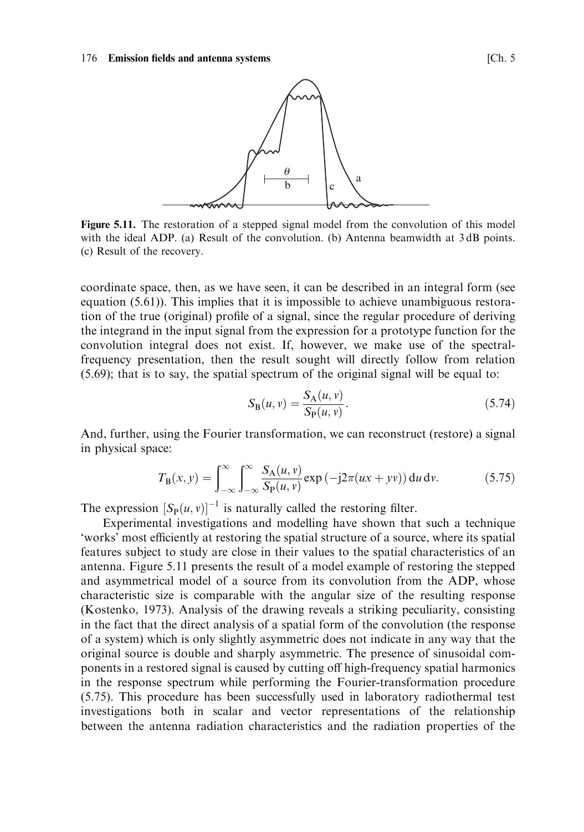

Figure 5.11. The restoration of a stepped signal model from the convolution of this model with the ideal ADP. (a) Result of the convolution. (b) Antenna beamwidth at 3 dB points. (c) Result of the recovery.

coordinate space, then, as we have seen, it can be described in an integral form (see equation  $(5.61)$ ). This implies that it is impossible to achieve unambiguous restoration of the true (original) profile of a signal, since the regular procedure of deriving the integrand in the input signal from the expression for a prototype function for the convolution integral does not exist. If, however, we make use of the spectralfrequency presentation, then the result sought will directly follow from relation  $(5.69)$ ; that is to say, the spatial spectrum of the original signal will be equal to:

$$
S_{\mathcal{B}}(u, v) = \frac{S_{\mathcal{A}}(u, v)}{S_{\mathcal{P}}(u, v)}.
$$
\n(5.74)

And, further, using the Fourier transformation, we can reconstruct (restore) a signal in physical space:

$$
T_{\mathbf{B}}(x,y) = \int_{-\infty}^{\infty} \int_{-\infty}^{\infty} \frac{S_{\mathbf{A}}(u,v)}{S_{\mathbf{P}}(u,v)} \exp\left(-j2\pi(ux+ yv)\right) \mathrm{d}u \,\mathrm{d}v. \tag{5.75}
$$

The expression  $[S_P(u, v)]^{-1}$  is naturally called the restoring filter.

Experimental investigations and modelling have shown that such a technique 'works' most efficiently at restoring the spatial structure of a source, where its spatial features subject to study are close in their values to the spatial characteristics of an antenna. Figure 5.11 presents the result of a model example of restoring the stepped and asymmetrical model of a source from its convolution from the ADP, whose characteristic size is comparable with the angular size of the resulting response (Kostenko, 1973). Analysis of the drawing reveals a striking peculiarity, consisting in the fact that the direct analysis of a spatial form of the convolution (the response of a system) which is only slightly asymmetric does not indicate in any way that the original source is double and sharply asymmetric. The presence of sinusoidal components in a restored signal is caused by cutting off high-frequency spatial harmonics in the response spectrum while performing the Fourier-transformation procedure (5.75). This procedure has been successfully used in laboratory radiothermal test investigations both in scalar and vector representations of the relationship between the antenna radiation characteristics and the radiation properties of the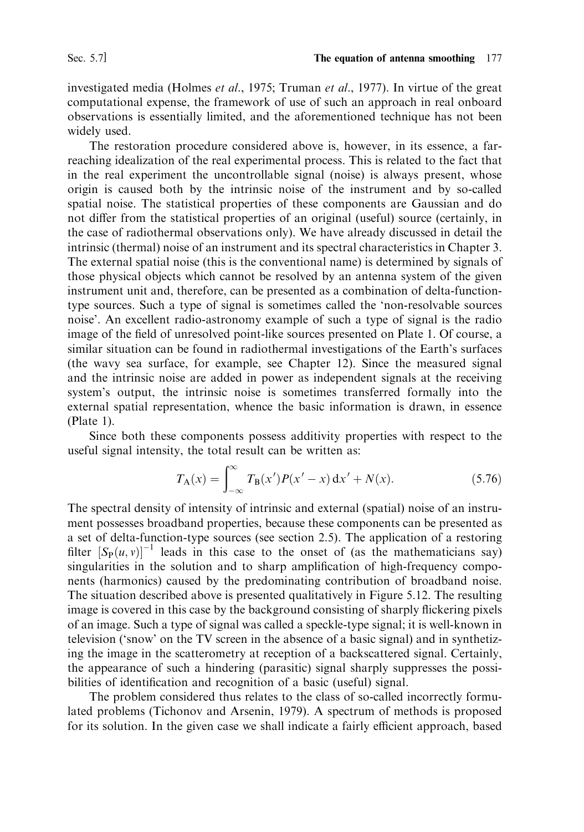investigated media (Holmes et al., 1975; Truman et al., 1977). In virtue of the great computational expense, the framework of use of such an approach in real onboard observations is essentially limited, and the aforementioned technique has not been widely used.

The restoration procedure considered above is, however, in its essence, a farreaching idealization of the real experimental process. This is related to the fact that in the real experiment the uncontrollable signal (noise) is always present, whose origin is caused both by the intrinsic noise of the instrument and by so-called spatial noise. The statistical properties of these components are Gaussian and do not differ from the statistical properties of an original (useful) source (certainly, in the case of radiothermal observations only). We have already discussed in detail the intrinsic (thermal) noise of an instrument and its spectral characteristics in Chapter 3. The external spatial noise (this is the conventional name) is determined by signals of those physical objects which cannot be resolved by an antenna system of the given instrument unit and, therefore, can be presented as a combination of delta-functiontype sources. Such a type of signal is sometimes called the 'non-resolvable sources noise'. An excellent radio-astronomy example of such a type of signal is the radio image of the field of unresolved point-like sources presented on Plate 1. Of course, a similar situation can be found in radiothermal investigations of the Earth's surfaces (the wavy sea surface, for example, see Chapter 12). Since the measured signal and the intrinsic noise are added in power as independent signals at the receiving system's output, the intrinsic noise is sometimes transferred formally into the external spatial representation, whence the basic information is drawn, in essence  $(Place 1).$ 

Since both these components possess additivity properties with respect to the useful signal intensity, the total result can be written as:

$$
T_{A}(x) = \int_{-\infty}^{\infty} T_{B}(x')P(x'-x) dx' + N(x).
$$
 (5.76)

The spectral density of intensity of intrinsic and external (spatial) noise of an instrument possesses broadband properties, because these components can be presented as a set of delta-function-type sources (see section 2.5). The application of a restoring filter  $[S_p(u, v)]^{-1}$  leads in this case to the onset of (as the mathematicians say) singularities in the solution and to sharp amplification of high-frequency components (harmonics) caused by the predominating contribution of broadband noise. The situation described above is presented qualitatively in Figure 5.12. The resulting image is covered in this case by the background consisting of sharply flickering pixels of an image. Such a type of signal was called a speckle-type signal; it is well-known in television ('snow' on the TV screen in the absence of a basic signal) and in synthetizing the image in the scatterometry at reception of a backscattered signal. Certainly, the appearance of such a hindering (parasitic) signal sharply suppresses the possibilities of identification and recognition of a basic (useful) signal.

The problem considered thus relates to the class of so-called incorrectly formulated problems (Tichonov and Arsenin, 1979). A spectrum of methods is proposed for its solution. In the given case we shall indicate a fairly efficient approach, based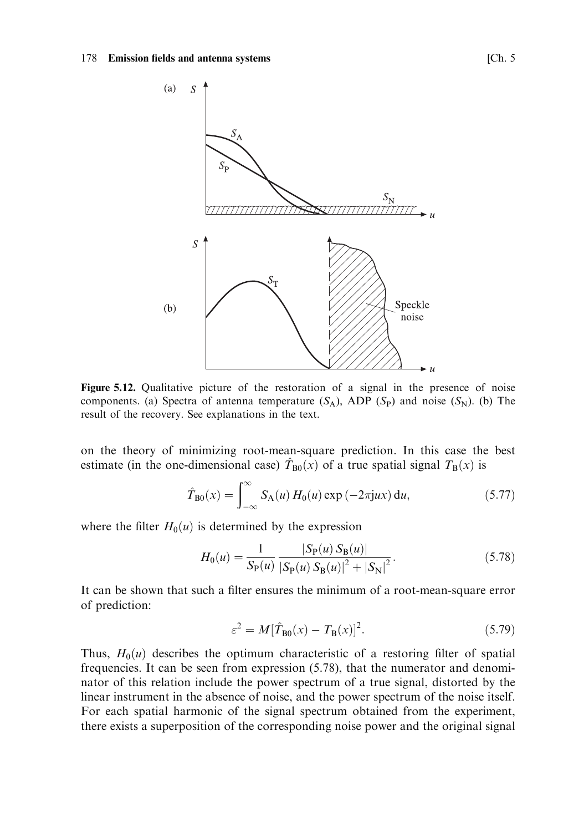### 178 Emission fields and antenna systems



Figure 5.12. Qualitative picture of the restoration of a signal in the presence of noise components. (a) Spectra of antenna temperature  $(S_A)$ , ADP  $(S_P)$  and noise  $(S_N)$ . (b) The result of the recovery. See explanations in the text.

on the theory of minimizing root-mean-square prediction. In this case the best estimate (in the one-dimensional case)  $\hat{T}_{B0}(x)$  of a true spatial signal  $T_B(x)$  is

$$
\hat{T}_{B0}(x) = \int_{-\infty}^{\infty} S_A(u) H_0(u) \exp(-2\pi jux) du,
$$
 (5.77)

where the filter  $H_0(u)$  is determined by the expression

$$
H_0(u) = \frac{1}{S_{\rm P}(u)} \frac{|S_{\rm P}(u) S_{\rm B}(u)|}{|S_{\rm P}(u) S_{\rm B}(u)|^2 + |S_{\rm N}|^2}.
$$
 (5.78)

It can be shown that such a filter ensures the minimum of a root-mean-square error of prediction:

$$
\varepsilon^2 = M[\hat{T}_{B0}(x) - T_B(x)]^2. \tag{5.79}
$$

Thus,  $H_0(u)$  describes the optimum characteristic of a restoring filter of spatial frequencies. It can be seen from expression (5.78), that the numerator and denominator of this relation include the power spectrum of a true signal, distorted by the linear instrument in the absence of noise, and the power spectrum of the noise itself. For each spatial harmonic of the signal spectrum obtained from the experiment, there exists a superposition of the corresponding noise power and the original signal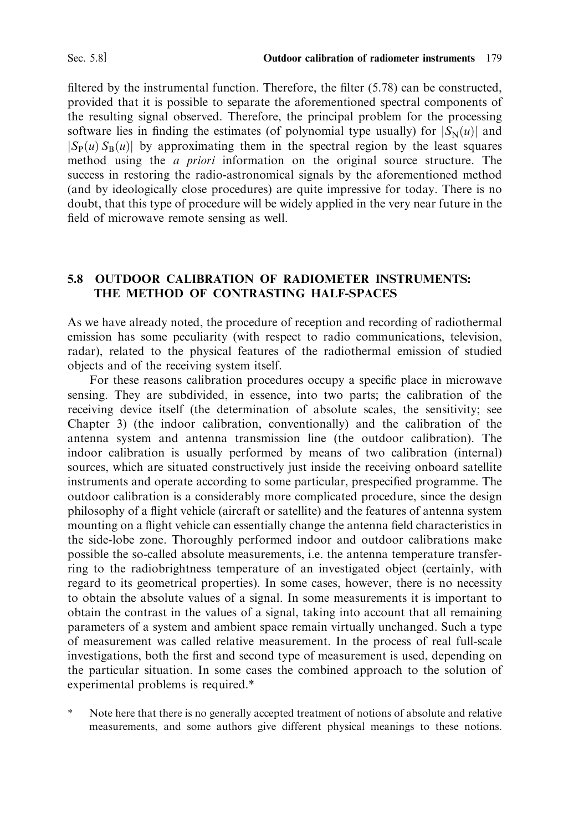filtered by the instrumental function. Therefore, the filter  $(5.78)$  can be constructed, provided that it is possible to separate the aforementioned spectral components of the resulting signal observed. Therefore, the principal problem for the processing software lies in finding the estimates (of polynomial type usually) for  $|S_N(u)|$  and  $|S_P(u) S_R(u)|$  by approximating them in the spectral region by the least squares method using the *a priori* information on the original source structure. The success in restoring the radio-astronomical signals by the aforementioned method (and by ideologically close procedures) are quite impressive for today. There is no doubt, that this type of procedure will be widely applied in the very near future in the field of microwave remote sensing as well.

## 5.8 OUTDOOR CALIBRATION OF RADIOMETER INSTRUMENTS: THE METHOD OF CONTRASTING HALF-SPACES

As we have already noted, the procedure of reception and recording of radiothermal emission has some peculiarity (with respect to radio communications, television, radar), related to the physical features of the radiothermal emission of studied objects and of the receiving system itself.

For these reasons calibration procedures occupy a specific place in microwave sensing. They are subdivided, in essence, into two parts; the calibration of the receiving device itself (the determination of absolute scales, the sensitivity; see Chapter 3) (the indoor calibration, conventionally) and the calibration of the antenna system and antenna transmission line (the outdoor calibration). The indoor calibration is usually performed by means of two calibration (internal) sources, which are situated constructively just inside the receiving onboard satellite instruments and operate according to some particular, prespecified programme. The outdoor calibration is a considerably more complicated procedure, since the design philosophy of a flight vehicle (aircraft or satellite) and the features of antenna system mounting on a flight vehicle can essentially change the antenna field characteristics in the side-lobe zone. Thoroughly performed indoor and outdoor calibrations make possible the so-called absolute measurements, i.e. the antenna temperature transferring to the radiobrightness temperature of an investigated object (certainly, with regard to its geometrical properties). In some cases, however, there is no necessity to obtain the absolute values of a signal. In some measurements it is important to obtain the contrast in the values of a signal, taking into account that all remaining parameters of a system and ambient space remain virtually unchanged. Such a type of measurement was called relative measurement. In the process of real full-scale investigations, both the first and second type of measurement is used, depending on the particular situation. In some cases the combined approach to the solution of experimental problems is required.\*

Note here that there is no generally accepted treatment of notions of absolute and relative measurements, and some authors give different physical meanings to these notions.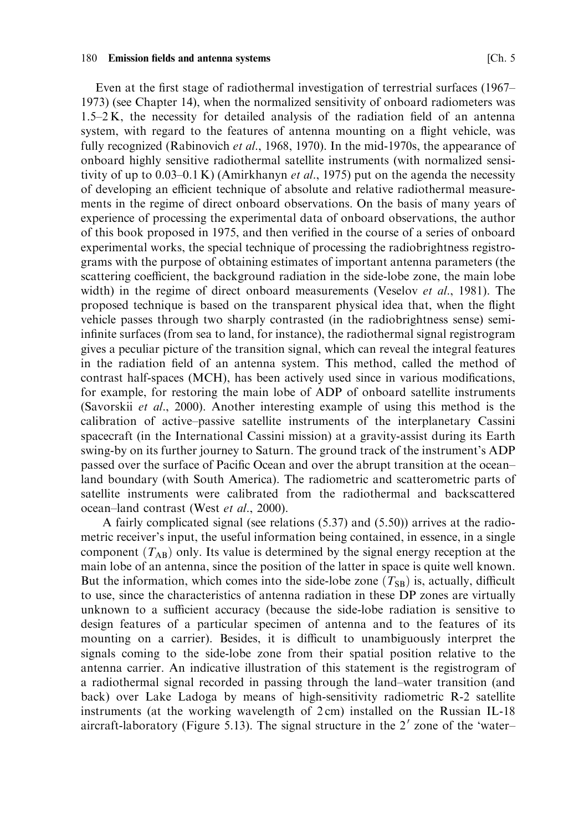Even at the first stage of radiothermal investigation of terrestrial surfaces (1967– 1973) (see Chapter 14), when the normalized sensitivity of onboard radiometers was  $1.5-2$  K, the necessity for detailed analysis of the radiation field of an antenna system, with regard to the features of antenna mounting on a flight vehicle, was fully recognized (Rabinovich et al., 1968, 1970). In the mid-1970s, the appearance of onboard highly sensitive radiothermal satellite instruments (with normalized sensitivity of up to  $0.03-0.1$  K) (Amirkhanyn et al., 1975) put on the agenda the necessity of developing an efficient technique of absolute and relative radiothermal measurements in the regime of direct onboard observations. On the basis of many years of experience of processing the experimental data of onboard observations, the author of this book proposed in 1975, and then verified in the course of a series of onboard experimental works, the special technique of processing the radiobrightness registrograms with the purpose of obtaining estimates of important antenna parameters (the scattering coefficient, the background radiation in the side-lobe zone, the main lobe width) in the regime of direct onboard measurements (Veselov et al., 1981). The proposed technique is based on the transparent physical idea that, when the flight vehicle passes through two sharply contrasted (in the radiobrightness sense) semiinfinite surfaces (from sea to land, for instance), the radiothermal signal registrogram gives a peculiar picture of the transition signal, which can reveal the integral features in the radiation field of an antenna system. This method, called the method of contrast half-spaces (MCH), has been actively used since in various modifications, for example, for restoring the main lobe of ADP of onboard satellite instruments (Savorskii et al., 2000). Another interesting example of using this method is the calibration of active–passive satellite instruments of the interplanetary Cassini spacecraft (in the International Cassini mission) at a gravity-assist during its Earth swing-by on its further journey to Saturn. The ground track of the instrument's ADP passed over the surface of Pacific Ocean and over the abrupt transition at the oceanland boundary (with South America). The radiometric and scatterometric parts of satellite instruments were calibrated from the radiothermal and backscattered ocean-land contrast (West et al., 2000).

A fairly complicated signal (see relations (5.37) and (5.50)) arrives at the radiometric receiver's input, the useful information being contained, in essence, in a single component  $(T_{AR})$  only. Its value is determined by the signal energy reception at the main lobe of an antenna, since the position of the latter in space is quite well known. But the information, which comes into the side-lobe zone  $(T_{SB})$  is, actually, difficult to use, since the characteristics of antenna radiation in these DP zones are virtually unknown to a sufficient accuracy (because the side-lobe radiation is sensitive to design features of a particular specimen of antenna and to the features of its mounting on a carrier). Besides, it is difficult to unambiguously interpret the signals coming to the side-lobe zone from their spatial position relative to the antenna carrier. An indicative illustration of this statement is the registrogram of a radiothermal signal recorded in passing through the land-water transition (and back) over Lake Ladoga by means of high-sensitivity radiometric R-2 satellite instruments (at the working wavelength of 2cm) installed on the Russian IL-18 aircraft-laboratory (Figure 5.13). The signal structure in the 2' zone of the 'water-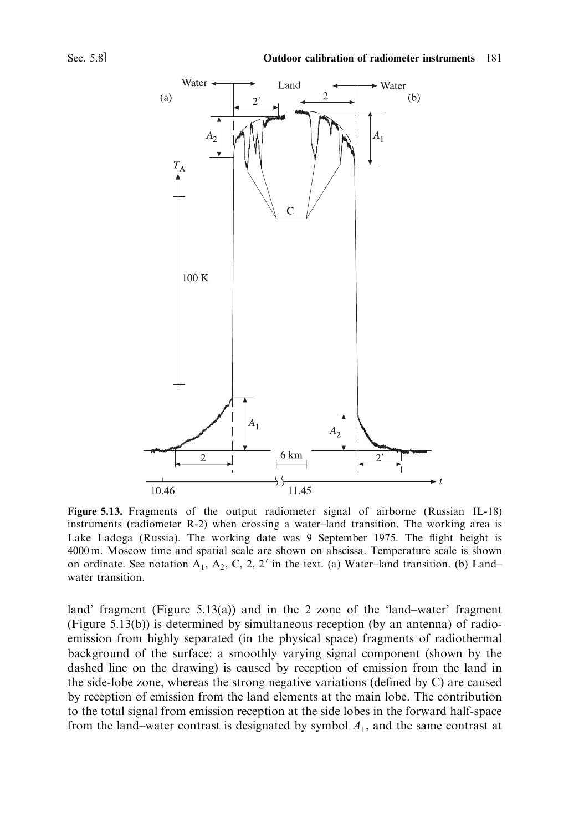

Figure 5.13. Fragments of the output radiometer signal of airborne (Russian IL-18) instruments (radiometer R-2) when crossing a water-land transition. The working area is Lake Ladoga (Russia). The working date was 9 September 1975. The flight height is 4000 m. Moscow time and spatial scale are shown on abscissa. Temperature scale is shown on ordinate. See notation  $A_1$ ,  $A_2$ , C, 2, 2' in the text. (a) Water-land transition. (b) Landwater transition.

land' fragment (Figure 5.13(a)) and in the 2 zone of the 'land-water' fragment (Figure 5.13(b)) is determined by simultaneous reception (by an antenna) of radioemission from highly separated (in the physical space) fragments of radiothermal background of the surface: a smoothly varying signal component (shown by the dashed line on the drawing) is caused by reception of emission from the land in the side-lobe zone, whereas the strong negative variations (defined by C) are caused by reception of emission from the land elements at the main lobe. The contribution to the total signal from emission reception at the side lobes in the forward half-space from the land-water contrast is designated by symbol  $A_1$ , and the same contrast at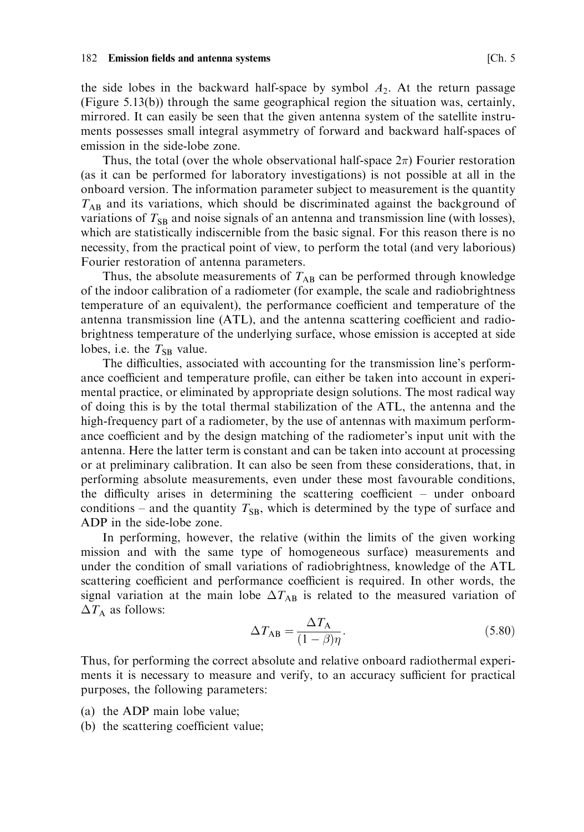#### **Emission fields and antenna systems** 182

the side lobes in the backward half-space by symbol  $A_2$ . At the return passage (Figure 5.13(b)) through the same geographical region the situation was, certainly, mirrored. It can easily be seen that the given antenna system of the satellite instruments possesses small integral asymmetry of forward and backward half-spaces of emission in the side-lobe zone.

Thus, the total (over the whole observational half-space  $2\pi$ ) Fourier restoration (as it can be performed for laboratory investigations) is not possible at all in the onboard version. The information parameter subject to measurement is the quantity  $T_{AB}$  and its variations, which should be discriminated against the background of variations of  $T_{SB}$  and noise signals of an antenna and transmission line (with losses), which are statistically indiscernible from the basic signal. For this reason there is no necessity, from the practical point of view, to perform the total (and very laborious) Fourier restoration of antenna parameters.

Thus, the absolute measurements of  $T_{AB}$  can be performed through knowledge of the indoor calibration of a radiometer (for example, the scale and radiobrightness temperature of an equivalent), the performance coefficient and temperature of the antenna transmission line (ATL), and the antenna scattering coefficient and radiobrightness temperature of the underlying surface, whose emission is accepted at side lobes, i.e. the  $T_{SB}$  value.

The difficulties, associated with accounting for the transmission line's performance coefficient and temperature profile, can either be taken into account in experimental practice, or eliminated by appropriate design solutions. The most radical way of doing this is by the total thermal stabilization of the ATL, the antenna and the high-frequency part of a radiometer, by the use of antennas with maximum performance coefficient and by the design matching of the radiometer's input unit with the antenna. Here the latter term is constant and can be taken into account at processing or at preliminary calibration. It can also be seen from these considerations, that, in performing absolute measurements, even under these most favourable conditions, the difficulty arises in determining the scattering coefficient – under onboard conditions – and the quantity  $T_{SB}$ , which is determined by the type of surface and ADP in the side-lobe zone.

In performing, however, the relative (within the limits of the given working mission and with the same type of homogeneous surface) measurements and under the condition of small variations of radiobrightness, knowledge of the ATL scattering coefficient and performance coefficient is required. In other words, the signal variation at the main lobe  $\Delta T_{AB}$  is related to the measured variation of  $\Delta T_{\rm A}$  as follows:

$$
\Delta T_{AB} = \frac{\Delta T_A}{(1 - \beta)\eta}.\tag{5.80}
$$

Thus, for performing the correct absolute and relative onboard radiothermal experiments it is necessary to measure and verify, to an accuracy sufficient for practical purposes, the following parameters:

- (a) the ADP main lobe value;
- (b) the scattering coefficient value;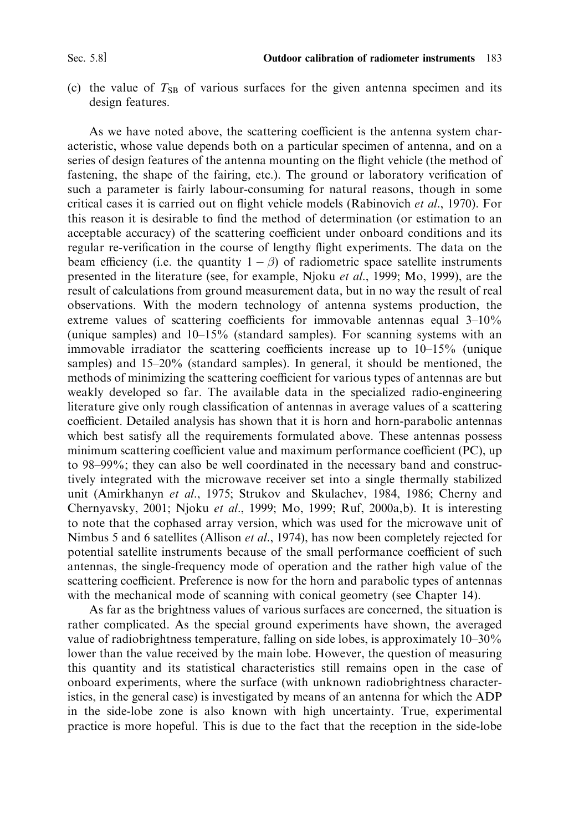(c) the value of  $T_{SB}$  of various surfaces for the given antenna specimen and its design features.

As we have noted above, the scattering coefficient is the antenna system characteristic, whose value depends both on a particular specimen of antenna, and on a series of design features of the antenna mounting on the flight vehicle (the method of fastening, the shape of the fairing, etc.). The ground or laboratory verification of such a parameter is fairly labour-consuming for natural reasons, though in some critical cases it is carried out on flight vehicle models (Rabinovich et al., 1970). For this reason it is desirable to find the method of determination (or estimation to an acceptable accuracy) of the scattering coefficient under onboard conditions and its regular re-verification in the course of lengthy flight experiments. The data on the beam efficiency (i.e. the quantity  $1 - \beta$ ) of radiometric space satellite instruments presented in the literature (see, for example, Njoku *et al.*, 1999; Mo, 1999), are the result of calculations from ground measurement data, but in no way the result of real observations. With the modern technology of antenna systems production, the extreme values of scattering coefficients for immovable antennas equal  $3-10\%$ (unique samples) and  $10-15\%$  (standard samples). For scanning systems with an immovable irradiator the scattering coefficients increase up to  $10-15\%$  (unique samples) and 15-20% (standard samples). In general, it should be mentioned, the methods of minimizing the scattering coefficient for various types of antennas are but weakly developed so far. The available data in the specialized radio-engineering literature give only rough classification of antennas in average values of a scattering coefficient. Detailed analysis has shown that it is horn and horn-parabolic antennas which best satisfy all the requirements formulated above. These antennas possess minimum scattering coefficient value and maximum performance coefficient (PC), up to 98–99%; they can also be well coordinated in the necessary band and constructively integrated with the microwave receiver set into a single thermally stabilized unit (Amirkhanyn et al., 1975; Strukov and Skulachev, 1984, 1986; Cherny and Chernyavsky, 2001; Njoku et al., 1999; Mo, 1999; Ruf, 2000a,b). It is interesting to note that the cophased array version, which was used for the microwave unit of Nimbus 5 and 6 satellites (Allison *et al.*, 1974), has now been completely rejected for potential satellite instruments because of the small performance coefficient of such antennas, the single-frequency mode of operation and the rather high value of the scattering coefficient. Preference is now for the horn and parabolic types of antennas with the mechanical mode of scanning with conical geometry (see Chapter 14).

As far as the brightness values of various surfaces are concerned, the situation is rather complicated. As the special ground experiments have shown, the averaged value of radiobrightness temperature, falling on side lobes, is approximately 10–30% lower than the value received by the main lobe. However, the question of measuring this quantity and its statistical characteristics still remains open in the case of onboard experiments, where the surface (with unknown radiobrightness characteristics, in the general case) is investigated by means of an antenna for which the ADP in the side-lobe zone is also known with high uncertainty. True, experimental practice is more hopeful. This is due to the fact that the reception in the side-lobe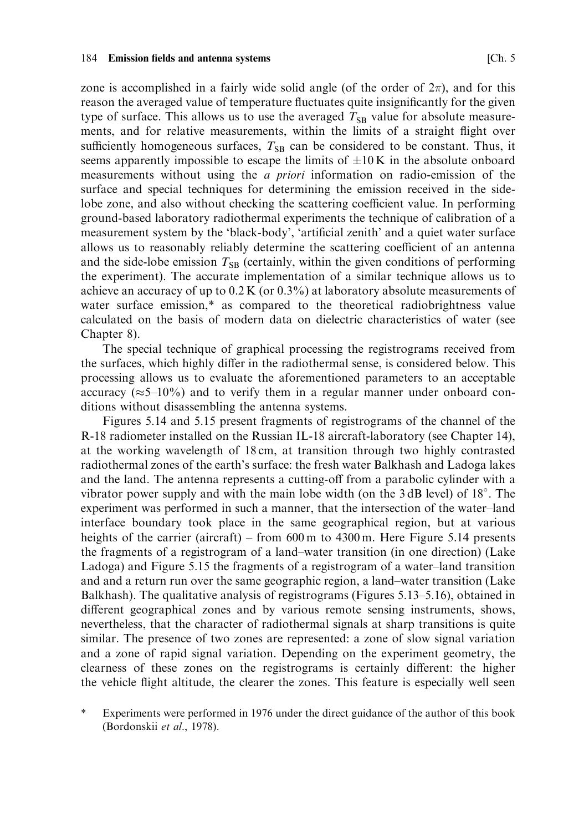zone is accomplished in a fairly wide solid angle (of the order of  $2\pi$ ), and for this reason the averaged value of temperature fluctuates quite insignificantly for the given type of surface. This allows us to use the averaged  $T_{SB}$  value for absolute measurements, and for relative measurements, within the limits of a straight flight over sufficiently homogeneous surfaces,  $T_{SR}$  can be considered to be constant. Thus, it seems apparently impossible to escape the limits of  $\pm 10$  K in the absolute onboard measurements without using the *a priori* information on radio-emission of the surface and special techniques for determining the emission received in the sidelobe zone, and also without checking the scattering coefficient value. In performing ground-based laboratory radiothermal experiments the technique of calibration of a measurement system by the 'black-body', 'artificial zenith' and a quiet water surface allows us to reasonably reliably determine the scattering coefficient of an antenna and the side-lobe emission  $T_{SB}$  (certainly, within the given conditions of performing the experiment). The accurate implementation of a similar technique allows us to achieve an accuracy of up to  $0.2 K$  (or  $0.3\%$ ) at laboratory absolute measurements of water surface emission,\* as compared to the theoretical radiobrightness value calculated on the basis of modern data on dielectric characteristics of water (see Chapter 8).

The special technique of graphical processing the registrograms received from the surfaces, which highly differ in the radiothermal sense, is considered below. This processing allows us to evaluate the aforementioned parameters to an acceptable accuracy ( $\approx$  5–10%) and to verify them in a regular manner under onboard conditions without disassembling the antenna systems.

Figures 5.14 and 5.15 present fragments of registrograms of the channel of the R-18 radiometer installed on the Russian IL-18 aircraft-laboratory (see Chapter 14), at the working wavelength of 18 cm, at transition through two highly contrasted radiothermal zones of the earth's surface: the fresh water Balkhash and Ladoga lakes and the land. The antenna represents a cutting-off from a parabolic cylinder with a vibrator power supply and with the main lobe width (on the 3 dB level) of 18°. The experiment was performed in such a manner, that the intersection of the water-land interface boundary took place in the same geographical region, but at various heights of the carrier (aircraft) – from  $600 \text{ m}$  to  $4300 \text{ m}$ . Here Figure 5.14 presents the fragments of a registrogram of a land-water transition (in one direction) (Lake Ladoga) and Figure 5.15 the fragments of a registrogram of a water-land transition and and a return run over the same geographic region, a land-water transition (Lake Balkhash). The qualitative analysis of registrograms (Figures 5.13–5.16), obtained in different geographical zones and by various remote sensing instruments, shows, nevertheless, that the character of radiothermal signals at sharp transitions is quite similar. The presence of two zones are represented: a zone of slow signal variation and a zone of rapid signal variation. Depending on the experiment geometry, the clearness of these zones on the registrograms is certainly different: the higher the vehicle flight altitude, the clearer the zones. This feature is especially well seen

 $\ast$ Experiments were performed in 1976 under the direct guidance of the author of this book (Bordonskii et al., 1978).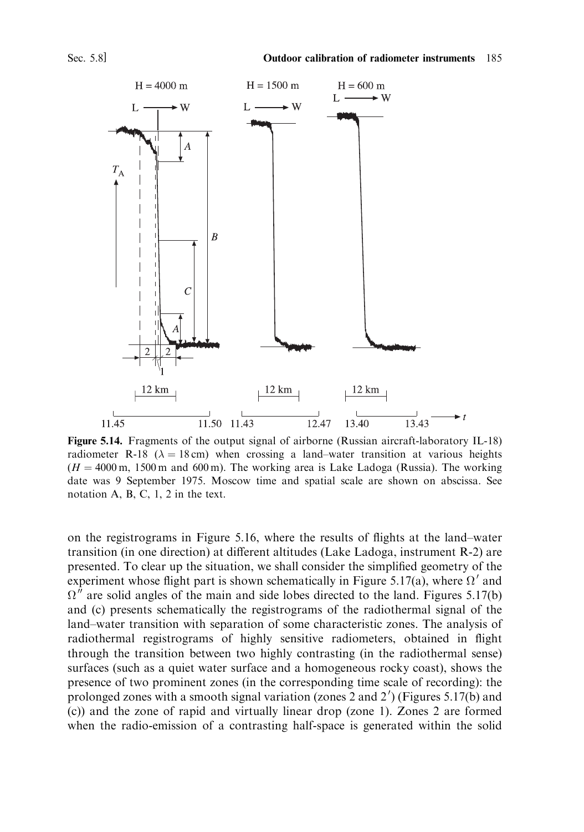

Figure 5.14. Fragments of the output signal of airborne (Russian aircraft-laboratory IL-18) radiometer R-18 ( $\lambda = 18$  cm) when crossing a land-water transition at various heights  $(H = 4000 \text{ m}, 1500 \text{ m}$  and 600 m). The working area is Lake Ladoga (Russia). The working date was 9 September 1975. Moscow time and spatial scale are shown on abscissa. See notation A, B, C, 1, 2 in the text.

on the registrograms in Figure 5.16, where the results of flights at the land-water transition (in one direction) at different altitudes (Lake Ladoga, instrument R-2) are presented. To clear up the situation, we shall consider the simplified geometry of the experiment whose flight part is shown schematically in Figure 5.17(a), where  $\Omega'$  and  $\Omega''$  are solid angles of the main and side lobes directed to the land. Figures 5.17(b) and (c) presents schematically the registrograms of the radiothermal signal of the land-water transition with separation of some characteristic zones. The analysis of radiothermal registrograms of highly sensitive radiometers, obtained in flight through the transition between two highly contrasting (in the radiothermal sense) surfaces (such as a quiet water surface and a homogeneous rocky coast), shows the presence of two prominent zones (in the corresponding time scale of recording): the prolonged zones with a smooth signal variation (zones 2 and  $2'$ ) (Figures 5.17(b) and (c)) and the zone of rapid and virtually linear drop (zone 1). Zones 2 are formed when the radio-emission of a contrasting half-space is generated within the solid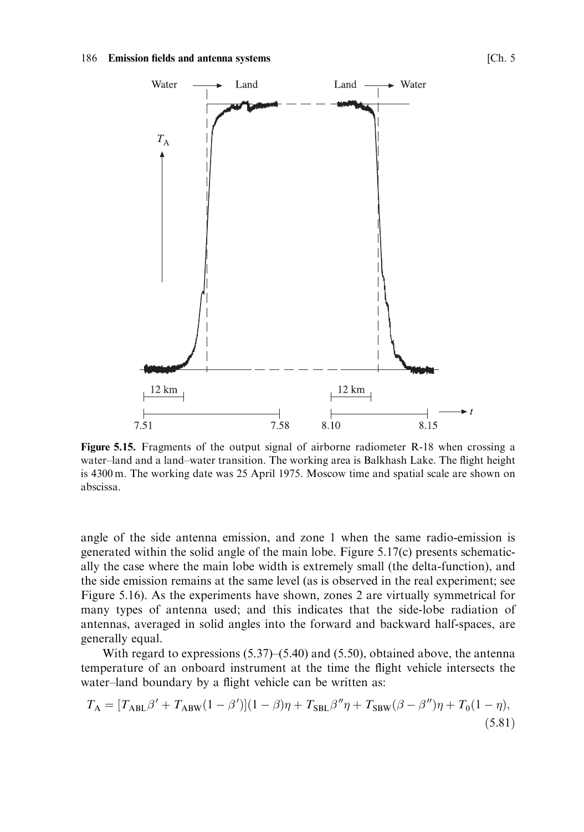

Figure 5.15. Fragments of the output signal of airborne radiometer R-18 when crossing a water-land and a land-water transition. The working area is Balkhash Lake. The flight height is 4300 m. The working date was 25 April 1975. Moscow time and spatial scale are shown on abscissa.

angle of the side antenna emission, and zone 1 when the same radio-emission is generated within the solid angle of the main lobe. Figure 5.17(c) presents schematically the case where the main lobe width is extremely small (the delta-function), and the side emission remains at the same level (as is observed in the real experiment; see Figure 5.16). As the experiments have shown, zones 2 are virtually symmetrical for many types of antenna used; and this indicates that the side-lobe radiation of antennas, averaged in solid angles into the forward and backward half-spaces, are generally equal.

With regard to expressions  $(5.37)$ – $(5.40)$  and  $(5.50)$ , obtained above, the antenna temperature of an onboard instrument at the time the flight vehicle intersects the water-land boundary by a flight vehicle can be written as:

$$
T_{\rm A} = [T_{\rm ABL}\beta' + T_{\rm ABW}(1-\beta')](1-\beta)\eta + T_{\rm SBL}\beta''\eta + T_{\rm SBW}(\beta-\beta'')\eta + T_0(1-\eta),
$$
\n(5.81)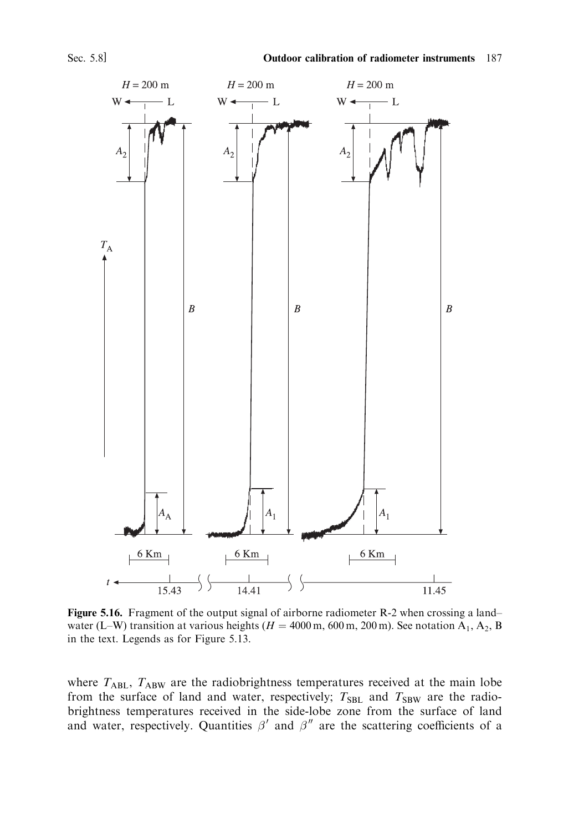

Figure 5.16. Fragment of the output signal of airborne radiometer R-2 when crossing a landwater (L–W) transition at various heights ( $H = 4000$  m, 600 m, 200 m). See notation A<sub>1</sub>, A<sub>2</sub>, B in the text. Legends as for Figure 5.13.

where  $T_{ABL}$ ,  $T_{ABW}$  are the radiobrightness temperatures received at the main lobe from the surface of land and water, respectively;  $T_{SBL}$  and  $T_{SBW}$  are the radiobrightness temperatures received in the side-lobe zone from the surface of land and water, respectively. Quantities  $\beta'$  and  $\beta''$  are the scattering coefficients of a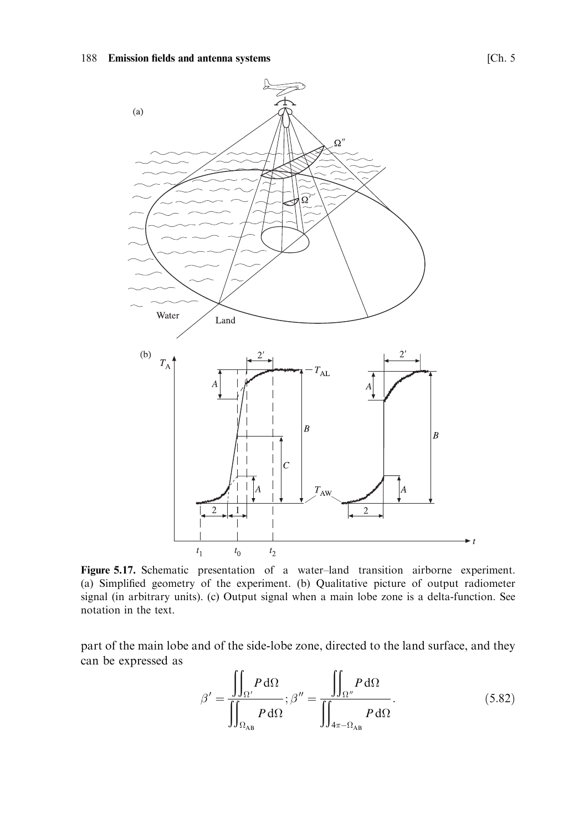

Figure 5.17. Schematic presentation of a water-land transition airborne experiment. (a) Simplified geometry of the experiment. (b) Qualitative picture of output radiometer signal (in arbitrary units). (c) Output signal when a main lobe zone is a delta-function. See notation in the text.

part of the main lobe and of the side-lobe zone, directed to the land surface, and they can be expressed as

$$
\beta' = \frac{\iint_{\Omega'} P \, d\Omega}{\iint_{\Omega_{AB}}} ; \beta'' = \frac{\iint_{\Omega''} P \, d\Omega}{\iint_{4\pi - \Omega_{AB}} P \, d\Omega}.
$$
\n(5.82)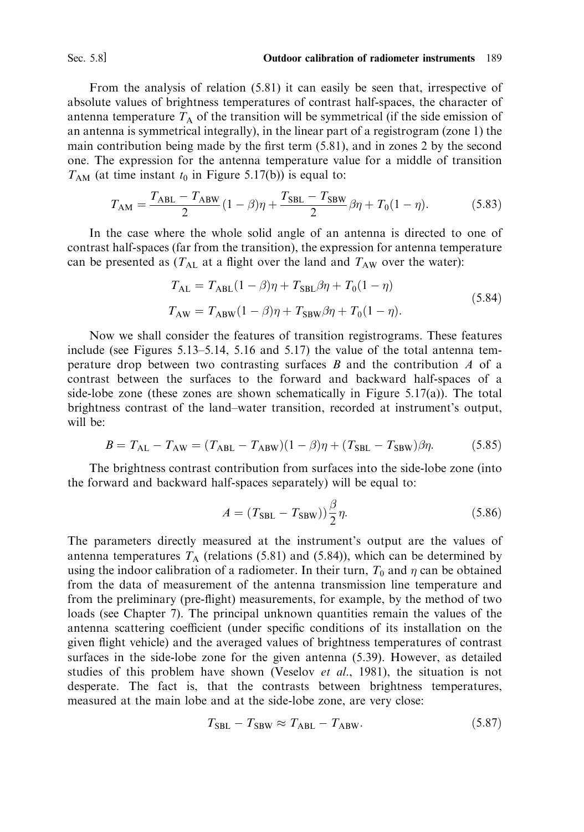Sec. 5.8]

From the analysis of relation  $(5.81)$  it can easily be seen that, irrespective of absolute values of brightness temperatures of contrast half-spaces, the character of antenna temperature  $T_A$  of the transition will be symmetrical (if the side emission of an antenna is symmetrical integrally), in the linear part of a registrogram (zone 1) the main contribution being made by the first term (5.81), and in zones 2 by the second one. The expression for the antenna temperature value for a middle of transition  $T_{AM}$  (at time instant  $t_0$  in Figure 5.17(b)) is equal to:

$$
T_{\rm AM} = \frac{T_{\rm ABL} - T_{\rm ABW}}{2} (1 - \beta)\eta + \frac{T_{\rm SBL} - T_{\rm SBW}}{2} \beta\eta + T_0(1 - \eta). \tag{5.83}
$$

In the case where the whole solid angle of an antenna is directed to one of contrast half-spaces (far from the transition), the expression for antenna temperature can be presented as  $(T_{\text{AL}}$  at a flight over the land and  $T_{\text{AW}}$  over the water):

$$
T_{\text{AL}} = T_{\text{ABL}}(1 - \beta)\eta + T_{\text{SBL}}\beta\eta + T_0(1 - \eta)
$$
  
\n
$$
T_{\text{AW}} = T_{\text{ABW}}(1 - \beta)\eta + T_{\text{SBW}}\beta\eta + T_0(1 - \eta).
$$
\n(5.84)

Now we shall consider the features of transition registrograms. These features include (see Figures  $5.13-5.14$ ,  $5.16$  and  $5.17$ ) the value of the total antenna temperature drop between two contrasting surfaces  $B$  and the contribution  $A$  of a contrast between the surfaces to the forward and backward half-spaces of a side-lobe zone (these zones are shown schematically in Figure  $5.17(a)$ ). The total brightness contrast of the land-water transition, recorded at instrument's output, will be:

$$
B = T_{\text{AL}} - T_{\text{AW}} = (T_{\text{ABL}} - T_{\text{ABW}})(1 - \beta)\eta + (T_{\text{SBL}} - T_{\text{SBW}})\beta\eta. \tag{5.85}
$$

The brightness contrast contribution from surfaces into the side-lobe zone (into the forward and backward half-spaces separately) will be equal to:

$$
A = (TSBL - TSBW))\frac{\beta}{2}\eta.
$$
 (5.86)

The parameters directly measured at the instrument's output are the values of antenna temperatures  $T_A$  (relations (5.81) and (5.84)), which can be determined by using the indoor calibration of a radiometer. In their turn,  $T_0$  and  $\eta$  can be obtained from the data of measurement of the antenna transmission line temperature and from the preliminary (pre-flight) measurements, for example, by the method of two loads (see Chapter 7). The principal unknown quantities remain the values of the antenna scattering coefficient (under specific conditions of its installation on the given flight vehicle) and the averaged values of brightness temperatures of contrast surfaces in the side-lobe zone for the given antenna (5.39). However, as detailed studies of this problem have shown (Veselov et al., 1981), the situation is not desperate. The fact is, that the contrasts between brightness temperatures, measured at the main lobe and at the side-lobe zone, are very close:

$$
T_{\rm SBL} - T_{\rm SBW} \approx T_{\rm ABL} - T_{\rm ABW}.\tag{5.87}
$$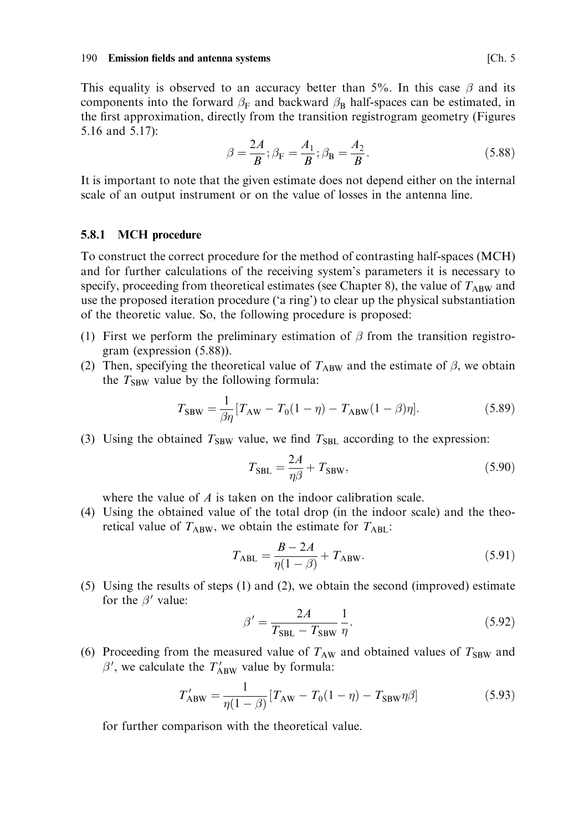This equality is observed to an accuracy better than 5%. In this case  $\beta$  and its components into the forward  $\beta_F$  and backward  $\beta_R$  half-spaces can be estimated, in the first approximation, directly from the transition registrogram geometry (Figures 5.16 and 5.17):

$$
\beta = \frac{2A}{B}; \beta_{\rm F} = \frac{A_1}{B}; \beta_{\rm B} = \frac{A_2}{B}.
$$
 (5.88)

It is important to note that the given estimate does not depend either on the internal scale of an output instrument or on the value of losses in the antenna line.

#### 5.8.1 **MCH** procedure

To construct the correct procedure for the method of contrasting half-spaces (MCH) and for further calculations of the receiving system's parameters it is necessary to specify, proceeding from theoretical estimates (see Chapter 8), the value of  $T_{ABW}$  and use the proposed iteration procedure ('a ring') to clear up the physical substantiation of the theoretic value. So, the following procedure is proposed:

- (1) First we perform the preliminary estimation of  $\beta$  from the transition registrogram (expression (5.88)).
- (2) Then, specifying the theoretical value of  $T_{ABW}$  and the estimate of  $\beta$ , we obtain the  $T_{SBW}$  value by the following formula:

$$
T_{SBW} = \frac{1}{\beta \eta} [T_{AW} - T_0(1 - \eta) - T_{ABW}(1 - \beta)\eta].
$$
 (5.89)

(3) Using the obtained  $T_{SBW}$  value, we find  $T_{SBL}$  according to the expression:

$$
T_{\rm SBL} = \frac{2A}{\eta \beta} + T_{\rm SBW},\tag{5.90}
$$

where the value of  $A$  is taken on the indoor calibration scale.

(4) Using the obtained value of the total drop (in the indoor scale) and the theoretical value of  $T_{ABW}$ , we obtain the estimate for  $T_{ABL}$ :

$$
T_{\rm ABL} = \frac{B - 2A}{\eta(1 - \beta)} + T_{\rm ABW}.
$$
 (5.91)

(5) Using the results of steps (1) and (2), we obtain the second (improved) estimate for the  $\beta'$  value:

$$
\beta' = \frac{2A}{T_{\text{SBL}} - T_{\text{SBW}}} \frac{1}{\eta}.\tag{5.92}
$$

(6) Proceeding from the measured value of  $T_{AW}$  and obtained values of  $T_{SBW}$  and  $\beta'$ , we calculate the  $T'_{ABW}$  value by formula:

$$
T'_{ABW} = \frac{1}{\eta(1-\beta)} [T_{AW} - T_0(1-\eta) - T_{SBW}\eta\beta]
$$
 (5.93)

for further comparison with the theoretical value.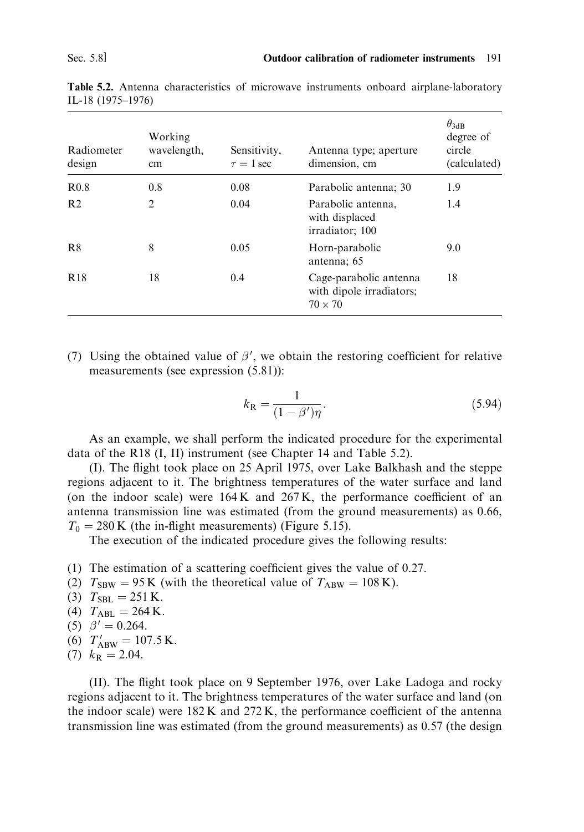| Radiometer<br>design | Working<br>wavelength,<br>cm | Sensitivity,<br>Antenna type; aperture<br>$\tau = 1$ sec<br>dimension, cm |                                                                      | $\theta_{3dB}$<br>degree of<br>circle<br>(calculated) |
|----------------------|------------------------------|---------------------------------------------------------------------------|----------------------------------------------------------------------|-------------------------------------------------------|
| R <sub>0.8</sub>     | 0.8                          | 0.08                                                                      | Parabolic antenna; 30                                                | 1.9                                                   |
| R <sub>2</sub>       | $\overline{2}$               | 0.04                                                                      | Parabolic antenna,<br>with displaced<br>irradiator; 100              | 1.4                                                   |
| R <sup>8</sup>       | 8                            | 0.05                                                                      | Horn-parabolic<br>antenna; 65                                        | 9.0                                                   |
| <b>R18</b>           | 18                           | 0.4                                                                       | Cage-parabolic antenna<br>with dipole irradiators;<br>$70 \times 70$ | 18                                                    |

Table 5.2. Antenna characteristics of microwave instruments onboard airplane-laboratory IL-18 (1975-1976)

(7) Using the obtained value of  $\beta'$ , we obtain the restoring coefficient for relative measurements (see expression (5.81)):

$$
k_{\mathbf{R}} = \frac{1}{(1 - \beta')\eta}.\tag{5.94}
$$

As an example, we shall perform the indicated procedure for the experimental data of the R18 (I, II) instrument (see Chapter 14 and Table 5.2).

(I). The flight took place on 25 April 1975, over Lake Balkhash and the steppe regions adjacent to it. The brightness temperatures of the water surface and land (on the indoor scale) were 164K and 267K, the performance coefficient of an antenna transmission line was estimated (from the ground measurements) as 0.66,  $T_0 = 280$  K (the in-flight measurements) (Figure 5.15).

The execution of the indicated procedure gives the following results:

- (1) The estimation of a scattering coefficient gives the value of  $0.27$ .
- (2)  $T_{SBW} = 95 \text{ K}$  (with the theoretical value of  $T_{ABW} = 108 \text{ K}$ ).
- (3)  $T_{SBL} = 251$  K.
- (4)  $T_{\text{ABL}} = 264 \text{ K}.$
- (5)  $\beta' = 0.264$ .
- (6)  $T'_{ABW} = 107.5 \text{ K}.$
- $(7)$   $k_{\rm R} = 2.04$ .

(II). The flight took place on 9 September 1976, over Lake Ladoga and rocky regions adjacent to it. The brightness temperatures of the water surface and land (on the indoor scale) were 182K and 272K, the performance coefficient of the antenna transmission line was estimated (from the ground measurements) as 0.57 (the design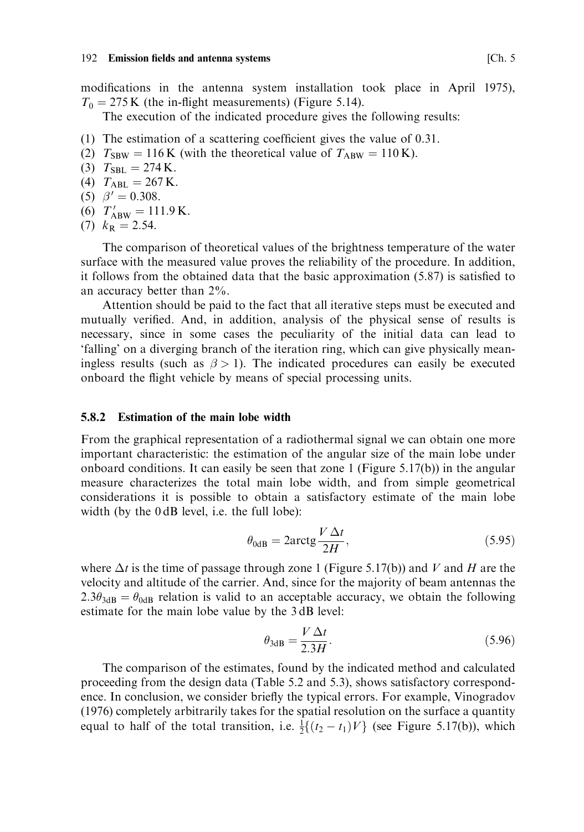modifications in the antenna system installation took place in April 1975),  $T_0 = 275$  K (the in-flight measurements) (Figure 5.14).

The execution of the indicated procedure gives the following results:

- (1) The estimation of a scattering coefficient gives the value of  $0.31$ .
- (2)  $T_{SBW} = 116$  K (with the theoretical value of  $T_{ABW} = 110$  K).
- (3)  $T_{\text{SBL}} = 274 \text{ K}.$
- (4)  $T_{\rm ABL} = 267$  K.
- (5)  $\beta' = 0.308$ .
- (6)  $T'_{ABW} = 111.9 \text{ K}.$
- $(7)$   $k_{\rm R} = 2.54$ .

The comparison of theoretical values of the brightness temperature of the water surface with the measured value proves the reliability of the procedure. In addition, it follows from the obtained data that the basic approximation  $(5.87)$  is satisfied to an accuracy better than  $2\%$ .

Attention should be paid to the fact that all iterative steps must be executed and mutually verified. And, in addition, analysis of the physical sense of results is necessary, since in some cases the peculiarity of the initial data can lead to 'falling' on a diverging branch of the iteration ring, which can give physically meaningless results (such as  $\beta > 1$ ). The indicated procedures can easily be executed onboard the flight vehicle by means of special processing units.

#### $582$ **Estimation of the main lobe width**

From the graphical representation of a radiothermal signal we can obtain one more important characteristic: the estimation of the angular size of the main lobe under onboard conditions. It can easily be seen that zone 1 (Figure 5.17(b)) in the angular measure characterizes the total main lobe width, and from simple geometrical considerations it is possible to obtain a satisfactory estimate of the main lobe width (by the 0dB level, i.e. the full lobe):

$$
\theta_{0dB} = 2\arctg \frac{V \Delta t}{2H},\tag{5.95}
$$

where  $\Delta t$  is the time of passage through zone 1 (Figure 5.17(b)) and V and H are the velocity and altitude of the carrier. And, since for the majority of beam antennas the  $2.3\theta_{3dB} = \theta_{0dB}$  relation is valid to an acceptable accuracy, we obtain the following estimate for the main lobe value by the 3dB level:

$$
\theta_{3\text{dB}} = \frac{V \Delta t}{2.3H}.\tag{5.96}
$$

The comparison of the estimates, found by the indicated method and calculated proceeding from the design data (Table 5.2 and 5.3), shows satisfactory correspondence. In conclusion, we consider briefly the typical errors. For example, Vinogradov (1976) completely arbitrarily takes for the spatial resolution on the surface a quantity equal to half of the total transition, i.e.  $\frac{1}{2} \{(t_2 - t_1)V\}$  (see Figure 5.17(b)), which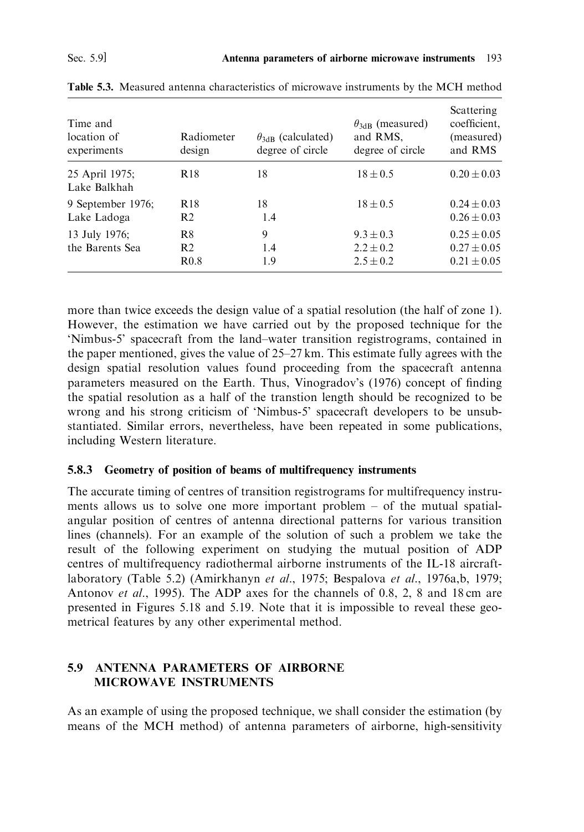| Time and<br>location of<br>experiments | Radiometer<br>design                                 | $\theta_{3dB}$ (calculated)<br>degree of circle | $\theta_{3dB}$ (measured)<br>and RMS,<br>degree of circle | Scattering<br>coefficient.<br>(measured)<br>and RMS   |
|----------------------------------------|------------------------------------------------------|-------------------------------------------------|-----------------------------------------------------------|-------------------------------------------------------|
| 25 April 1975;<br>Lake Balkhah         | R <sub>18</sub>                                      | 18                                              | $18 \pm 0.5$                                              | $0.20 \pm 0.03$                                       |
| 9 September 1976;<br>Lake Ladoga       | R <sub>18</sub><br>R <sub>2</sub>                    | 18<br>1.4                                       | $18 \pm 0.5$                                              | $0.24 \pm 0.03$<br>$0.26 \pm 0.03$                    |
| 13 July 1976;<br>the Barents Sea       | R <sup>8</sup><br>R <sub>2</sub><br>R <sub>0.8</sub> | 9<br>1.4<br>1.9                                 | $9.3 + 0.3$<br>$2.2 \pm 0.2$<br>$2.5 \pm 0.2$             | $0.25 \pm 0.05$<br>$0.27 \pm 0.05$<br>$0.21 \pm 0.05$ |

Table 5.3. Measured antenna characteristics of microwave instruments by the MCH method

more than twice exceeds the design value of a spatial resolution (the half of zone 1). However, the estimation we have carried out by the proposed technique for the 'Nimbus-5' spacecraft from the land-water transition registrograms, contained in the paper mentioned, gives the value of  $25-27$  km. This estimate fully agrees with the design spatial resolution values found proceeding from the spacecraft antenna parameters measured on the Earth. Thus, Vinogradov's (1976) concept of finding the spatial resolution as a half of the transtion length should be recognized to be wrong and his strong criticism of 'Nimbus-5' spacecraft developers to be unsubstantiated. Similar errors, nevertheless, have been repeated in some publications, including Western literature.

## 5.8.3 Geometry of position of beams of multifrequency instruments

The accurate timing of centres of transition registrograms for multifrequency instruments allows us to solve one more important problem  $-$  of the mutual spatialangular position of centres of antenna directional patterns for various transition lines (channels). For an example of the solution of such a problem we take the result of the following experiment on studying the mutual position of ADP centres of multifrequency radiothermal airborne instruments of the IL-18 aircraftlaboratory (Table 5.2) (Amirkhanyn et al., 1975; Bespalova et al., 1976a,b, 1979; Antonov et al., 1995). The ADP axes for the channels of 0.8, 2, 8 and 18 cm are presented in Figures 5.18 and 5.19. Note that it is impossible to reveal these geometrical features by any other experimental method.

## 5.9 ANTENNA PARAMETERS OF AIRBORNE MICROWAVE INSTRUMENTS

As an example of using the proposed technique, we shall consider the estimation (by means of the MCH method) of antenna parameters of airborne, high-sensitivity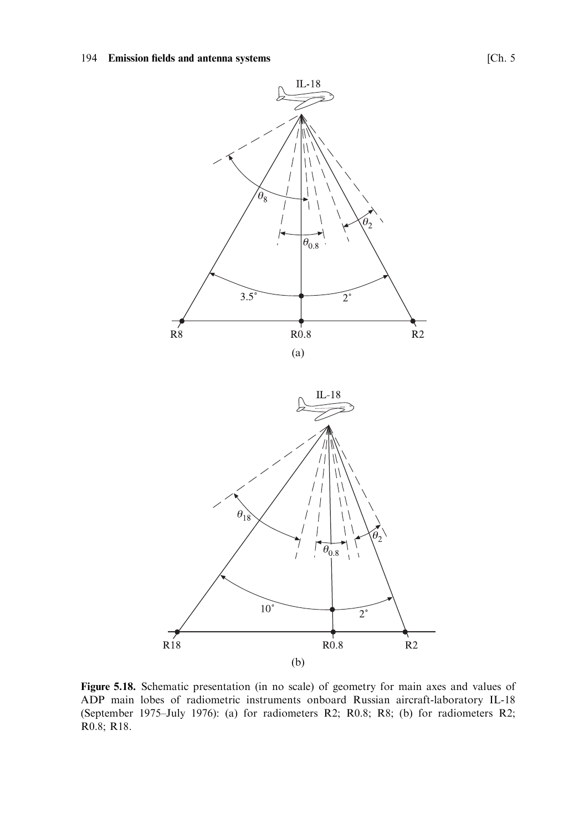

Figure 5.18. Schematic presentation (in no scale) of geometry for main axes and values of ADP main lobes of radiometric instruments onboard Russian aircraft-laboratory IL-18 (September 1975-July 1976): (a) for radiometers R2; R0.8; R8; (b) for radiometers R2; R0.8; R18.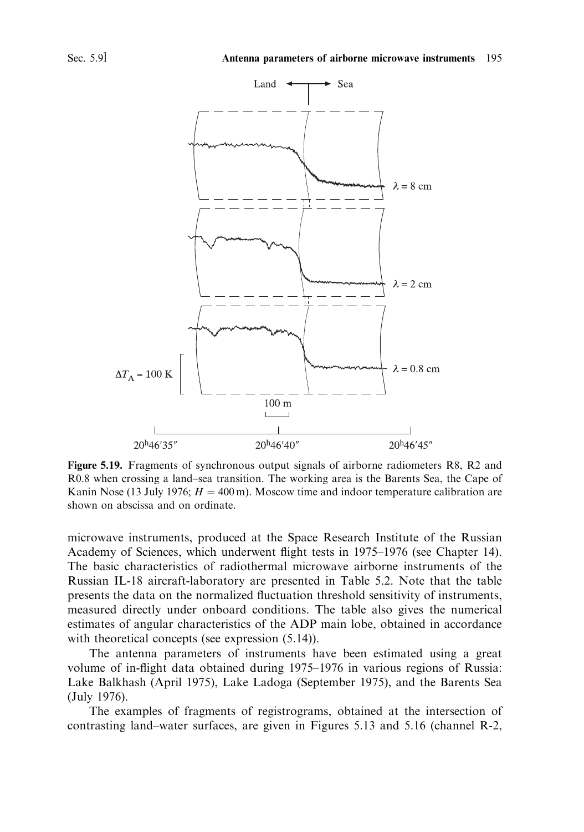

Figure 5.19. Fragments of synchronous output signals of airborne radiometers R8, R2 and R0.8 when crossing a land-sea transition. The working area is the Barents Sea, the Cape of Kanin Nose (13 July 1976;  $H = 400$  m). Moscow time and indoor temperature calibration are shown on abscissa and on ordinate

microwave instruments, produced at the Space Research Institute of the Russian Academy of Sciences, which underwent flight tests in 1975–1976 (see Chapter 14). The basic characteristics of radiothermal microwave airborne instruments of the Russian IL-18 aircraft-laboratory are presented in Table 5.2. Note that the table presents the data on the normalized fluctuation threshold sensitivity of instruments, measured directly under onboard conditions. The table also gives the numerical estimates of angular characteristics of the ADP main lobe, obtained in accordance with theoretical concepts (see expression  $(5.14)$ ).

The antenna parameters of instruments have been estimated using a great volume of in-flight data obtained during 1975–1976 in various regions of Russia: Lake Balkhash (April 1975), Lake Ladoga (September 1975), and the Barents Sea (July 1976).

The examples of fragments of registrograms, obtained at the intersection of contrasting land-water surfaces, are given in Figures 5.13 and 5.16 (channel R-2,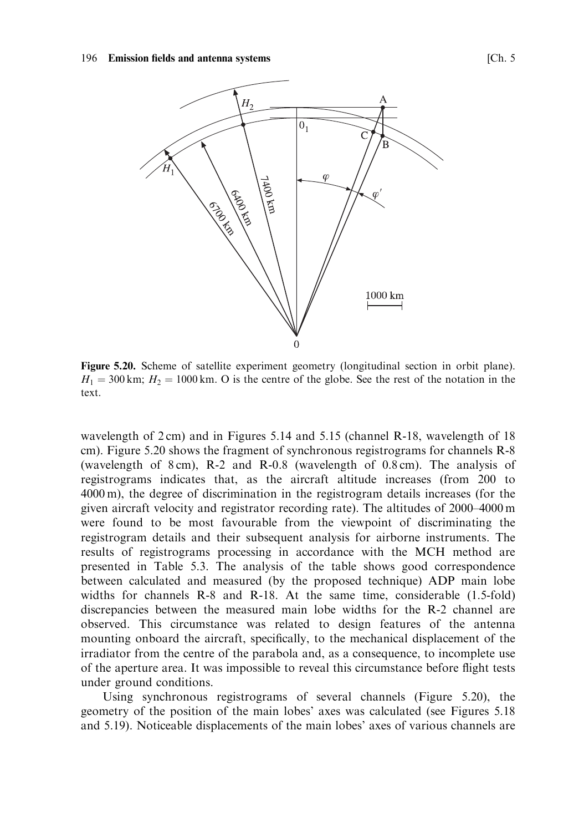

Figure 5.20. Scheme of satellite experiment geometry (longitudinal section in orbit plane).  $H_1 = 300$  km;  $H_2 = 1000$  km. O is the centre of the globe. See the rest of the notation in the text.

wavelength of 2cm) and in Figures 5.14 and 5.15 (channel R-18, wavelength of 18 cm). Figure 5.20 shows the fragment of synchronous registrograms for channels R-8 (wavelength of  $8 \text{ cm}$ ), R-2 and R-0.8 (wavelength of 0.8 cm). The analysis of registrograms indicates that, as the aircraft altitude increases (from 200 to  $4000 \text{ m}$ ), the degree of discrimination in the registrogram details increases (for the given aircraft velocity and registrator recording rate). The altitudes of 2000–4000 m were found to be most favourable from the viewpoint of discriminating the registrogram details and their subsequent analysis for airborne instruments. The results of registrograms processing in accordance with the MCH method are presented in Table 5.3. The analysis of the table shows good correspondence between calculated and measured (by the proposed technique) ADP main lobe widths for channels R-8 and R-18. At the same time, considerable (1.5-fold) discrepancies between the measured main lobe widths for the R-2 channel are observed. This circumstance was related to design features of the antenna mounting onboard the aircraft, specifically, to the mechanical displacement of the irradiator from the centre of the parabola and, as a consequence, to incomplete use of the aperture area. It was impossible to reveal this circumstance before flight tests under ground conditions.

Using synchronous registrograms of several channels (Figure 5.20), the geometry of the position of the main lobes' axes was calculated (see Figures 5.18 and 5.19). Noticeable displacements of the main lobes' axes of various channels are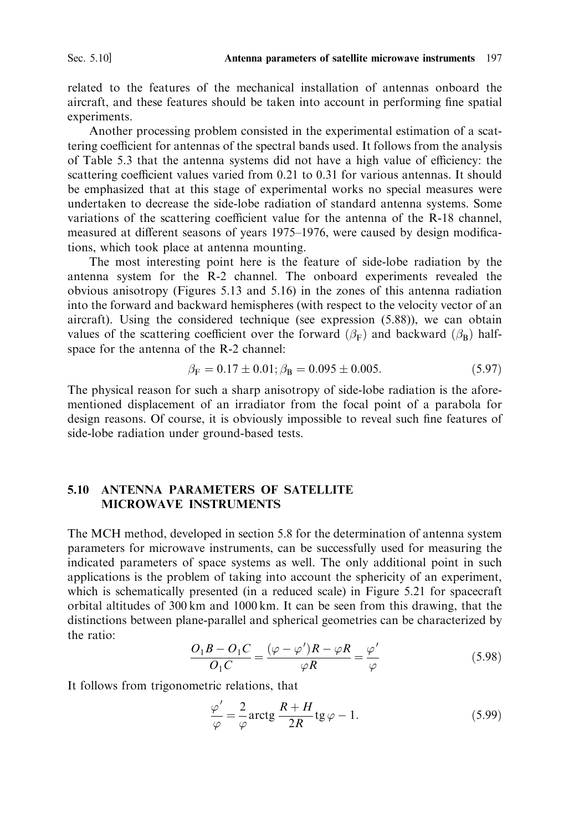related to the features of the mechanical installation of antennas onboard the aircraft, and these features should be taken into account in performing fine spatial experiments.

Another processing problem consisted in the experimental estimation of a scattering coefficient for antennas of the spectral bands used. It follows from the analysis of Table 5.3 that the antenna systems did not have a high value of efficiency: the scattering coefficient values varied from 0.21 to 0.31 for various antennas. It should be emphasized that at this stage of experimental works no special measures were undertaken to decrease the side-lobe radiation of standard antenna systems. Some variations of the scattering coefficient value for the antenna of the R-18 channel, measured at different seasons of years 1975–1976, were caused by design modifications, which took place at antenna mounting.

The most interesting point here is the feature of side-lobe radiation by the antenna system for the R-2 channel. The onboard experiments revealed the obvious anisotropy (Figures 5.13 and 5.16) in the zones of this antenna radiation into the forward and backward hemispheres (with respect to the velocity vector of an aircraft). Using the considered technique (see expression (5.88)), we can obtain values of the scattering coefficient over the forward ( $\beta_F$ ) and backward ( $\beta_R$ ) halfspace for the antenna of the R-2 channel:

$$
\beta_{\rm F} = 0.17 \pm 0.01; \beta_{\rm B} = 0.095 \pm 0.005. \tag{5.97}
$$

The physical reason for such a sharp anisotropy of side-lobe radiation is the aforementioned displacement of an irradiator from the focal point of a parabola for design reasons. Of course, it is obviously impossible to reveal such fine features of side-lobe radiation under ground-based tests.

### **ANTENNA PARAMETERS OF SATELLITE**  $510$ **MICROWAVE INSTRUMENTS**

The MCH method, developed in section 5.8 for the determination of antenna system parameters for microwave instruments, can be successfully used for measuring the indicated parameters of space systems as well. The only additional point in such applications is the problem of taking into account the sphericity of an experiment, which is schematically presented (in a reduced scale) in Figure 5.21 for spacecraft orbital altitudes of 300 km and 1000 km. It can be seen from this drawing, that the distinctions between plane-parallel and spherical geometries can be characterized by the ratio:

$$
\frac{O_1B - O_1C}{O_1C} = \frac{(\varphi - \varphi')R - \varphi R}{\varphi R} = \frac{\varphi'}{\varphi}
$$
(5.98)

It follows from trigonometric relations, that

$$
\frac{\varphi'}{\varphi} = \frac{2}{\varphi} \arctg \frac{R+H}{2R} \text{tg } \varphi - 1.
$$
 (5.99)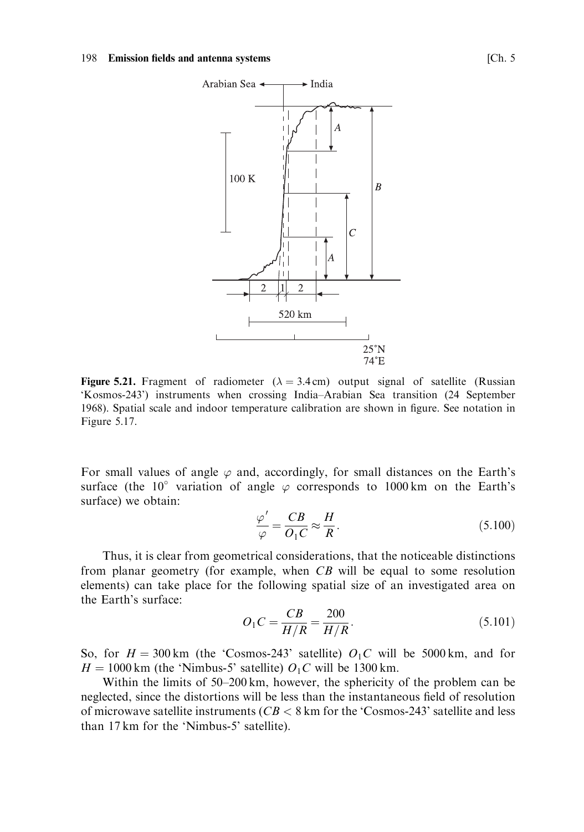

Figure 5.21. Fragment of radiometer ( $\lambda = 3.4$  cm) output signal of satellite (Russian 'Kosmos-243') instruments when crossing India-Arabian Sea transition (24 September 1968). Spatial scale and indoor temperature calibration are shown in figure. See notation in Figure 5.17.

For small values of angle  $\varphi$  and, accordingly, for small distances on the Earth's surface (the 10° variation of angle  $\varphi$  corresponds to 1000 km on the Earth's surface) we obtain:

$$
\frac{\varphi'}{\varphi} = \frac{CB}{O_1C} \approx \frac{H}{R}.\tag{5.100}
$$

Thus, it is clear from geometrical considerations, that the noticeable distinctions from planar geometry (for example, when  $CB$  will be equal to some resolution elements) can take place for the following spatial size of an investigated area on the Earth's surface:

$$
O_1C = \frac{CB}{H/R} = \frac{200}{H/R}.
$$
\n(5.101)

So, for  $H = 300 \text{ km}$  (the 'Cosmos-243' satellite)  $O_1C$  will be 5000 km, and for  $H = 1000$  km (the 'Nimbus-5' satellite)  $O<sub>1</sub>C$  will be 1300 km.

Within the limits of 50–200 km, however, the sphericity of the problem can be neglected, since the distortions will be less than the instantaneous field of resolution of microwave satellite instruments ( $CB < 8$  km for the 'Cosmos-243' satellite and less than 17 km for the 'Nimbus-5' satellite).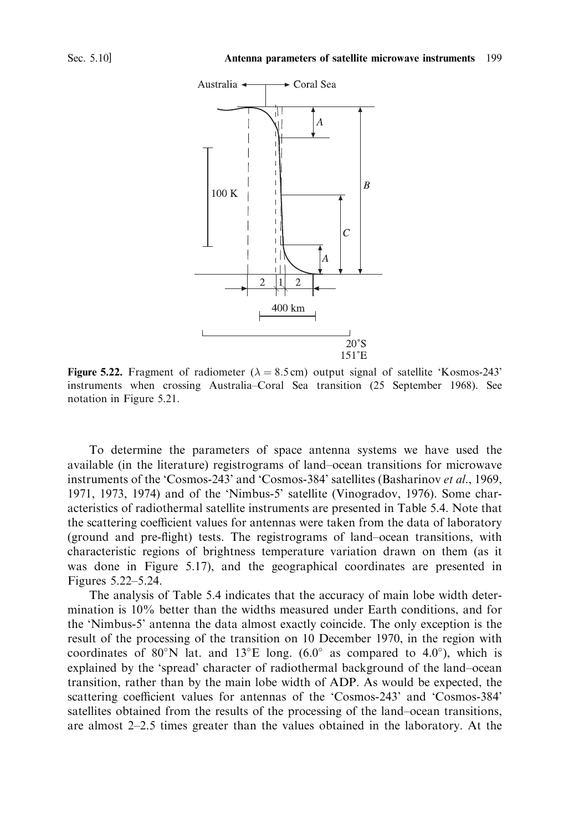

**Figure 5.22.** Fragment of radiometer ( $\lambda = 8.5$  cm) output signal of satellite 'Kosmos-243' instruments when crossing Australia-Coral Sea transition (25 September 1968). See notation in Figure 5.21.

To determine the parameters of space antenna systems we have used the available (in the literature) registrograms of land-ocean transitions for microwave instruments of the 'Cosmos-243' and 'Cosmos-384' satellites (Basharinov et al., 1969, 1971, 1973, 1974) and of the 'Nimbus-5' satellite (Vinogradov, 1976). Some characteristics of radiothermal satellite instruments are presented in Table 5.4. Note that the scattering coefficient values for antennas were taken from the data of laboratory (ground and pre-flight) tests. The registrograms of land-ocean transitions, with characteristic regions of brightness temperature variation drawn on them (as it was done in Figure 5.17), and the geographical coordinates are presented in Figures 5.22-5.24.

The analysis of Table 5.4 indicates that the accuracy of main lobe width determination is 10% better than the widths measured under Earth conditions, and for the 'Nimbus-5' antenna the data almost exactly coincide. The only exception is the result of the processing of the transition on 10 December 1970, in the region with coordinates of 80°N lat. and 13°E long.  $(6.0^{\circ}$  as compared to 4.0°), which is explained by the 'spread' character of radiothermal background of the land-ocean transition, rather than by the main lobe width of ADP. As would be expected, the scattering coefficient values for antennas of the 'Cosmos-243' and 'Cosmos-384' satellities obtained from the results of the processing of the land–ocean transitions, are almost  $2-2.5$  times greater than the values obtained in the laboratory. At the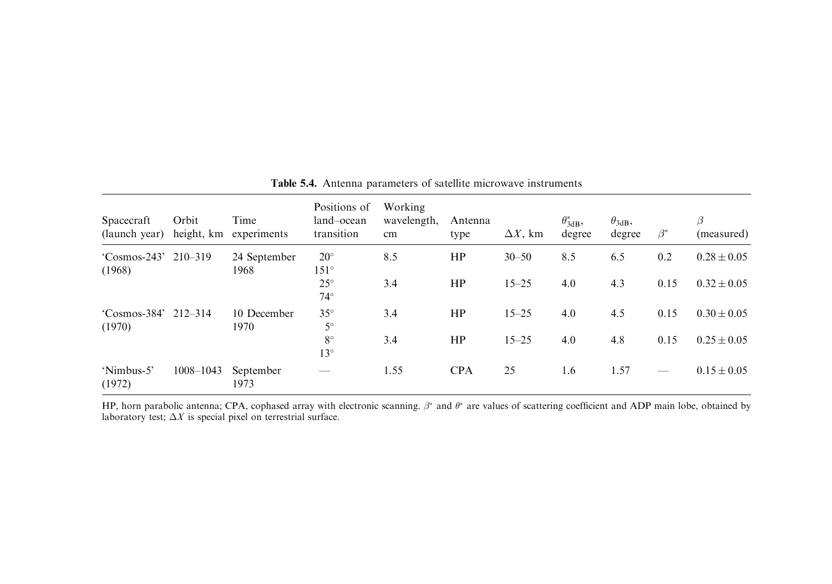| Spacecraft<br>(launch year)              | Orbit<br>height, km | Time<br>experiments  | Positions of<br>land-ocean<br>transition | Working<br>wavelength,<br>cm | Antenna<br>type | $\Delta X$ , km | $\theta^*_{3\text{dB}}$<br>degree | $\theta_{3dB}$<br>degree | $\beta^*$ | β<br>(measured) |
|------------------------------------------|---------------------|----------------------|------------------------------------------|------------------------------|-----------------|-----------------|-----------------------------------|--------------------------|-----------|-----------------|
| $^{\circ}$ Cosmos-243' 210-319<br>(1968) |                     | 24 September<br>1968 | $20^{\circ}$<br>$151^\circ$              | 8.5                          | HP              | $30 - 50$       | 8.5                               | 6.5                      | 0.2       | $0.28 \pm 0.05$ |
|                                          |                     |                      | $25^{\circ}$<br>$74^\circ$               | 3.4                          | HP              | $15 - 25$       | 4.0                               | 4.3                      | 0.15      | $0.32 \pm 0.05$ |
| $^{\circ}$ Cosmos-384' 212-314<br>(1970) |                     | 10 December<br>1970  | $35^{\circ}$<br>$5^\circ$                | 3.4                          | HP              | $15 - 25$       | 4.0                               | 4.5                      | 0.15      | $0.30 \pm 0.05$ |
|                                          |                     |                      | $8^{\circ}$<br>$13^{\circ}$              | 3.4                          | HP              | $15 - 25$       | 4.0                               | 4.8                      | 0.15      | $0.25 \pm 0.05$ |
| 'Nimbus-5'<br>(1972)                     | $1008 - 1043$       | September<br>1973    | __                                       | 1.55                         | <b>CPA</b>      | 25              | 1.6                               | 1.57                     |           | $0.15 \pm 0.05$ |

## Table 5.4. Antenna parameters of satellite microwave instruments

HP, horn parabolic antenna; CPA, cophased array with electronic scanning.  $\beta^*$  and  $\theta^*$  are values of scattering coefficient and ADP main lobe, obtained by laboratory test;  $\Delta X$  is special pixel on terrestrial surfac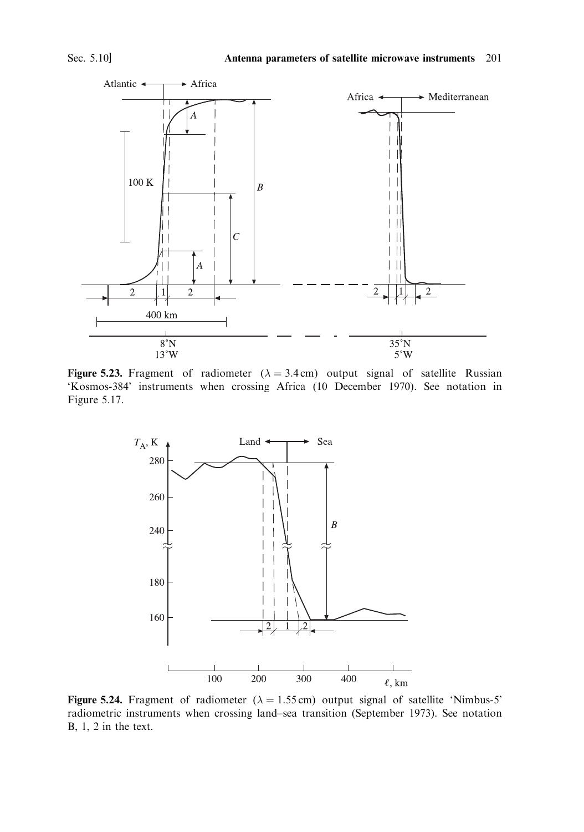

Figure 5.23. Fragment of radiometer ( $\lambda = 3.4$  cm) output signal of satellite Russian 'Kosmos-384' instruments when crossing Africa (10 December 1970). See notation in Figure 5.17.



Figure 5.24. Fragment of radiometer ( $\lambda = 1.55$  cm) output signal of satellite 'Nimbus-5' radiometric instruments when crossing land-sea transition (September 1973). See notation  $B, 1, 2$  in the text.